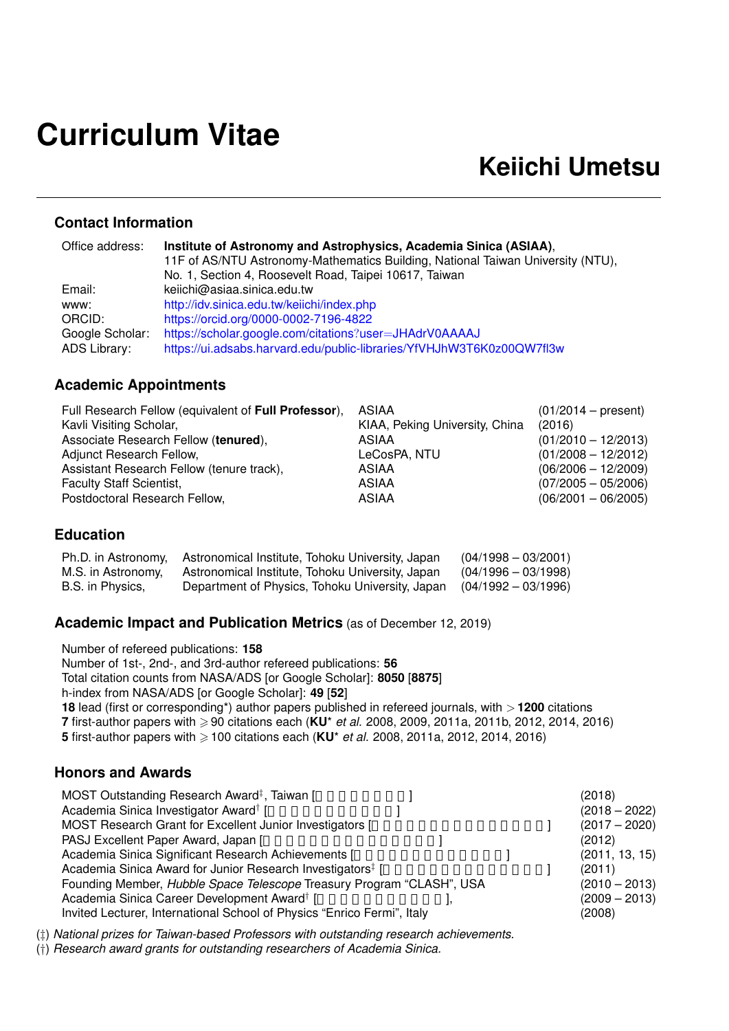# **Curriculum Vitae**

## **Keiichi Umetsu**

#### **Contact Information**

| Office address: | Institute of Astronomy and Astrophysics, Academia Sinica (ASIAA),               |  |
|-----------------|---------------------------------------------------------------------------------|--|
|                 | 11F of AS/NTU Astronomy-Mathematics Building, National Taiwan University (NTU), |  |
|                 | No. 1, Section 4, Roosevelt Road, Taipei 10617, Taiwan                          |  |
| Email:          | keiichi@asiaa.sinica.edu.tw                                                     |  |
| WWW:            | http://idv.sinica.edu.tw/keiichi/index.php                                      |  |
| ORCID:          | https://orcid.org/0000-0002-7196-4822                                           |  |
| Google Scholar: | https://scholar.google.com/citations?user=JHAdrV0AAAAJ                          |  |
| ADS Library:    | https://ui.adsabs.harvard.edu/public-libraries/YfVHJhW3T6K0z00QW7fl3w           |  |

#### **Academic Appointments**

| Full Research Fellow (equivalent of <b>Full Professor</b> ), | ASIAA                          | $(01/2014 - present)$ |
|--------------------------------------------------------------|--------------------------------|-----------------------|
| Kavli Visiting Scholar,                                      | KIAA, Peking University, China | (2016)                |
| Associate Research Fellow (tenured),                         | ASIAA                          | $(01/2010 - 12/2013)$ |
| Adjunct Research Fellow,                                     | LeCosPA, NTU                   | $(01/2008 - 12/2012)$ |
| Assistant Research Fellow (tenure track),                    | ASIAA                          | $(06/2006 - 12/2009)$ |
| <b>Faculty Staff Scientist,</b>                              | ASIAA                          | $(07/2005 - 05/2006)$ |
| Postdoctoral Research Fellow,                                | ASIAA                          | $(06/2001 - 06/2005)$ |

#### **Education**

|                    | Ph.D. in Astronomy, Astronomical Institute, Tohoku University, Japan | $(04/1998 - 03/2001)$ |
|--------------------|----------------------------------------------------------------------|-----------------------|
| M.S. in Astronomy, | Astronomical Institute, Tohoku University, Japan                     | (04/1996 — 03/1998)   |
| B.S. in Physics,   | Department of Physics, Tohoku University, Japan (04/1992 – 03/1996)  |                       |

#### **Academic Impact and Publication Metrics** (as of December 12, 2019)

Number of refereed publications: **158** Number of 1st-, 2nd-, and 3rd-author refereed publications: **56** Total citation counts from NASA/ADS [or Google Scholar]: **8050** [**8875**] h-index from NASA/ADS [or Google Scholar]: **49** [**52**] **18** lead (first or corresponding\*) author papers published in refereed journals, with *>* **1200** citations **7** first-author papers with ≥ 90 citations each (KU<sup>\*</sup> *et al.* 2008, 2009, 2011a, 2011b, 2012, 2014, 2016) **5** first-author papers with ≥ 100 citations each (KU<sup>\*</sup> *et al.* 2008, 2011a, 2012, 2014, 2016)

#### **Honors and Awards**

| MOST Outstanding Research Award <sup>‡</sup> , Taiwan [                 |  | (2018)          |
|-------------------------------------------------------------------------|--|-----------------|
| Academia Sinica Investigator Award <sup>†</sup> [                       |  | $(2018 - 2022)$ |
| MOST Research Grant for Excellent Junior Investigators [                |  | $(2017 - 2020)$ |
| PASJ Excellent Paper Award, Japan [                                     |  | (2012)          |
| Academia Sinica Significant Research Achievements [                     |  | (2011, 13, 15)  |
| Academia Sinica Award for Junior Research Investigators <sup>‡</sup> [  |  | (2011)          |
| Founding Member, Hubble Space Telescope Treasury Program "CLASH", USA   |  | $(2010 - 2013)$ |
| Academia Sinica Career Development Award <sup>†</sup> [                 |  | $(2009 - 2013)$ |
| Invited Lecturer, International School of Physics "Enrico Fermi", Italy |  | (2008)          |

(*‡*) *National prizes for Taiwan-based Professors with outstanding research achievements.*

(*†*) *Research award grants for outstanding researchers of Academia Sinica.*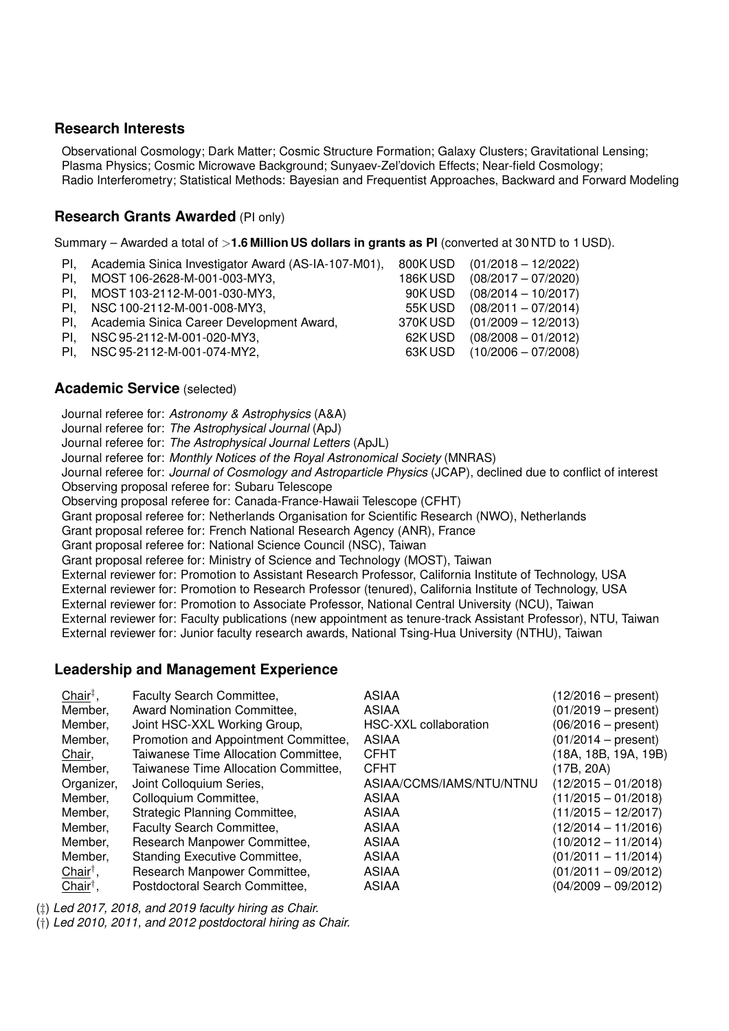#### **Research Interests**

Observational Cosmology; Dark Matter; Cosmic Structure Formation; Galaxy Clusters; Gravitational Lensing; Plasma Physics; Cosmic Microwave Background; Sunyaev-Zel'dovich Effects; Near-field Cosmology; Radio Interferometry; Statistical Methods: Bayesian and Frequentist Approaches, Backward and Forward Modeling

#### **Research Grants Awarded** (PI only)

Summary – Awarded a total of *>***1.6 Million US dollars in grants as PI** (converted at 30 NTD to 1 USD).

| PI. | Academia Sinica Investigator Award (AS-IA-107-M01), | 800KUSD | $(01/2018 - 12/2022)$ |
|-----|-----------------------------------------------------|---------|-----------------------|
| PI. | MOST 106-2628-M-001-003-MY3,                        | 186KUSD | $(08/2017 - 07/2020)$ |
| PI. | MOST 103-2112-M-001-030-MY3,                        | 90KUSD  | $(08/2014 - 10/2017)$ |
| PI. | NSC 100-2112-M-001-008-MY3,                         | 55K USD | $(08/2011 - 07/2014)$ |
| PI. | Academia Sinica Career Development Award,           | 370KUSD | $(01/2009 - 12/2013)$ |
| PI. | NSC 95-2112-M-001-020-MY3,                          | 62KUSD  | $(08/2008 - 01/2012)$ |
| PI. | NSC 95-2112-M-001-074-MY2,                          | 63KUSD  | $(10/2006 - 07/2008)$ |
|     |                                                     |         |                       |

#### **Academic Service** (selected)

Journal referee for: *Astronomy & Astrophysics* (A&A)

Journal referee for: *The Astrophysical Journal* (ApJ)

Journal referee for: *The Astrophysical Journal Letters* (ApJL)

Journal referee for: *Monthly Notices of the Royal Astronomical Society* (MNRAS)

Journal referee for: *Journal of Cosmology and Astroparticle Physics* (JCAP), declined due to conflict of interest Observing proposal referee for: Subaru Telescope

Observing proposal referee for: Canada-France-Hawaii Telescope (CFHT)

Grant proposal referee for: Netherlands Organisation for Scientific Research (NWO), Netherlands

Grant proposal referee for: French National Research Agency (ANR), France

Grant proposal referee for: National Science Council (NSC), Taiwan

Grant proposal referee for: Ministry of Science and Technology (MOST), Taiwan

External reviewer for: Promotion to Assistant Research Professor, California Institute of Technology, USA

External reviewer for: Promotion to Research Professor (tenured), California Institute of Technology, USA

External reviewer for: Promotion to Associate Professor, National Central University (NCU), Taiwan

External reviewer for: Faculty publications (new appointment as tenure-track Assistant Professor), NTU, Taiwan External reviewer for: Junior faculty research awards, National Tsing-Hua University (NTHU), Taiwan

#### **Leadership and Management Experience**

| Chair <sup><math>‡</math></sup> , | Faculty Search Committee,            | ASIAA                        | $(12/2016 - present)$ |
|-----------------------------------|--------------------------------------|------------------------------|-----------------------|
| Member,                           | Award Nomination Committee,          | ASIAA                        | $(01/2019 - present)$ |
| Member,                           | Joint HSC-XXL Working Group,         | <b>HSC-XXL collaboration</b> | $(06/2016 - present)$ |
| Member,                           | Promotion and Appointment Committee, | ASIAA                        | $(01/2014 - present)$ |
| Chair,                            | Taiwanese Time Allocation Committee, | <b>CFHT</b>                  | (18A, 18B, 19A, 19B)  |
| Member,                           | Taiwanese Time Allocation Committee, | <b>CFHT</b>                  | (17B, 20A)            |
| Organizer,                        | Joint Colloquium Series,             | ASIAA/CCMS/IAMS/NTU/NTNU     | $(12/2015 - 01/2018)$ |
| Member,                           | Colloquium Committee,                | ASIAA                        | $(11/2015 - 01/2018)$ |
| Member,                           | Strategic Planning Committee,        | ASIAA                        | $(11/2015 - 12/2017)$ |
| Member,                           | Faculty Search Committee,            | ASIAA                        | $(12/2014 - 11/2016)$ |
| Member,                           | Research Manpower Committee,         | ASIAA                        | $(10/2012 - 11/2014)$ |
| Member,                           | <b>Standing Executive Committee,</b> | ASIAA                        | $(01/2011 - 11/2014)$ |
| Chair <sup>†</sup> ,              | Research Manpower Committee,         | ASIAA                        | $(01/2011 - 09/2012)$ |
| Chair <sup>†</sup> ,              | Postdoctoral Search Committee,       | ASIAA                        | $(04/2009 - 09/2012)$ |

(*‡*) *Led 2017, 2018, and 2019 faculty hiring as Chair.*

(*†*) *Led 2010, 2011, and 2012 postdoctoral hiring as Chair.*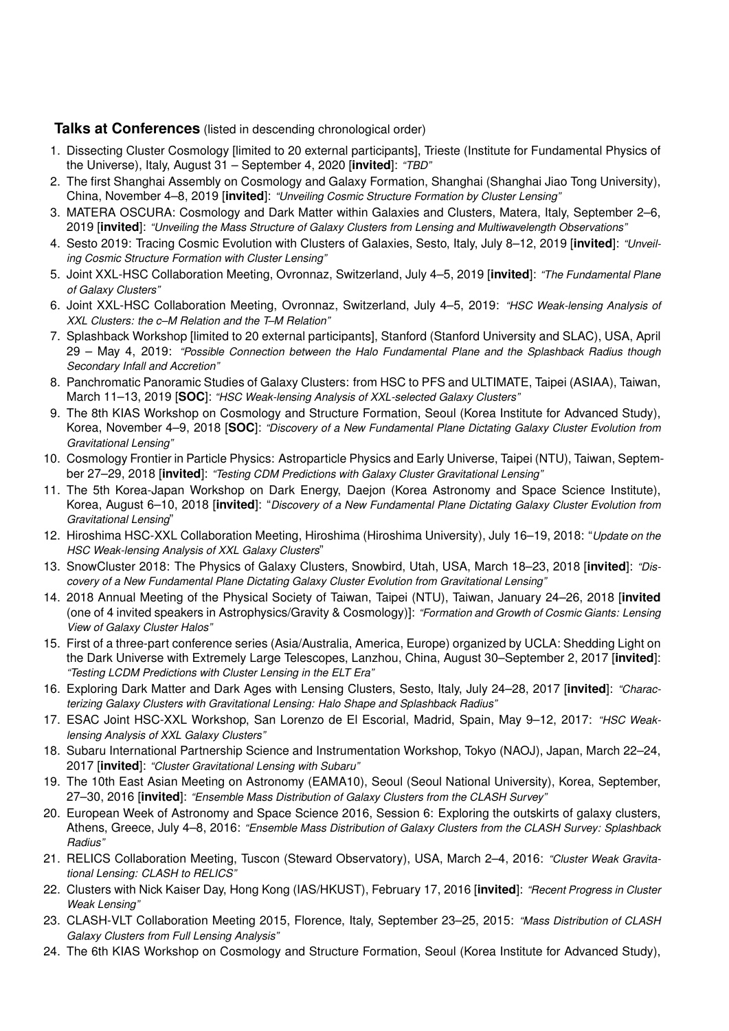#### **Talks at Conferences** (listed in descending chronological order)

- 1. Dissecting Cluster Cosmology [limited to 20 external participants], Trieste (Institute for Fundamental Physics of the Universe), Italy, August 31 – September 4, 2020 [**invited**]: *"TBD"*
- 2. The first Shanghai Assembly on Cosmology and Galaxy Formation, Shanghai (Shanghai Jiao Tong University), China, November 4–8, 2019 [**invited**]: *"Unveiling Cosmic Structure Formation by Cluster Lensing"*
- 3. MATERA OSCURA: Cosmology and Dark Matter within Galaxies and Clusters, Matera, Italy, September 2–6, 2019 [**invited**]: *"Unveiling the Mass Structure of Galaxy Clusters from Lensing and Multiwavelength Observations"*
- 4. Sesto 2019: Tracing Cosmic Evolution with Clusters of Galaxies, Sesto, Italy, July 8–12, 2019 [**invited**]: *"Unveiling Cosmic Structure Formation with Cluster Lensing"*
- 5. Joint XXL-HSC Collaboration Meeting, Ovronnaz, Switzerland, July 4–5, 2019 [**invited**]: *"The Fundamental Plane of Galaxy Clusters"*
- 6. Joint XXL-HSC Collaboration Meeting, Ovronnaz, Switzerland, July 4–5, 2019: *"HSC Weak-lensing Analysis of XXL Clusters: the c–M Relation and the T–M Relation"*
- 7. Splashback Workshop [limited to 20 external participants], Stanford (Stanford University and SLAC), USA, April 29 – May 4, 2019: *"Possible Connection between the Halo Fundamental Plane and the Splashback Radius though Secondary Infall and Accretion"*
- 8. Panchromatic Panoramic Studies of Galaxy Clusters: from HSC to PFS and ULTIMATE, Taipei (ASIAA), Taiwan, March 11–13, 2019 [**SOC**]: *"HSC Weak-lensing Analysis of XXL-selected Galaxy Clusters"*
- 9. The 8th KIAS Workshop on Cosmology and Structure Formation, Seoul (Korea Institute for Advanced Study), Korea, November 4–9, 2018 [**SOC**]: *"Discovery of a New Fundamental Plane Dictating Galaxy Cluster Evolution from Gravitational Lensing"*
- 10. Cosmology Frontier in Particle Physics: Astroparticle Physics and Early Universe, Taipei (NTU), Taiwan, September 27–29, 2018 [**invited**]: *"Testing CDM Predictions with Galaxy Cluster Gravitational Lensing"*
- 11. The 5th Korea-Japan Workshop on Dark Energy, Daejon (Korea Astronomy and Space Science Institute), Korea, August 6–10, 2018 [**invited**]: "*Discovery of a New Fundamental Plane Dictating Galaxy Cluster Evolution from Gravitational Lensing*"
- 12. Hiroshima HSC-XXL Collaboration Meeting, Hiroshima (Hiroshima University), July 16–19, 2018: "*Update on the HSC Weak-lensing Analysis of XXL Galaxy Clusters*"
- 13. SnowCluster 2018: The Physics of Galaxy Clusters, Snowbird, Utah, USA, March 18–23, 2018 [**invited**]: *"Discovery of a New Fundamental Plane Dictating Galaxy Cluster Evolution from Gravitational Lensing"*
- 14. 2018 Annual Meeting of the Physical Society of Taiwan, Taipei (NTU), Taiwan, January 24–26, 2018 [**invited** (one of 4 invited speakers in Astrophysics/Gravity & Cosmology)]: *"Formation and Growth of Cosmic Giants: Lensing View of Galaxy Cluster Halos"*
- 15. First of a three-part conference series (Asia/Australia, America, Europe) organized by UCLA: Shedding Light on the Dark Universe with Extremely Large Telescopes, Lanzhou, China, August 30–September 2, 2017 [**invited**]: *"Testing LCDM Predictions with Cluster Lensing in the ELT Era"*
- 16. Exploring Dark Matter and Dark Ages with Lensing Clusters, Sesto, Italy, July 24–28, 2017 [**invited**]: *"Characterizing Galaxy Clusters with Gravitational Lensing: Halo Shape and Splashback Radius"*
- 17. ESAC Joint HSC-XXL Workshop, San Lorenzo de El Escorial, Madrid, Spain, May 9–12, 2017: *"HSC Weaklensing Analysis of XXL Galaxy Clusters"*
- 18. Subaru International Partnership Science and Instrumentation Workshop, Tokyo (NAOJ), Japan, March 22–24, 2017 [**invited**]: *"Cluster Gravitational Lensing with Subaru"*
- 19. The 10th East Asian Meeting on Astronomy (EAMA10), Seoul (Seoul National University), Korea, September, 27–30, 2016 [**invited**]: *"Ensemble Mass Distribution of Galaxy Clusters from the CLASH Survey"*
- 20. European Week of Astronomy and Space Science 2016, Session 6: Exploring the outskirts of galaxy clusters, Athens, Greece, July 4–8, 2016: *"Ensemble Mass Distribution of Galaxy Clusters from the CLASH Survey: Splashback Radius"*
- 21. RELICS Collaboration Meeting, Tuscon (Steward Observatory), USA, March 2–4, 2016: *"Cluster Weak Gravitational Lensing: CLASH to RELICS"*
- 22. Clusters with Nick Kaiser Day, Hong Kong (IAS/HKUST), February 17, 2016 [**invited**]: *"Recent Progress in Cluster Weak Lensing"*
- 23. CLASH-VLT Collaboration Meeting 2015, Florence, Italy, September 23–25, 2015: *"Mass Distribution of CLASH Galaxy Clusters from Full Lensing Analysis"*
- 24. The 6th KIAS Workshop on Cosmology and Structure Formation, Seoul (Korea Institute for Advanced Study),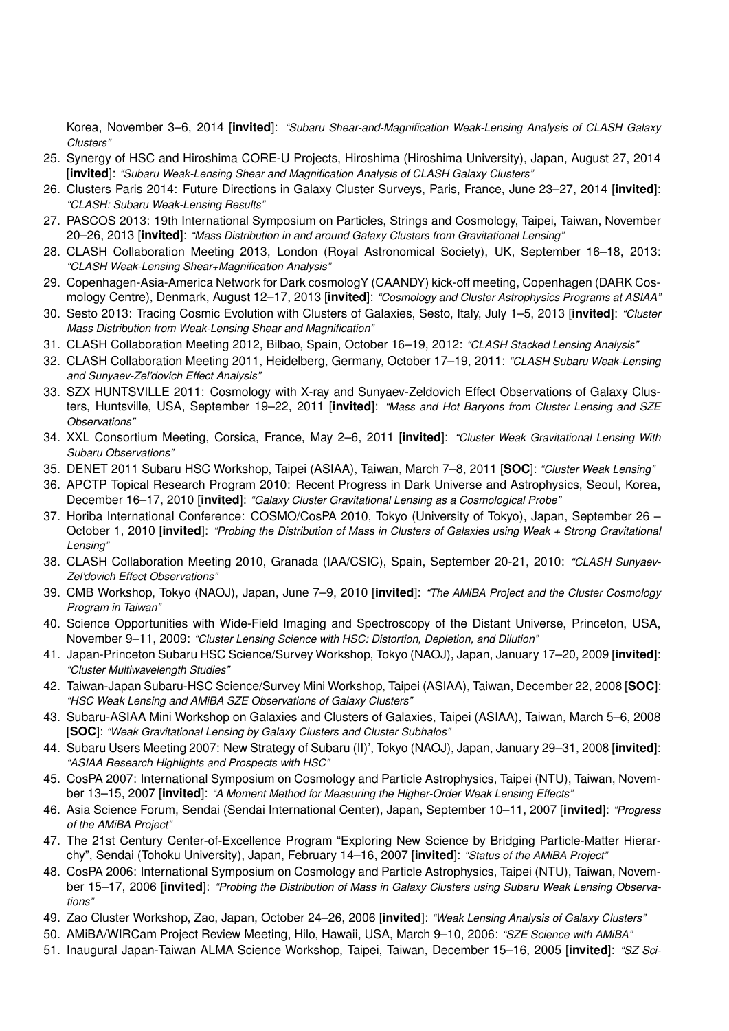Korea, November 3–6, 2014 [**invited**]: *"Subaru Shear-and-Magnification Weak-Lensing Analysis of CLASH Galaxy Clusters"*

- 25. Synergy of HSC and Hiroshima CORE-U Projects, Hiroshima (Hiroshima University), Japan, August 27, 2014 [**invited**]: *"Subaru Weak-Lensing Shear and Magnification Analysis of CLASH Galaxy Clusters"*
- 26. Clusters Paris 2014: Future Directions in Galaxy Cluster Surveys, Paris, France, June 23–27, 2014 [**invited**]: *"CLASH: Subaru Weak-Lensing Results"*
- 27. PASCOS 2013: 19th International Symposium on Particles, Strings and Cosmology, Taipei, Taiwan, November 20–26, 2013 [**invited**]: *"Mass Distribution in and around Galaxy Clusters from Gravitational Lensing"*
- 28. CLASH Collaboration Meeting 2013, London (Royal Astronomical Society), UK, September 16–18, 2013: *"CLASH Weak-Lensing Shear+Magnification Analysis"*
- 29. Copenhagen-Asia-America Network for Dark cosmologY (CAANDY) kick-off meeting, Copenhagen (DARK Cosmology Centre), Denmark, August 12–17, 2013 [**invited**]: *"Cosmology and Cluster Astrophysics Programs at ASIAA"*
- 30. Sesto 2013: Tracing Cosmic Evolution with Clusters of Galaxies, Sesto, Italy, July 1–5, 2013 [**invited**]: *"Cluster Mass Distribution from Weak-Lensing Shear and Magnification"*
- 31. CLASH Collaboration Meeting 2012, Bilbao, Spain, October 16–19, 2012: *"CLASH Stacked Lensing Analysis"*
- 32. CLASH Collaboration Meeting 2011, Heidelberg, Germany, October 17–19, 2011: *"CLASH Subaru Weak-Lensing and Sunyaev-Zel'dovich Effect Analysis"*
- 33. SZX HUNTSVILLE 2011: Cosmology with X-ray and Sunyaev-Zeldovich Effect Observations of Galaxy Clusters, Huntsville, USA, September 19–22, 2011 [**invited**]: *"Mass and Hot Baryons from Cluster Lensing and SZE Observations"*
- 34. XXL Consortium Meeting, Corsica, France, May 2–6, 2011 [**invited**]: *"Cluster Weak Gravitational Lensing With Subaru Observations"*
- 35. DENET 2011 Subaru HSC Workshop, Taipei (ASIAA), Taiwan, March 7–8, 2011 [**SOC**]: *"Cluster Weak Lensing"*
- 36. APCTP Topical Research Program 2010: Recent Progress in Dark Universe and Astrophysics, Seoul, Korea, December 16–17, 2010 [**invited**]: *"Galaxy Cluster Gravitational Lensing as a Cosmological Probe"*
- 37. Horiba International Conference: COSMO/CosPA 2010, Tokyo (University of Tokyo), Japan, September 26 October 1, 2010 [**invited**]: *"Probing the Distribution of Mass in Clusters of Galaxies using Weak + Strong Gravitational Lensing"*
- 38. CLASH Collaboration Meeting 2010, Granada (IAA/CSIC), Spain, September 20-21, 2010: *"CLASH Sunyaev-Zel'dovich Effect Observations"*
- 39. CMB Workshop, Tokyo (NAOJ), Japan, June 7–9, 2010 [**invited**]: *"The AMiBA Project and the Cluster Cosmology Program in Taiwan"*
- 40. Science Opportunities with Wide-Field Imaging and Spectroscopy of the Distant Universe, Princeton, USA, November 9–11, 2009: *"Cluster Lensing Science with HSC: Distortion, Depletion, and Dilution"*
- 41. Japan-Princeton Subaru HSC Science/Survey Workshop, Tokyo (NAOJ), Japan, January 17–20, 2009 [**invited**]: *"Cluster Multiwavelength Studies"*
- 42. Taiwan-Japan Subaru-HSC Science/Survey Mini Workshop, Taipei (ASIAA), Taiwan, December 22, 2008 [**SOC**]: *"HSC Weak Lensing and AMiBA SZE Observations of Galaxy Clusters"*
- 43. Subaru-ASIAA Mini Workshop on Galaxies and Clusters of Galaxies, Taipei (ASIAA), Taiwan, March 5–6, 2008 [**SOC**]: *"Weak Gravitational Lensing by Galaxy Clusters and Cluster Subhalos"*
- 44. Subaru Users Meeting 2007: New Strategy of Subaru (II)', Tokyo (NAOJ), Japan, January 29–31, 2008 [**invited**]: *"ASIAA Research Highlights and Prospects with HSC"*
- 45. CosPA 2007: International Symposium on Cosmology and Particle Astrophysics, Taipei (NTU), Taiwan, November 13–15, 2007 [**invited**]: *"A Moment Method for Measuring the Higher-Order Weak Lensing Effects"*
- 46. Asia Science Forum, Sendai (Sendai International Center), Japan, September 10–11, 2007 [**invited**]: *"Progress of the AMiBA Project"*
- 47. The 21st Century Center-of-Excellence Program "Exploring New Science by Bridging Particle-Matter Hierarchy", Sendai (Tohoku University), Japan, February 14–16, 2007 [**invited**]: *"Status of the AMiBA Project"*
- 48. CosPA 2006: International Symposium on Cosmology and Particle Astrophysics, Taipei (NTU), Taiwan, November 15–17, 2006 [**invited**]: *"Probing the Distribution of Mass in Galaxy Clusters using Subaru Weak Lensing Observations"*
- 49. Zao Cluster Workshop, Zao, Japan, October 24–26, 2006 [**invited**]: *"Weak Lensing Analysis of Galaxy Clusters"*
- 50. AMiBA/WIRCam Project Review Meeting, Hilo, Hawaii, USA, March 9–10, 2006: *"SZE Science with AMiBA"*
- 51. Inaugural Japan-Taiwan ALMA Science Workshop, Taipei, Taiwan, December 15–16, 2005 [**invited**]: *"SZ Sci-*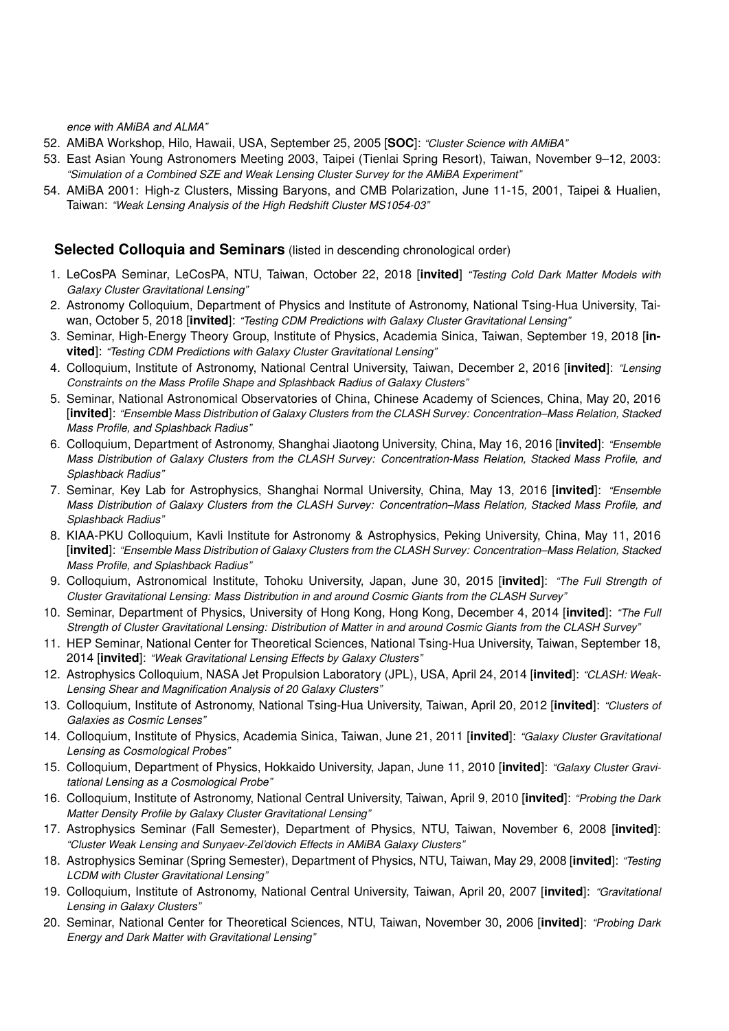*ence with AMiBA and ALMA"*

- 52. AMiBA Workshop, Hilo, Hawaii, USA, September 25, 2005 [**SOC**]: *"Cluster Science with AMiBA"*
- 53. East Asian Young Astronomers Meeting 2003, Taipei (Tienlai Spring Resort), Taiwan, November 9–12, 2003: *"Simulation of a Combined SZE and Weak Lensing Cluster Survey for the AMiBA Experiment"*
- 54. AMiBA 2001: High-z Clusters, Missing Baryons, and CMB Polarization, June 11-15, 2001, Taipei & Hualien, Taiwan: *"Weak Lensing Analysis of the High Redshift Cluster MS1054-03"*

#### **Selected Colloquia and Seminars** (listed in descending chronological order)

- 1. LeCosPA Seminar, LeCosPA, NTU, Taiwan, October 22, 2018 [**invited**] *"Testing Cold Dark Matter Models with Galaxy Cluster Gravitational Lensing"*
- 2. Astronomy Colloquium, Department of Physics and Institute of Astronomy, National Tsing-Hua University, Taiwan, October 5, 2018 [**invited**]: *"Testing CDM Predictions with Galaxy Cluster Gravitational Lensing"*
- 3. Seminar, High-Energy Theory Group, Institute of Physics, Academia Sinica, Taiwan, September 19, 2018 [**invited**]: *"Testing CDM Predictions with Galaxy Cluster Gravitational Lensing"*
- 4. Colloquium, Institute of Astronomy, National Central University, Taiwan, December 2, 2016 [**invited**]: *"Lensing Constraints on the Mass Profile Shape and Splashback Radius of Galaxy Clusters"*
- 5. Seminar, National Astronomical Observatories of China, Chinese Academy of Sciences, China, May 20, 2016 [**invited**]: *"Ensemble Mass Distribution of Galaxy Clusters from the CLASH Survey: Concentration–Mass Relation, Stacked Mass Profile, and Splashback Radius"*
- 6. Colloquium, Department of Astronomy, Shanghai Jiaotong University, China, May 16, 2016 [**invited**]: *"Ensemble Mass Distribution of Galaxy Clusters from the CLASH Survey: Concentration-Mass Relation, Stacked Mass Profile, and Splashback Radius"*
- 7. Seminar, Key Lab for Astrophysics, Shanghai Normal University, China, May 13, 2016 [**invited**]: *"Ensemble Mass Distribution of Galaxy Clusters from the CLASH Survey: Concentration–Mass Relation, Stacked Mass Profile, and Splashback Radius"*
- 8. KIAA-PKU Colloquium, Kavli Institute for Astronomy & Astrophysics, Peking University, China, May 11, 2016 [**invited**]: *"Ensemble Mass Distribution of Galaxy Clusters from the CLASH Survey: Concentration–Mass Relation, Stacked Mass Profile, and Splashback Radius"*
- 9. Colloquium, Astronomical Institute, Tohoku University, Japan, June 30, 2015 [**invited**]: *"The Full Strength of Cluster Gravitational Lensing: Mass Distribution in and around Cosmic Giants from the CLASH Survey"*
- 10. Seminar, Department of Physics, University of Hong Kong, Hong Kong, December 4, 2014 [**invited**]: *"The Full Strength of Cluster Gravitational Lensing: Distribution of Matter in and around Cosmic Giants from the CLASH Survey"*
- 11. HEP Seminar, National Center for Theoretical Sciences, National Tsing-Hua University, Taiwan, September 18, 2014 [**invited**]: *"Weak Gravitational Lensing Effects by Galaxy Clusters"*
- 12. Astrophysics Colloquium, NASA Jet Propulsion Laboratory (JPL), USA, April 24, 2014 [**invited**]: *"CLASH: Weak-Lensing Shear and Magnification Analysis of 20 Galaxy Clusters"*
- 13. Colloquium, Institute of Astronomy, National Tsing-Hua University, Taiwan, April 20, 2012 [**invited**]: *"Clusters of Galaxies as Cosmic Lenses"*
- 14. Colloquium, Institute of Physics, Academia Sinica, Taiwan, June 21, 2011 [**invited**]: *"Galaxy Cluster Gravitational Lensing as Cosmological Probes"*
- 15. Colloquium, Department of Physics, Hokkaido University, Japan, June 11, 2010 [**invited**]: *"Galaxy Cluster Gravitational Lensing as a Cosmological Probe"*
- 16. Colloquium, Institute of Astronomy, National Central University, Taiwan, April 9, 2010 [**invited**]: *"Probing the Dark Matter Density Profile by Galaxy Cluster Gravitational Lensing"*
- 17. Astrophysics Seminar (Fall Semester), Department of Physics, NTU, Taiwan, November 6, 2008 [**invited**]: *"Cluster Weak Lensing and Sunyaev-Zel'dovich Effects in AMiBA Galaxy Clusters"*
- 18. Astrophysics Seminar (Spring Semester), Department of Physics, NTU, Taiwan, May 29, 2008 [**invited**]: *"Testing LCDM with Cluster Gravitational Lensing"*
- 19. Colloquium, Institute of Astronomy, National Central University, Taiwan, April 20, 2007 [**invited**]: *"Gravitational Lensing in Galaxy Clusters"*
- 20. Seminar, National Center for Theoretical Sciences, NTU, Taiwan, November 30, 2006 [**invited**]: *"Probing Dark Energy and Dark Matter with Gravitational Lensing"*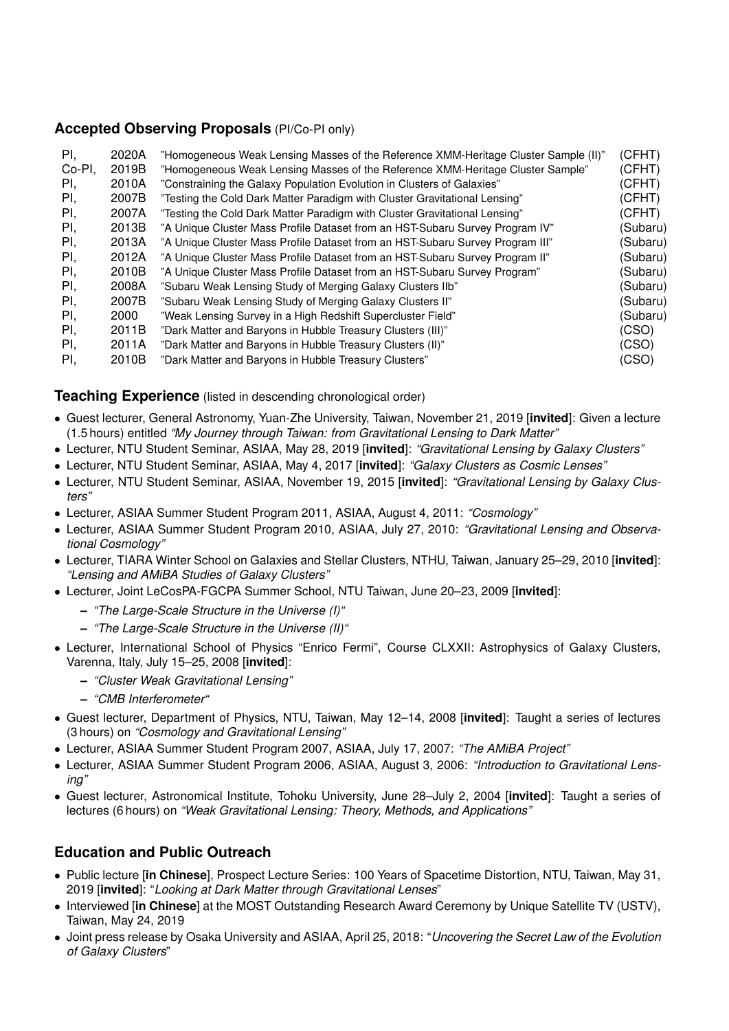#### **Accepted Observing Proposals** (PI/Co-PI only)

| 2020A | "Homogeneous Weak Lensing Masses of the Reference XMM-Heritage Cluster Sample (II)" | (CFHT)   |
|-------|-------------------------------------------------------------------------------------|----------|
| 2019B | "Homogeneous Weak Lensing Masses of the Reference XMM-Heritage Cluster Sample"      | (CFHT)   |
| 2010A | "Constraining the Galaxy Population Evolution in Clusters of Galaxies"              | (CFHT)   |
| 2007B | "Testing the Cold Dark Matter Paradigm with Cluster Gravitational Lensing"          | (CFHT)   |
| 2007A | "Testing the Cold Dark Matter Paradigm with Cluster Gravitational Lensing"          | (CFHT)   |
| 2013B | "A Unique Cluster Mass Profile Dataset from an HST-Subaru Survey Program IV"        | (Subaru) |
| 2013A | "A Unique Cluster Mass Profile Dataset from an HST-Subaru Survey Program III"       | (Subaru) |
| 2012A | "A Unique Cluster Mass Profile Dataset from an HST-Subaru Survey Program II"        | (Subaru) |
| 2010B | "A Unique Cluster Mass Profile Dataset from an HST-Subaru Survey Program"           | (Subaru) |
| 2008A | "Subaru Weak Lensing Study of Merging Galaxy Clusters IIb"                          | (Subaru) |
| 2007B | "Subaru Weak Lensing Study of Merging Galaxy Clusters II"                           | (Subaru) |
| 2000  | "Weak Lensing Survey in a High Redshift Supercluster Field"                         | (Subaru) |
| 2011B | "Dark Matter and Baryons in Hubble Treasury Clusters (III)"                         | (CSO)    |
| 2011A | "Dark Matter and Baryons in Hubble Treasury Clusters (II)"                          | (CSO)    |
| 2010B | "Dark Matter and Baryons in Hubble Treasury Clusters"                               | (CSO)    |
|       |                                                                                     |          |

#### **Teaching Experience** (listed in descending chronological order)

- *•* Guest lecturer, General Astronomy, Yuan-Zhe University, Taiwan, November 21, 2019 [**invited**]: Given a lecture (1.5 hours) entitled *"My Journey through Taiwan: from Gravitational Lensing to Dark Matter"*
- *•* Lecturer, NTU Student Seminar, ASIAA, May 28, 2019 [**invited**]: *"Gravitational Lensing by Galaxy Clusters"*
- *•* Lecturer, NTU Student Seminar, ASIAA, May 4, 2017 [**invited**]: *"Galaxy Clusters as Cosmic Lenses"*
- *•* Lecturer, NTU Student Seminar, ASIAA, November 19, 2015 [**invited**]: *"Gravitational Lensing by Galaxy Clusters"*
- *•* Lecturer, ASIAA Summer Student Program 2011, ASIAA, August 4, 2011: *"Cosmology"*
- *•* Lecturer, ASIAA Summer Student Program 2010, ASIAA, July 27, 2010: *"Gravitational Lensing and Observational Cosmology"*
- *•* Lecturer, TIARA Winter School on Galaxies and Stellar Clusters, NTHU, Taiwan, January 25–29, 2010 [**invited**]: *"Lensing and AMiBA Studies of Galaxy Clusters"*
- *•* Lecturer, Joint LeCosPA-FGCPA Summer School, NTU Taiwan, June 20–23, 2009 [**invited**]:
	- **–** *"The Large-Scale Structure in the Universe (I)"*
	- **–** *"The Large-Scale Structure in the Universe (II)"*
- *•* Lecturer, International School of Physics "Enrico Fermi", Course CLXXII: Astrophysics of Galaxy Clusters, Varenna, Italy, July 15–25, 2008 [**invited**]:
	- **–** *"Cluster Weak Gravitational Lensing"*
	- **–** *"CMB Interferometer"*
- *•* Guest lecturer, Department of Physics, NTU, Taiwan, May 12–14, 2008 [**invited**]: Taught a series of lectures (3 hours) on *"Cosmology and Gravitational Lensing"*
- *•* Lecturer, ASIAA Summer Student Program 2007, ASIAA, July 17, 2007: *"The AMiBA Project"*
- *•* Lecturer, ASIAA Summer Student Program 2006, ASIAA, August 3, 2006: *"Introduction to Gravitational Lensing"*
- *•* Guest lecturer, Astronomical Institute, Tohoku University, June 28–July 2, 2004 [**invited**]: Taught a series of lectures (6 hours) on *"Weak Gravitational Lensing: Theory, Methods, and Applications"*

#### **Education and Public Outreach**

- *•* Public lecture [**in Chinese**], Prospect Lecture Series: 100 Years of Spacetime Distortion, NTU, Taiwan, May 31, 2019 [**invited**]: "*Looking at Dark Matter through Gravitational Lenses*"
- *•* Interviewed [**in Chinese**] at the MOST Outstanding Research Award Ceremony by Unique Satellite TV (USTV), Taiwan, May 24, 2019
- *•* Joint press release by Osaka University and ASIAA, April 25, 2018: "*Uncovering the Secret Law of the Evolution of Galaxy Clusters*"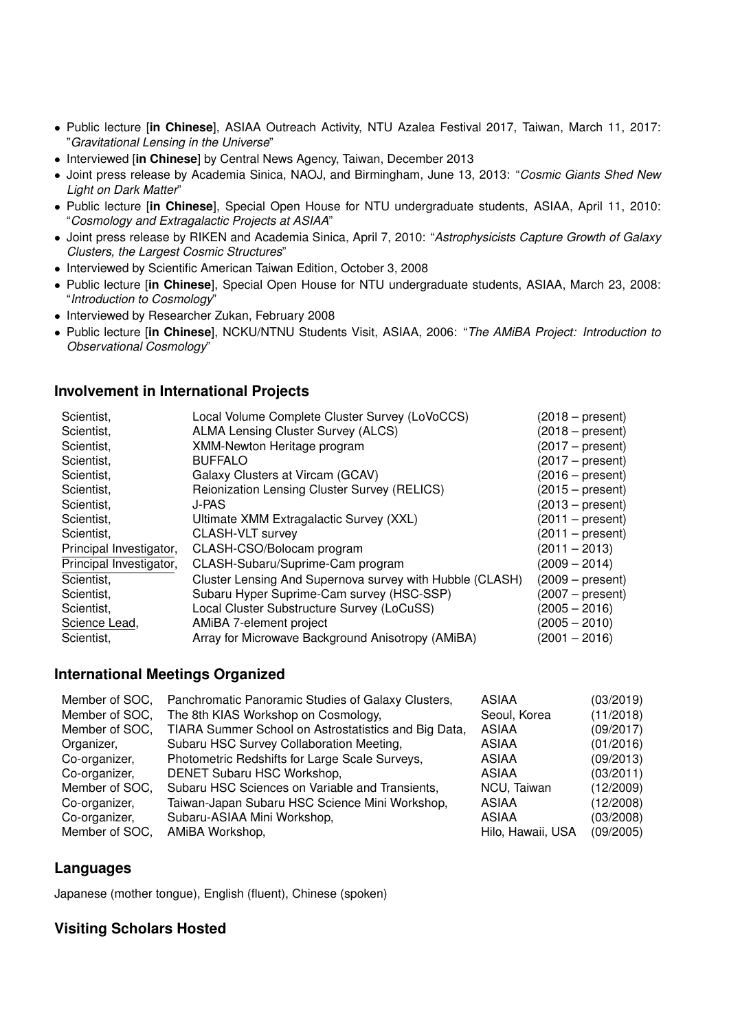- *•* Public lecture [**in Chinese**], ASIAA Outreach Activity, NTU Azalea Festival 2017, Taiwan, March 11, 2017: "*Gravitational Lensing in the Universe*"
- *•* Interviewed [**in Chinese**] by Central News Agency, Taiwan, December 2013
- *•* Joint press release by Academia Sinica, NAOJ, and Birmingham, June 13, 2013: "*Cosmic Giants Shed New Light on Dark Matter*"
- *•* Public lecture [**in Chinese**], Special Open House for NTU undergraduate students, ASIAA, April 11, 2010: "*Cosmology and Extragalactic Projects at ASIAA*"
- *•* Joint press release by RIKEN and Academia Sinica, April 7, 2010: "*Astrophysicists Capture Growth of Galaxy Clusters, the Largest Cosmic Structures*"
- *•* Interviewed by Scientific American Taiwan Edition, October 3, 2008
- *•* Public lecture [**in Chinese**], Special Open House for NTU undergraduate students, ASIAA, March 23, 2008: "*Introduction to Cosmology*"
- *•* Interviewed by Researcher Zukan, February 2008
- *•* Public lecture [**in Chinese**], NCKU/NTNU Students Visit, ASIAA, 2006: "*The AMiBA Project: Introduction to Observational Cosmology*"

#### **Involvement in International Projects**

| Scientist,              | Local Volume Complete Cluster Survey (LoVoCCS)           | $(2018 - present)$ |
|-------------------------|----------------------------------------------------------|--------------------|
| Scientist,              | <b>ALMA Lensing Cluster Survey (ALCS)</b>                | $(2018 - present)$ |
| Scientist,              | XMM-Newton Heritage program                              | $(2017 - present)$ |
| Scientist.              | <b>BUFFALO</b>                                           | $(2017 - present)$ |
| Scientist,              | Galaxy Clusters at Vircam (GCAV)                         | $(2016 - present)$ |
| Scientist,              | Reionization Lensing Cluster Survey (RELICS)             | $(2015 - present)$ |
| Scientist,              | J-PAS                                                    | $(2013 - present)$ |
| Scientist,              | Ultimate XMM Extragalactic Survey (XXL)                  | $(2011 - present)$ |
| Scientist,              | CLASH-VLT survey                                         | $(2011 - present)$ |
| Principal Investigator, | CLASH-CSO/Bolocam program                                | $(2011 - 2013)$    |
| Principal Investigator, | CLASH-Subaru/Suprime-Cam program                         | $(2009 - 2014)$    |
| Scientist.              | Cluster Lensing And Supernova survey with Hubble (CLASH) | $(2009 - present)$ |
| Scientist,              | Subaru Hyper Suprime-Cam survey (HSC-SSP)                | $(2007 - present)$ |
| Scientist,              | Local Cluster Substructure Survey (LoCuSS)               | $(2005 - 2016)$    |
| Science Lead,           | AMiBA 7-element project                                  | $(2005 - 2010)$    |
| Scientist,              | Array for Microwave Background Anisotropy (AMiBA)        | (2001 – 2016)      |

#### **International Meetings Organized**

| Member of SOC, | Panchromatic Panoramic Studies of Galaxy Clusters,   | ASIAA             | (03/2019) |
|----------------|------------------------------------------------------|-------------------|-----------|
| Member of SOC, | The 8th KIAS Workshop on Cosmology,                  | Seoul, Korea      | (11/2018) |
| Member of SOC, | TIARA Summer School on Astrostatistics and Big Data, | <b>ASIAA</b>      | (09/2017) |
| Organizer,     | Subaru HSC Survey Collaboration Meeting,             | ASIAA             | (01/2016) |
| Co-organizer,  | Photometric Redshifts for Large Scale Surveys,       | ASIAA             | (09/2013) |
| Co-organizer,  | DENET Subaru HSC Workshop,                           | ASIAA             | (03/2011) |
| Member of SOC, | Subaru HSC Sciences on Variable and Transients,      | NCU, Taiwan       | (12/2009) |
| Co-organizer,  | Taiwan-Japan Subaru HSC Science Mini Workshop,       | <b>ASIAA</b>      | (12/2008) |
| Co-organizer,  | Subaru-ASIAA Mini Workshop,                          | ASIAA             | (03/2008) |
| Member of SOC, | AMiBA Workshop,                                      | Hilo, Hawaii, USA | (09/2005) |

#### **Languages**

Japanese (mother tongue), English (fluent), Chinese (spoken)

#### **Visiting Scholars Hosted**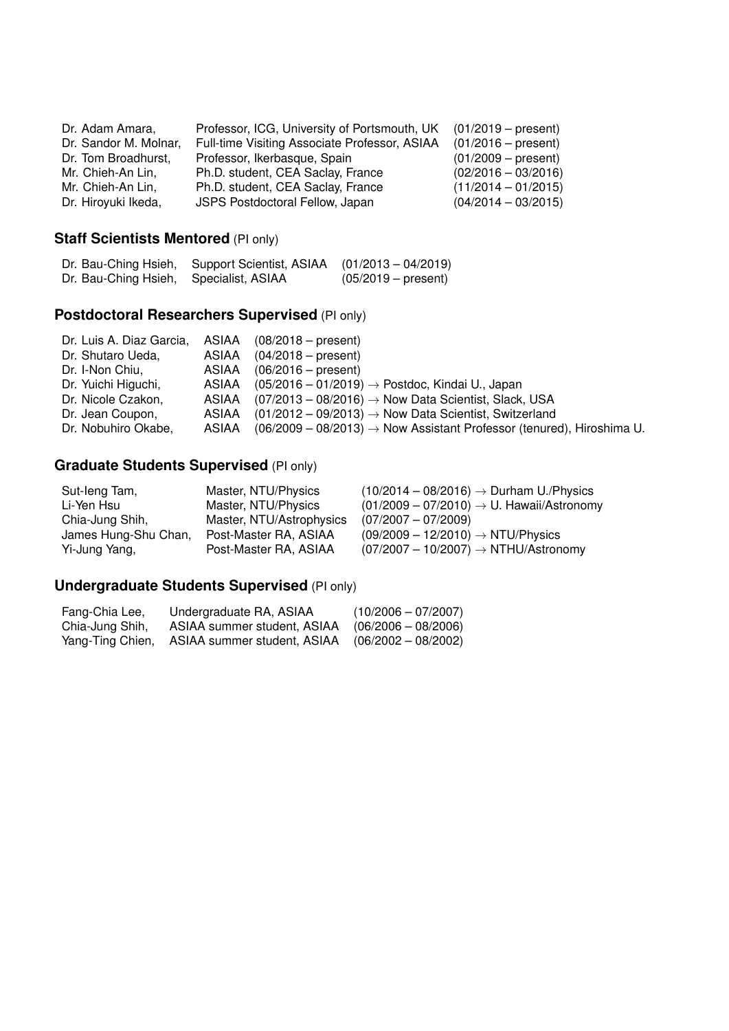| Dr. Adam Amara,       | Professor, ICG, University of Portsmouth, UK  | $(01/2019 - present)$ |
|-----------------------|-----------------------------------------------|-----------------------|
| Dr. Sandor M. Molnar, | Full-time Visiting Associate Professor, ASIAA | $(01/2016 - present)$ |
| Dr. Tom Broadhurst,   | Professor, Ikerbasque, Spain                  | $(01/2009 - present)$ |
| Mr. Chieh-An Lin,     | Ph.D. student, CEA Saclay, France             | $(02/2016 - 03/2016)$ |
| Mr. Chieh-An Lin,     | Ph.D. student, CEA Saclay, France             | $(11/2014 - 01/2015)$ |
| Dr. Hiroyuki Ikeda,   | JSPS Postdoctoral Fellow, Japan               | $(04/2014 - 03/2015)$ |

## **Staff Scientists Mentored** (PI only)

|                                        | Dr. Bau-Ching Hsieh, Support Scientist, ASIAA (01/2013 - 04/2019) |                       |
|----------------------------------------|-------------------------------------------------------------------|-----------------------|
| Dr. Bau-Ching Hsieh, Specialist, ASIAA |                                                                   | $(05/2019 - present)$ |

## **Postdoctoral Researchers Supervised** (PI only)

| Dr. Luis A. Diaz Garcia, |       | $ASIAA$ $(08/2018 - present)$                                                           |
|--------------------------|-------|-----------------------------------------------------------------------------------------|
| Dr. Shutaro Ueda,        |       | $ASIAA$ $(04/2018 - present)$                                                           |
| Dr. I-Non Chiu,          |       | $ASIAA$ $(06/2016 - present)$                                                           |
| Dr. Yuichi Higuchi,      |       | ASIAA $(05/2016 - 01/2019) \rightarrow$ Postdoc, Kindai U., Japan                       |
| Dr. Nicole Czakon,       |       | ASIAA $(07/2013 - 08/2016) \rightarrow$ Now Data Scientist, Slack, USA                  |
| Dr. Jean Coupon,         | ASIAA | $(01/2012 - 09/2013) \rightarrow$ Now Data Scientist, Switzerland                       |
| Dr. Nobuhiro Okabe,      |       | ASIAA $(06/2009 - 08/2013) \rightarrow$ Now Assistant Professor (tenured), Hiroshima U. |
|                          |       |                                                                                         |

## **Graduate Students Supervised** (PI only)

| Sut-leng Tam,        | Master, NTU/Physics      | $(10/2014 - 08/2016) \rightarrow$ Durham U./Physics    |
|----------------------|--------------------------|--------------------------------------------------------|
| Li-Yen Hsu           | Master, NTU/Physics      | $(01/2009 - 07/2010) \rightarrow U$ . Hawaii/Astronomy |
| Chia-Jung Shih,      | Master, NTU/Astrophysics | $(07/2007 - 07/2009)$                                  |
| James Hung-Shu Chan, | Post-Master RA, ASIAA    | $(09/2009 - 12/2010) \rightarrow NTU/Physics$          |
| Yi-Jung Yang,        | Post-Master RA, ASIAA    | $(07/2007 - 10/2007) \rightarrow NTHU/Astronomy$       |

## **Undergraduate Students Supervised** (PI only)

| Fang-Chia Lee,   | Undergraduate RA, ASIAA                         | $(10/2006 - 07/2007)$ |
|------------------|-------------------------------------------------|-----------------------|
| Chia-Jung Shih,  | ASIAA summer student, ASIAA (06/2006 – 08/2006) |                       |
| Yang-Ting Chien, | ASIAA summer student, ASIAA (06/2002 – 08/2002) |                       |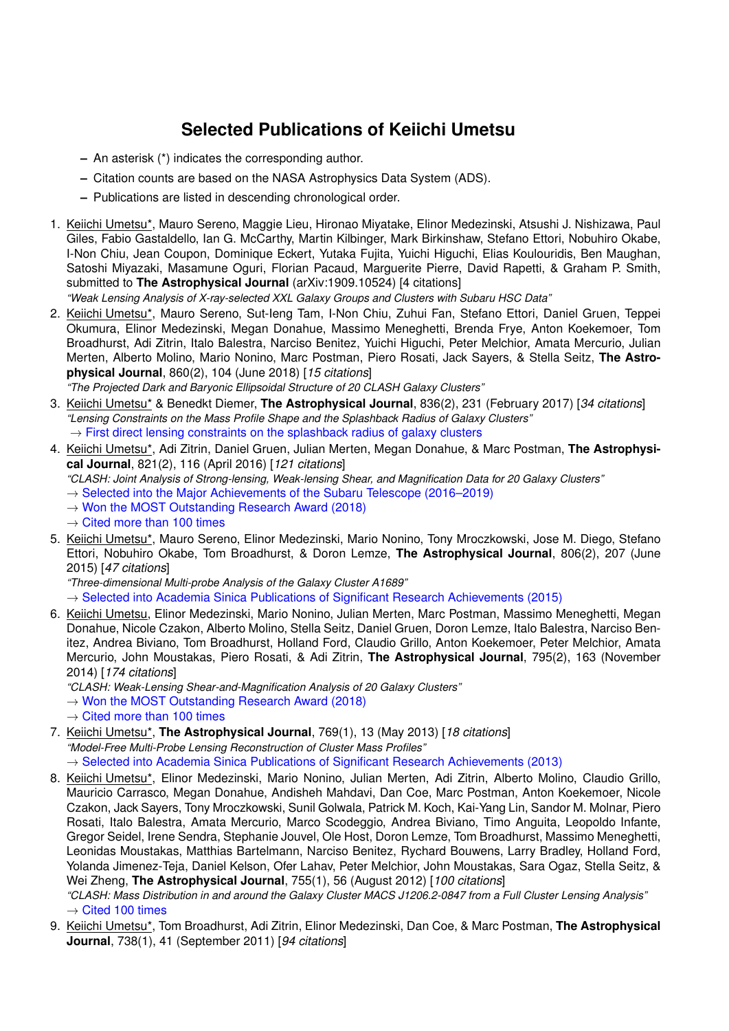## **Selected Publications of Keiichi Umetsu**

- **–** An asterisk (\*) indicates the corresponding author.
- **–** Citation counts are based on the NASA Astrophysics Data System (ADS).
- **–** Publications are listed in descending chronological order.
- 1. Keiichi Umetsu\*, Mauro Sereno, Maggie Lieu, Hironao Miyatake, Elinor Medezinski, Atsushi J. Nishizawa, Paul Giles, Fabio Gastaldello, Ian G. McCarthy, Martin Kilbinger, Mark Birkinshaw, Stefano Ettori, Nobuhiro Okabe, I-Non Chiu, Jean Coupon, Dominique Eckert, Yutaka Fujita, Yuichi Higuchi, Elias Koulouridis, Ben Maughan, Satoshi Miyazaki, Masamune Oguri, Florian Pacaud, Marguerite Pierre, David Rapetti, & Graham P. Smith, submitted to **The Astrophysical Journal** (arXiv:1909.10524) [4 citations]

*"Weak Lensing Analysis of X-ray-selected XXL Galaxy Groups and Clusters with Subaru HSC Data"*

2. Keiichi Umetsu\*, Mauro Sereno, Sut-Ieng Tam, I-Non Chiu, Zuhui Fan, Stefano Ettori, Daniel Gruen, Teppei Okumura, Elinor Medezinski, Megan Donahue, Massimo Meneghetti, Brenda Frye, Anton Koekemoer, Tom Broadhurst, Adi Zitrin, Italo Balestra, Narciso Benitez, Yuichi Higuchi, Peter Melchior, Amata Mercurio, Julian Merten, Alberto Molino, Mario Nonino, Marc Postman, Piero Rosati, Jack Sayers, & Stella Seitz, **The Astrophysical Journal**, 860(2), 104 (June 2018) [*15 citations*]

*"The Projected Dark and Baryonic Ellipsoidal Structure of 20 CLASH Galaxy Clusters"*

- 3. Keiichi Umetsu\* & Benedkt Diemer, **The Astrophysical Journal**, 836(2), 231 (February 2017) [*34 citations*] *"Lensing Constraints on the Mass Profile Shape and the Splashback Radius of Galaxy Clusters" →* First direct lensing constraints on the splashback radius of galaxy clusters
- 4. Keiichi Umetsu\*, Adi Zitrin, Daniel Gruen, Julian Merten, Megan Donahue, & Marc Postman, **The Astrophysical Journal**, 821(2), 116 (April 2016) [*121 citations*]

*"CLASH: Joint Analysis of Strong-lensing, Weak-lensing Shear, and Magnification Data for 20 Galaxy Clusters"*

- *→* Selected into the Major Achievements of the Subaru Telescope (2016–2019)
- *→* Won the MOST Outstanding Research Award (2018)
- *→* Cited more than 100 times
- 5. Keiichi Umetsu\*, Mauro Sereno, Elinor Medezinski, Mario Nonino, Tony Mroczkowski, Jose M. Diego, Stefano Ettori, Nobuhiro Okabe, Tom Broadhurst, & Doron Lemze, **The Astrophysical Journal**, 806(2), 207 (June 2015) [*47 citations*]

*"Three-dimensional Multi-probe Analysis of the Galaxy Cluster A1689"*

*→* Selected into Academia Sinica Publications of Significant Research Achievements (2015)

6. Keiichi Umetsu, Elinor Medezinski, Mario Nonino, Julian Merten, Marc Postman, Massimo Meneghetti, Megan Donahue, Nicole Czakon, Alberto Molino, Stella Seitz, Daniel Gruen, Doron Lemze, Italo Balestra, Narciso Benitez, Andrea Biviano, Tom Broadhurst, Holland Ford, Claudio Grillo, Anton Koekemoer, Peter Melchior, Amata Mercurio, John Moustakas, Piero Rosati, & Adi Zitrin, **The Astrophysical Journal**, 795(2), 163 (November 2014) [*174 citations*]

*"CLASH: Weak-Lensing Shear-and-Magnification Analysis of 20 Galaxy Clusters"*

- *→* Won the MOST Outstanding Research Award (2018)
- *→* Cited more than 100 times
- 7. Keiichi Umetsu\*, **The Astrophysical Journal**, 769(1), 13 (May 2013) [*18 citations*] *"Model-Free Multi-Probe Lensing Reconstruction of Cluster Mass Profiles" →* Selected into Academia Sinica Publications of Significant Research Achievements (2013)
- 8. Keiichi Umetsu\*, Elinor Medezinski, Mario Nonino, Julian Merten, Adi Zitrin, Alberto Molino, Claudio Grillo, Mauricio Carrasco, Megan Donahue, Andisheh Mahdavi, Dan Coe, Marc Postman, Anton Koekemoer, Nicole Czakon, Jack Sayers, Tony Mroczkowski, Sunil Golwala, Patrick M. Koch, Kai-Yang Lin, Sandor M. Molnar, Piero Rosati, Italo Balestra, Amata Mercurio, Marco Scodeggio, Andrea Biviano, Timo Anguita, Leopoldo Infante, Gregor Seidel, Irene Sendra, Stephanie Jouvel, Ole Host, Doron Lemze, Tom Broadhurst, Massimo Meneghetti, Leonidas Moustakas, Matthias Bartelmann, Narciso Benitez, Rychard Bouwens, Larry Bradley, Holland Ford, Yolanda Jimenez-Teja, Daniel Kelson, Ofer Lahav, Peter Melchior, John Moustakas, Sara Ogaz, Stella Seitz, & Wei Zheng, **The Astrophysical Journal**, 755(1), 56 (August 2012) [*100 citations*] *"CLASH: Mass Distribution in and around the Galaxy Cluster MACS J1206.2-0847 from a Full Cluster Lensing Analysis" →* Cited 100 times
- 9. Keiichi Umetsu\*, Tom Broadhurst, Adi Zitrin, Elinor Medezinski, Dan Coe, & Marc Postman, **The Astrophysical Journal**, 738(1), 41 (September 2011) [*94 citations*]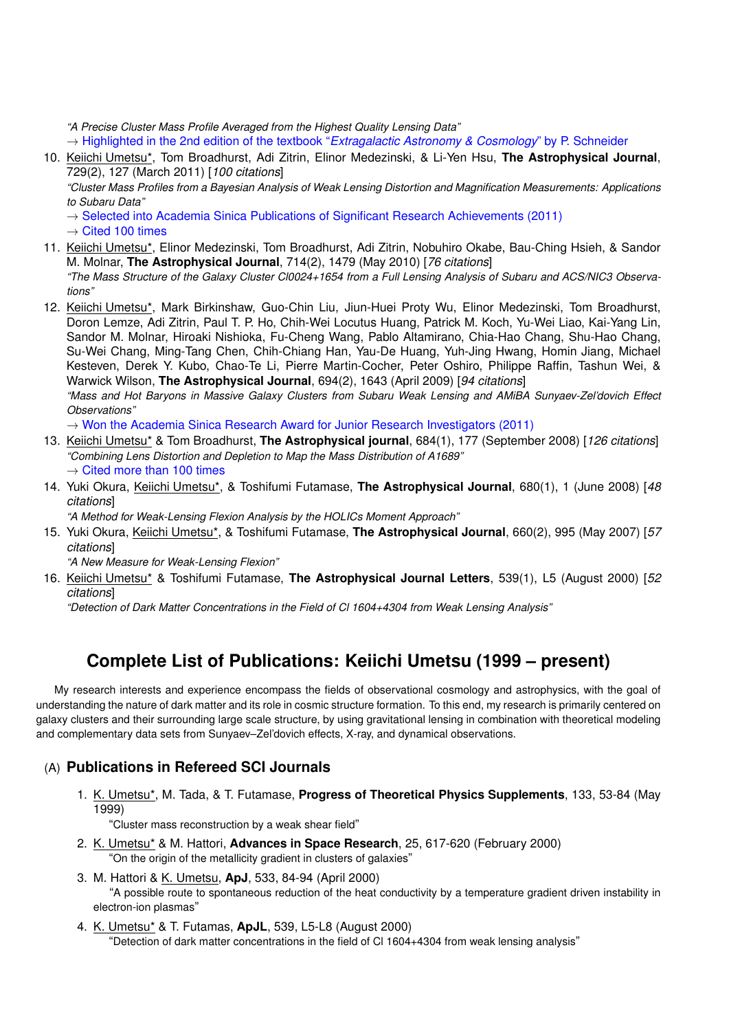*"A Precise Cluster Mass Profile Averaged from the Highest Quality Lensing Data"*

*→* Highlighted in the 2nd edition of the textbook "*Extragalactic Astronomy & Cosmology*" by P. Schneider

10. Keiichi Umetsu\*, Tom Broadhurst, Adi Zitrin, Elinor Medezinski, & Li-Yen Hsu, **The Astrophysical Journal**, 729(2), 127 (March 2011) [*100 citations*]

*"Cluster Mass Profiles from a Bayesian Analysis of Weak Lensing Distortion and Magnification Measurements: Applications to Subaru Data"*

- *→* Selected into Academia Sinica Publications of Significant Research Achievements (2011)
- *→* Cited 100 times
- 11. Keiichi Umetsu\*, Elinor Medezinski, Tom Broadhurst, Adi Zitrin, Nobuhiro Okabe, Bau-Ching Hsieh, & Sandor M. Molnar, **The Astrophysical Journal**, 714(2), 1479 (May 2010) [*76 citations*] *"The Mass Structure of the Galaxy Cluster Cl0024+1654 from a Full Lensing Analysis of Subaru and ACS/NIC3 Observations"*

12. Keiichi Umetsu\*, Mark Birkinshaw, Guo-Chin Liu, Jiun-Huei Proty Wu, Elinor Medezinski, Tom Broadhurst, Doron Lemze, Adi Zitrin, Paul T. P. Ho, Chih-Wei Locutus Huang, Patrick M. Koch, Yu-Wei Liao, Kai-Yang Lin, Sandor M. Molnar, Hiroaki Nishioka, Fu-Cheng Wang, Pablo Altamirano, Chia-Hao Chang, Shu-Hao Chang, Su-Wei Chang, Ming-Tang Chen, Chih-Chiang Han, Yau-De Huang, Yuh-Jing Hwang, Homin Jiang, Michael Kesteven, Derek Y. Kubo, Chao-Te Li, Pierre Martin-Cocher, Peter Oshiro, Philippe Raffin, Tashun Wei, & Warwick Wilson, **The Astrophysical Journal**, 694(2), 1643 (April 2009) [*94 citations*] *"Mass and Hot Baryons in Massive Galaxy Clusters from Subaru Weak Lensing and AMiBA Sunyaev-Zel'dovich Effect Observations"*

*→* Won the Academia Sinica Research Award for Junior Research Investigators (2011)

- 13. Keiichi Umetsu\* & Tom Broadhurst, **The Astrophysical journal**, 684(1), 177 (September 2008) [*126 citations*] *"Combining Lens Distortion and Depletion to Map the Mass Distribution of A1689" →* Cited more than 100 times
- 14. Yuki Okura, Keiichi Umetsu\*, & Toshifumi Futamase, **The Astrophysical Journal**, 680(1), 1 (June 2008) [*48 citations*]

*"A Method for Weak-Lensing Flexion Analysis by the HOLICs Moment Approach"*

15. Yuki Okura, Keiichi Umetsu\*, & Toshifumi Futamase, **The Astrophysical Journal**, 660(2), 995 (May 2007) [*57 citations*]

*"A New Measure for Weak-Lensing Flexion"*

16. Keiichi Umetsu\* & Toshifumi Futamase, **The Astrophysical Journal Letters**, 539(1), L5 (August 2000) [*52 citations*]

*"Detection of Dark Matter Concentrations in the Field of Cl 1604+4304 from Weak Lensing Analysis"*

## **Complete List of Publications: Keiichi Umetsu (1999 – present)**

My research interests and experience encompass the fields of observational cosmology and astrophysics, with the goal of understanding the nature of dark matter and its role in cosmic structure formation. To this end, my research is primarily centered on galaxy clusters and their surrounding large scale structure, by using gravitational lensing in combination with theoretical modeling and complementary data sets from Sunyaev–Zel'dovich effects, X-ray, and dynamical observations.

#### (A) **Publications in Refereed SCI Journals**

1. K. Umetsu\*, M. Tada, & T. Futamase, **Progress of Theoretical Physics Supplements**, 133, 53-84 (May 1999)

"Cluster mass reconstruction by a weak shear field"

- 2. K. Umetsu\* & M. Hattori, **Advances in Space Research**, 25, 617-620 (February 2000) "On the origin of the metallicity gradient in clusters of galaxies"
- 3. M. Hattori & K. Umetsu, **ApJ**, 533, 84-94 (April 2000) "A possible route to spontaneous reduction of the heat conductivity by a temperature gradient driven instability in electron-ion plasmas"
- 4. K. Umetsu\* & T. Futamas, **ApJL**, 539, L5-L8 (August 2000) "Detection of dark matter concentrations in the field of Cl 1604+4304 from weak lensing analysis"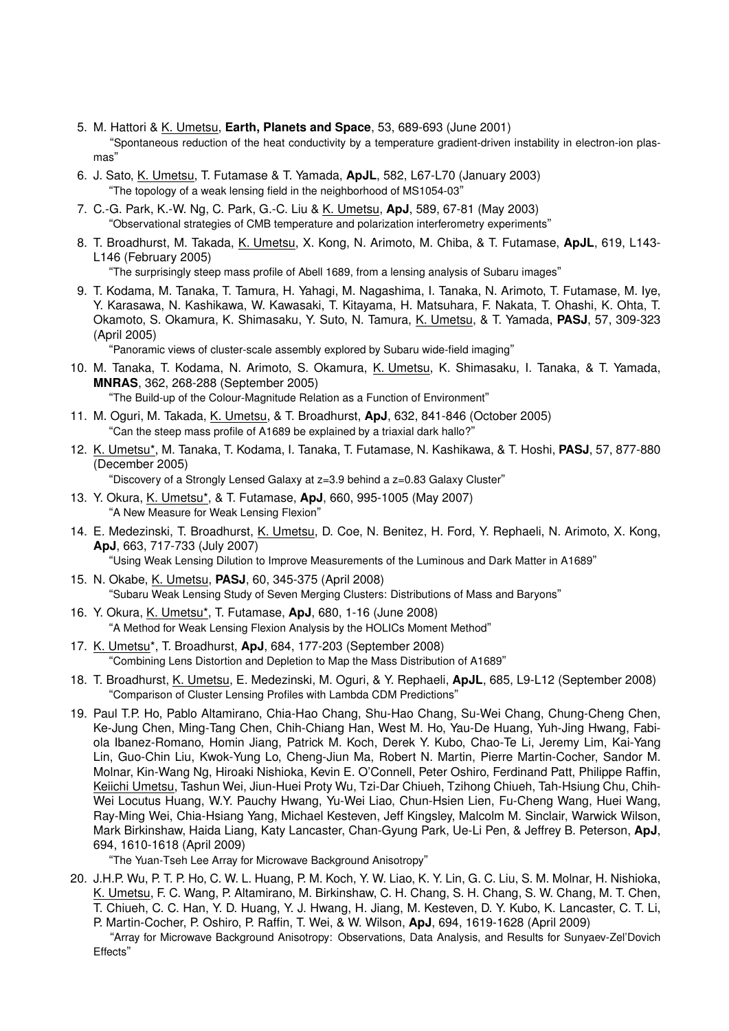- 5. M. Hattori & K. Umetsu, **Earth, Planets and Space**, 53, 689-693 (June 2001) "Spontaneous reduction of the heat conductivity by a temperature gradient-driven instability in electron-ion plasmas"
- 6. J. Sato, K. Umetsu, T. Futamase & T. Yamada, **ApJL**, 582, L67-L70 (January 2003) "The topology of a weak lensing field in the neighborhood of MS1054-03"
- 7. C.-G. Park, K.-W. Ng, C. Park, G.-C. Liu & K. Umetsu, **ApJ**, 589, 67-81 (May 2003) "Observational strategies of CMB temperature and polarization interferometry experiments"
- 8. T. Broadhurst, M. Takada, K. Umetsu, X. Kong, N. Arimoto, M. Chiba, & T. Futamase, **ApJL**, 619, L143- L146 (February 2005)

"The surprisingly steep mass profile of Abell 1689, from a lensing analysis of Subaru images"

9. T. Kodama, M. Tanaka, T. Tamura, H. Yahagi, M. Nagashima, I. Tanaka, N. Arimoto, T. Futamase, M. Iye, Y. Karasawa, N. Kashikawa, W. Kawasaki, T. Kitayama, H. Matsuhara, F. Nakata, T. Ohashi, K. Ohta, T. Okamoto, S. Okamura, K. Shimasaku, Y. Suto, N. Tamura, K. Umetsu, & T. Yamada, **PASJ**, 57, 309-323 (April 2005)

"Panoramic views of cluster-scale assembly explored by Subaru wide-field imaging"

- 10. M. Tanaka, T. Kodama, N. Arimoto, S. Okamura, K. Umetsu, K. Shimasaku, I. Tanaka, & T. Yamada, **MNRAS**, 362, 268-288 (September 2005) "The Build-up of the Colour-Magnitude Relation as a Function of Environment"
- 11. M. Oguri, M. Takada, K. Umetsu, & T. Broadhurst, **ApJ**, 632, 841-846 (October 2005) "Can the steep mass profile of A1689 be explained by a triaxial dark hallo?"
- 12. K. Umetsu\*, M. Tanaka, T. Kodama, I. Tanaka, T. Futamase, N. Kashikawa, & T. Hoshi, **PASJ**, 57, 877-880 (December 2005)

"Discovery of a Strongly Lensed Galaxy at z=3.9 behind a z=0.83 Galaxy Cluster"

- 13. Y. Okura, K. Umetsu\*, & T. Futamase, **ApJ**, 660, 995-1005 (May 2007) "A New Measure for Weak Lensing Flexion"
- 14. E. Medezinski, T. Broadhurst, K. Umetsu, D. Coe, N. Benitez, H. Ford, Y. Rephaeli, N. Arimoto, X. Kong, **ApJ**, 663, 717-733 (July 2007) "Using Weak Lensing Dilution to Improve Measurements of the Luminous and Dark Matter in A1689"
- 15. N. Okabe, K. Umetsu, **PASJ**, 60, 345-375 (April 2008) "Subaru Weak Lensing Study of Seven Merging Clusters: Distributions of Mass and Baryons"
- 16. Y. Okura, K. Umetsu\*, T. Futamase, **ApJ**, 680, 1-16 (June 2008) "A Method for Weak Lensing Flexion Analysis by the HOLICs Moment Method"
- 17. K. Umetsu\*, T. Broadhurst, **ApJ**, 684, 177-203 (September 2008) "Combining Lens Distortion and Depletion to Map the Mass Distribution of A1689"
- 18. T. Broadhurst, K. Umetsu, E. Medezinski, M. Oguri, & Y. Rephaeli, **ApJL**, 685, L9-L12 (September 2008) "Comparison of Cluster Lensing Profiles with Lambda CDM Predictions"
- 19. Paul T.P. Ho, Pablo Altamirano, Chia-Hao Chang, Shu-Hao Chang, Su-Wei Chang, Chung-Cheng Chen, Ke-Jung Chen, Ming-Tang Chen, Chih-Chiang Han, West M. Ho, Yau-De Huang, Yuh-Jing Hwang, Fabiola Ibanez-Romano, Homin Jiang, Patrick M. Koch, Derek Y. Kubo, Chao-Te Li, Jeremy Lim, Kai-Yang Lin, Guo-Chin Liu, Kwok-Yung Lo, Cheng-Jiun Ma, Robert N. Martin, Pierre Martin-Cocher, Sandor M. Molnar, Kin-Wang Ng, Hiroaki Nishioka, Kevin E. O'Connell, Peter Oshiro, Ferdinand Patt, Philippe Raffin, Keiichi Umetsu, Tashun Wei, Jiun-Huei Proty Wu, Tzi-Dar Chiueh, Tzihong Chiueh, Tah-Hsiung Chu, Chih-Wei Locutus Huang, W.Y. Pauchy Hwang, Yu-Wei Liao, Chun-Hsien Lien, Fu-Cheng Wang, Huei Wang, Ray-Ming Wei, Chia-Hsiang Yang, Michael Kesteven, Jeff Kingsley, Malcolm M. Sinclair, Warwick Wilson, Mark Birkinshaw, Haida Liang, Katy Lancaster, Chan-Gyung Park, Ue-Li Pen, & Jeffrey B. Peterson, **ApJ**, 694, 1610-1618 (April 2009)

"The Yuan-Tseh Lee Array for Microwave Background Anisotropy"

- 20. J.H.P. Wu, P. T. P. Ho, C. W. L. Huang, P. M. Koch, Y. W. Liao, K. Y. Lin, G. C. Liu, S. M. Molnar, H. Nishioka, K. Umetsu, F. C. Wang, P. Altamirano, M. Birkinshaw, C. H. Chang, S. H. Chang, S. W. Chang, M. T. Chen, T. Chiueh, C. C. Han, Y. D. Huang, Y. J. Hwang, H. Jiang, M. Kesteven, D. Y. Kubo, K. Lancaster, C. T. Li, P. Martin-Cocher, P. Oshiro, P. Raffin, T. Wei, & W. Wilson, **ApJ**, 694, 1619-1628 (April 2009)
	- "Array for Microwave Background Anisotropy: Observations, Data Analysis, and Results for Sunyaev-Zel'Dovich Effects"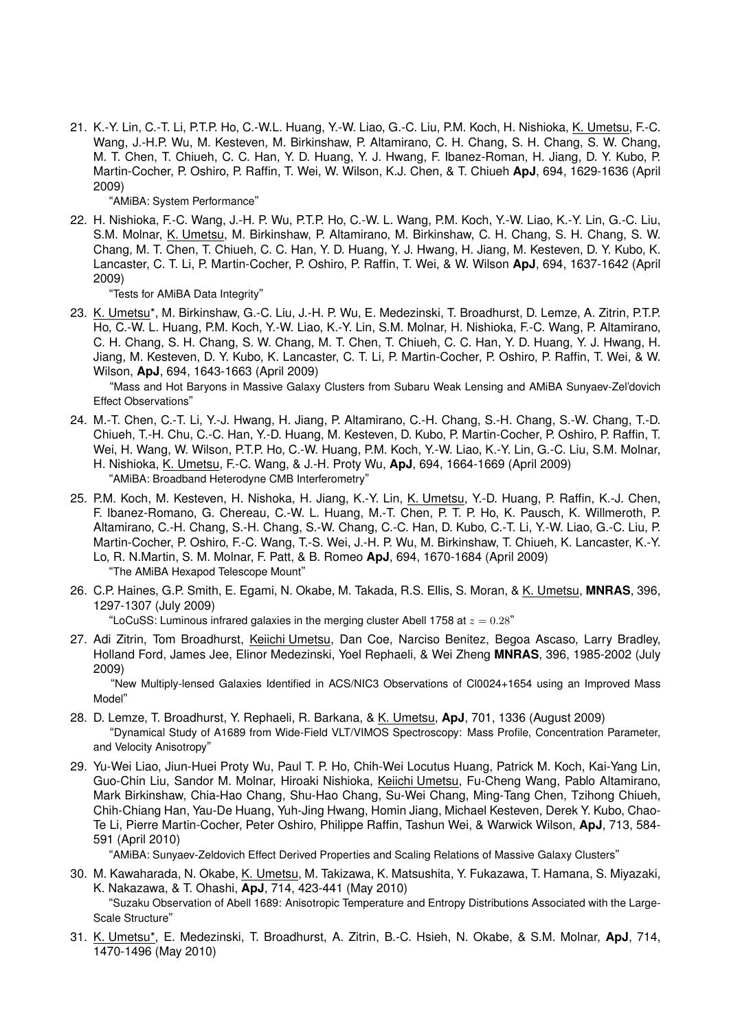21. K.-Y. Lin, C.-T. Li, P.T.P. Ho, C.-W.L. Huang, Y.-W. Liao, G.-C. Liu, P.M. Koch, H. Nishioka, K. Umetsu, F.-C. Wang, J.-H.P. Wu, M. Kesteven, M. Birkinshaw, P. Altamirano, C. H. Chang, S. H. Chang, S. W. Chang, M. T. Chen, T. Chiueh, C. C. Han, Y. D. Huang, Y. J. Hwang, F. Ibanez-Roman, H. Jiang, D. Y. Kubo, P. Martin-Cocher, P. Oshiro, P. Raffin, T. Wei, W. Wilson, K.J. Chen, & T. Chiueh **ApJ**, 694, 1629-1636 (April 2009)

"AMiBA: System Performance"

22. H. Nishioka, F.-C. Wang, J.-H. P. Wu, P.T.P. Ho, C.-W. L. Wang, P.M. Koch, Y.-W. Liao, K.-Y. Lin, G.-C. Liu, S.M. Molnar, K. Umetsu, M. Birkinshaw, P. Altamirano, M. Birkinshaw, C. H. Chang, S. H. Chang, S. W. Chang, M. T. Chen, T. Chiueh, C. C. Han, Y. D. Huang, Y. J. Hwang, H. Jiang, M. Kesteven, D. Y. Kubo, K. Lancaster, C. T. Li, P. Martin-Cocher, P. Oshiro, P. Raffin, T. Wei, & W. Wilson **ApJ**, 694, 1637-1642 (April 2009)

"Tests for AMiBA Data Integrity"

23. K. Umetsu\*, M. Birkinshaw, G.-C. Liu, J.-H. P. Wu, E. Medezinski, T. Broadhurst, D. Lemze, A. Zitrin, P.T.P. Ho, C.-W. L. Huang, P.M. Koch, Y.-W. Liao, K.-Y. Lin, S.M. Molnar, H. Nishioka, F.-C. Wang, P. Altamirano, C. H. Chang, S. H. Chang, S. W. Chang, M. T. Chen, T. Chiueh, C. C. Han, Y. D. Huang, Y. J. Hwang, H. Jiang, M. Kesteven, D. Y. Kubo, K. Lancaster, C. T. Li, P. Martin-Cocher, P. Oshiro, P. Raffin, T. Wei, & W. Wilson, **ApJ**, 694, 1643-1663 (April 2009)

"Mass and Hot Baryons in Massive Galaxy Clusters from Subaru Weak Lensing and AMiBA Sunyaev-Zel'dovich Effect Observations"

- 24. M.-T. Chen, C.-T. Li, Y.-J. Hwang, H. Jiang, P. Altamirano, C.-H. Chang, S.-H. Chang, S.-W. Chang, T.-D. Chiueh, T.-H. Chu, C.-C. Han, Y.-D. Huang, M. Kesteven, D. Kubo, P. Martin-Cocher, P. Oshiro, P. Raffin, T. Wei, H. Wang, W. Wilson, P.T.P. Ho, C.-W. Huang, P.M. Koch, Y.-W. Liao, K.-Y. Lin, G.-C. Liu, S.M. Molnar, H. Nishioka, K. Umetsu, F.-C. Wang, & J.-H. Proty Wu, **ApJ**, 694, 1664-1669 (April 2009) "AMiBA: Broadband Heterodyne CMB Interferometry"
- 25. P.M. Koch, M. Kesteven, H. Nishoka, H. Jiang, K.-Y. Lin, K. Umetsu, Y.-D. Huang, P. Raffin, K.-J. Chen, F. Ibanez-Romano, G. Chereau, C.-W. L. Huang, M.-T. Chen, P. T. P. Ho, K. Pausch, K. Willmeroth, P. Altamirano, C.-H. Chang, S.-H. Chang, S.-W. Chang, C.-C. Han, D. Kubo, C.-T. Li, Y.-W. Liao, G.-C. Liu, P. Martin-Cocher, P. Oshiro, F.-C. Wang, T.-S. Wei, J.-H. P. Wu, M. Birkinshaw, T. Chiueh, K. Lancaster, K.-Y. Lo, R. N.Martin, S. M. Molnar, F. Patt, & B. Romeo **ApJ**, 694, 1670-1684 (April 2009) "The AMiBA Hexapod Telescope Mount"
- 26. C.P. Haines, G.P. Smith, E. Egami, N. Okabe, M. Takada, R.S. Ellis, S. Moran, & K. Umetsu, **MNRAS**, 396, 1297-1307 (July 2009)

"LoCuSS: Luminous infrared galaxies in the merging cluster Abell 1758 at  $z = 0.28$ "

27. Adi Zitrin, Tom Broadhurst, Keiichi Umetsu, Dan Coe, Narciso Benitez, Begoa Ascaso, Larry Bradley, Holland Ford, James Jee, Elinor Medezinski, Yoel Rephaeli, & Wei Zheng **MNRAS**, 396, 1985-2002 (July 2009)

"New Multiply-lensed Galaxies Identified in ACS/NIC3 Observations of Cl0024+1654 using an Improved Mass Model"

- 28. D. Lemze, T. Broadhurst, Y. Rephaeli, R. Barkana, & K. Umetsu, **ApJ**, 701, 1336 (August 2009) "Dynamical Study of A1689 from Wide-Field VLT/VIMOS Spectroscopy: Mass Profile, Concentration Parameter, and Velocity Anisotropy"
- 29. Yu-Wei Liao, Jiun-Huei Proty Wu, Paul T. P. Ho, Chih-Wei Locutus Huang, Patrick M. Koch, Kai-Yang Lin, Guo-Chin Liu, Sandor M. Molnar, Hiroaki Nishioka, Keiichi Umetsu, Fu-Cheng Wang, Pablo Altamirano, Mark Birkinshaw, Chia-Hao Chang, Shu-Hao Chang, Su-Wei Chang, Ming-Tang Chen, Tzihong Chiueh, Chih-Chiang Han, Yau-De Huang, Yuh-Jing Hwang, Homin Jiang, Michael Kesteven, Derek Y. Kubo, Chao-Te Li, Pierre Martin-Cocher, Peter Oshiro, Philippe Raffin, Tashun Wei, & Warwick Wilson, **ApJ**, 713, 584- 591 (April 2010)

"AMiBA: Sunyaev-Zeldovich Effect Derived Properties and Scaling Relations of Massive Galaxy Clusters"

30. M. Kawaharada, N. Okabe, K. Umetsu, M. Takizawa, K. Matsushita, Y. Fukazawa, T. Hamana, S. Miyazaki, K. Nakazawa, & T. Ohashi, **ApJ**, 714, 423-441 (May 2010) "Suzaku Observation of Abell 1689: Anisotropic Temperature and Entropy Distributions Associated with the Large-

Scale Structure"

31. K. Umetsu\*, E. Medezinski, T. Broadhurst, A. Zitrin, B.-C. Hsieh, N. Okabe, & S.M. Molnar, **ApJ**, 714, 1470-1496 (May 2010)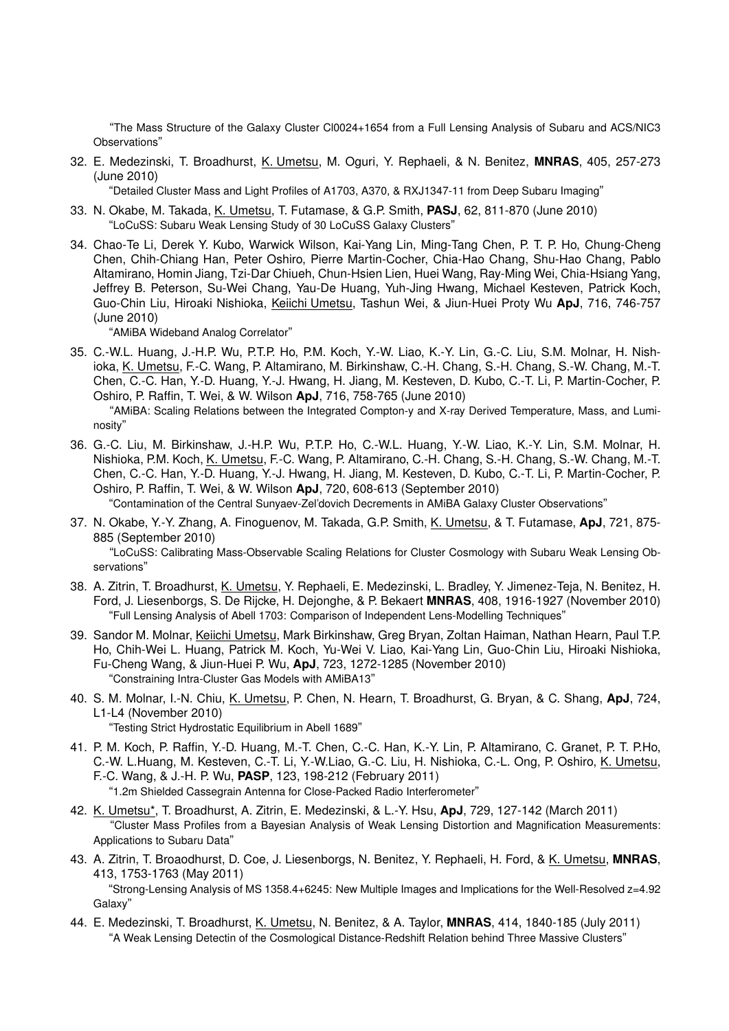"The Mass Structure of the Galaxy Cluster Cl0024+1654 from a Full Lensing Analysis of Subaru and ACS/NIC3 Observations"

32. E. Medezinski, T. Broadhurst, K. Umetsu, M. Oguri, Y. Rephaeli, & N. Benitez, **MNRAS**, 405, 257-273 (June 2010)

"Detailed Cluster Mass and Light Profiles of A1703, A370, & RXJ1347-11 from Deep Subaru Imaging"

- 33. N. Okabe, M. Takada, K. Umetsu, T. Futamase, & G.P. Smith, **PASJ**, 62, 811-870 (June 2010) "LoCuSS: Subaru Weak Lensing Study of 30 LoCuSS Galaxy Clusters"
- 34. Chao-Te Li, Derek Y. Kubo, Warwick Wilson, Kai-Yang Lin, Ming-Tang Chen, P. T. P. Ho, Chung-Cheng Chen, Chih-Chiang Han, Peter Oshiro, Pierre Martin-Cocher, Chia-Hao Chang, Shu-Hao Chang, Pablo Altamirano, Homin Jiang, Tzi-Dar Chiueh, Chun-Hsien Lien, Huei Wang, Ray-Ming Wei, Chia-Hsiang Yang, Jeffrey B. Peterson, Su-Wei Chang, Yau-De Huang, Yuh-Jing Hwang, Michael Kesteven, Patrick Koch, Guo-Chin Liu, Hiroaki Nishioka, Keiichi Umetsu, Tashun Wei, & Jiun-Huei Proty Wu **ApJ**, 716, 746-757 (June 2010)

"AMiBA Wideband Analog Correlator"

35. C.-W.L. Huang, J.-H.P. Wu, P.T.P. Ho, P.M. Koch, Y.-W. Liao, K.-Y. Lin, G.-C. Liu, S.M. Molnar, H. Nishioka, K. Umetsu, F.-C. Wang, P. Altamirano, M. Birkinshaw, C.-H. Chang, S.-H. Chang, S.-W. Chang, M.-T. Chen, C.-C. Han, Y.-D. Huang, Y.-J. Hwang, H. Jiang, M. Kesteven, D. Kubo, C.-T. Li, P. Martin-Cocher, P. Oshiro, P. Raffin, T. Wei, & W. Wilson **ApJ**, 716, 758-765 (June 2010)

"AMiBA: Scaling Relations between the Integrated Compton-y and X-ray Derived Temperature, Mass, and Luminosity"

36. G.-C. Liu, M. Birkinshaw, J.-H.P. Wu, P.T.P. Ho, C.-W.L. Huang, Y.-W. Liao, K.-Y. Lin, S.M. Molnar, H. Nishioka, P.M. Koch, K. Umetsu, F.-C. Wang, P. Altamirano, C.-H. Chang, S.-H. Chang, S.-W. Chang, M.-T. Chen, C.-C. Han, Y.-D. Huang, Y.-J. Hwang, H. Jiang, M. Kesteven, D. Kubo, C.-T. Li, P. Martin-Cocher, P. Oshiro, P. Raffin, T. Wei, & W. Wilson **ApJ**, 720, 608-613 (September 2010) "Contamination of the Central Sunyaev-Zel'dovich Decrements in AMiBA Galaxy Cluster Observations"

37. N. Okabe, Y.-Y. Zhang, A. Finoguenov, M. Takada, G.P. Smith, K. Umetsu, & T. Futamase, **ApJ**, 721, 875- 885 (September 2010)

"LoCuSS: Calibrating Mass-Observable Scaling Relations for Cluster Cosmology with Subaru Weak Lensing Observations"

- 38. A. Zitrin, T. Broadhurst, K. Umetsu, Y. Rephaeli, E. Medezinski, L. Bradley, Y. Jimenez-Teja, N. Benitez, H. Ford, J. Liesenborgs, S. De Rijcke, H. Dejonghe, & P. Bekaert **MNRAS**, 408, 1916-1927 (November 2010) "Full Lensing Analysis of Abell 1703: Comparison of Independent Lens-Modelling Techniques"
- 39. Sandor M. Molnar, Keiichi Umetsu, Mark Birkinshaw, Greg Bryan, Zoltan Haiman, Nathan Hearn, Paul T.P. Ho, Chih-Wei L. Huang, Patrick M. Koch, Yu-Wei V. Liao, Kai-Yang Lin, Guo-Chin Liu, Hiroaki Nishioka, Fu-Cheng Wang, & Jiun-Huei P. Wu, **ApJ**, 723, 1272-1285 (November 2010) "Constraining Intra-Cluster Gas Models with AMiBA13"
- 40. S. M. Molnar, I.-N. Chiu, K. Umetsu, P. Chen, N. Hearn, T. Broadhurst, G. Bryan, & C. Shang, **ApJ**, 724, L1-L4 (November 2010)
	- "Testing Strict Hydrostatic Equilibrium in Abell 1689"
- 41. P. M. Koch, P. Raffin, Y.-D. Huang, M.-T. Chen, C.-C. Han, K.-Y. Lin, P. Altamirano, C. Granet, P. T. P.Ho, C.-W. L.Huang, M. Kesteven, C.-T. Li, Y.-W.Liao, G.-C. Liu, H. Nishioka, C.-L. Ong, P. Oshiro, K. Umetsu, F.-C. Wang, & J.-H. P. Wu, **PASP**, 123, 198-212 (February 2011) "1.2m Shielded Cassegrain Antenna for Close-Packed Radio Interferometer"
- 42. K. Umetsu\*, T. Broadhurst, A. Zitrin, E. Medezinski, & L.-Y. Hsu, **ApJ**, 729, 127-142 (March 2011) "Cluster Mass Profiles from a Bayesian Analysis of Weak Lensing Distortion and Magnification Measurements: Applications to Subaru Data"
- 43. A. Zitrin, T. Broaodhurst, D. Coe, J. Liesenborgs, N. Benitez, Y. Rephaeli, H. Ford, & K. Umetsu, **MNRAS**, 413, 1753-1763 (May 2011)

"Strong-Lensing Analysis of MS 1358.4+6245: New Multiple Images and Implications for the Well-Resolved z=4.92 Galaxy"

44. E. Medezinski, T. Broadhurst, K. Umetsu, N. Benitez, & A. Taylor, **MNRAS**, 414, 1840-185 (July 2011) "A Weak Lensing Detectin of the Cosmological Distance-Redshift Relation behind Three Massive Clusters"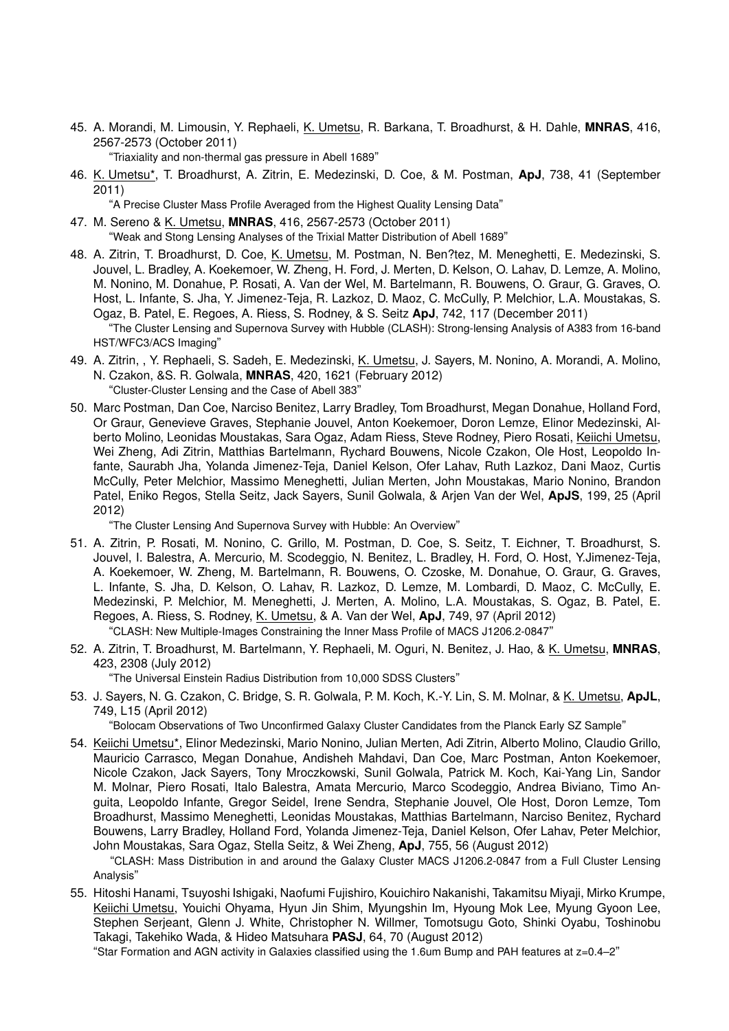45. A. Morandi, M. Limousin, Y. Rephaeli, K. Umetsu, R. Barkana, T. Broadhurst, & H. Dahle, **MNRAS**, 416, 2567-2573 (October 2011)

"Triaxiality and non-thermal gas pressure in Abell 1689"

46. K. Umetsu\*, T. Broadhurst, A. Zitrin, E. Medezinski, D. Coe, & M. Postman, **ApJ**, 738, 41 (September 2011)

"A Precise Cluster Mass Profile Averaged from the Highest Quality Lensing Data"

- 47. M. Sereno & K. Umetsu, **MNRAS**, 416, 2567-2573 (October 2011) "Weak and Stong Lensing Analyses of the Trixial Matter Distribution of Abell 1689"
- 48. A. Zitrin, T. Broadhurst, D. Coe, K. Umetsu, M. Postman, N. Ben?tez, M. Meneghetti, E. Medezinski, S. Jouvel, L. Bradley, A. Koekemoer, W. Zheng, H. Ford, J. Merten, D. Kelson, O. Lahav, D. Lemze, A. Molino, M. Nonino, M. Donahue, P. Rosati, A. Van der Wel, M. Bartelmann, R. Bouwens, O. Graur, G. Graves, O. Host, L. Infante, S. Jha, Y. Jimenez-Teja, R. Lazkoz, D. Maoz, C. McCully, P. Melchior, L.A. Moustakas, S. Ogaz, B. Patel, E. Regoes, A. Riess, S. Rodney, & S. Seitz **ApJ**, 742, 117 (December 2011) "The Cluster Lensing and Supernova Survey with Hubble (CLASH): Strong-lensing Analysis of A383 from 16-band HST/WFC3/ACS Imaging"
- 49. A. Zitrin, , Y. Rephaeli, S. Sadeh, E. Medezinski, K. Umetsu, J. Sayers, M. Nonino, A. Morandi, A. Molino, N. Czakon, &S. R. Golwala, **MNRAS**, 420, 1621 (February 2012) "Cluster-Cluster Lensing and the Case of Abell 383"
- 50. Marc Postman, Dan Coe, Narciso Benitez, Larry Bradley, Tom Broadhurst, Megan Donahue, Holland Ford, Or Graur, Genevieve Graves, Stephanie Jouvel, Anton Koekemoer, Doron Lemze, Elinor Medezinski, Alberto Molino, Leonidas Moustakas, Sara Ogaz, Adam Riess, Steve Rodney, Piero Rosati, Keiichi Umetsu, Wei Zheng, Adi Zitrin, Matthias Bartelmann, Rychard Bouwens, Nicole Czakon, Ole Host, Leopoldo Infante, Saurabh Jha, Yolanda Jimenez-Teja, Daniel Kelson, Ofer Lahav, Ruth Lazkoz, Dani Maoz, Curtis McCully, Peter Melchior, Massimo Meneghetti, Julian Merten, John Moustakas, Mario Nonino, Brandon Patel, Eniko Regos, Stella Seitz, Jack Sayers, Sunil Golwala, & Arjen Van der Wel, **ApJS**, 199, 25 (April 2012)

"The Cluster Lensing And Supernova Survey with Hubble: An Overview"

- 51. A. Zitrin, P. Rosati, M. Nonino, C. Grillo, M. Postman, D. Coe, S. Seitz, T. Eichner, T. Broadhurst, S. Jouvel, I. Balestra, A. Mercurio, M. Scodeggio, N. Benitez, L. Bradley, H. Ford, O. Host, Y.Jimenez-Teja, A. Koekemoer, W. Zheng, M. Bartelmann, R. Bouwens, O. Czoske, M. Donahue, O. Graur, G. Graves, L. Infante, S. Jha, D. Kelson, O. Lahav, R. Lazkoz, D. Lemze, M. Lombardi, D. Maoz, C. McCully, E. Medezinski, P. Melchior, M. Meneghetti, J. Merten, A. Molino, L.A. Moustakas, S. Ogaz, B. Patel, E. Regoes, A. Riess, S. Rodney, K. Umetsu, & A. Van der Wel, **ApJ**, 749, 97 (April 2012) "CLASH: New Multiple-Images Constraining the Inner Mass Profile of MACS J1206.2-0847"
- 52. A. Zitrin, T. Broadhurst, M. Bartelmann, Y. Rephaeli, M. Oguri, N. Benitez, J. Hao, & K. Umetsu, **MNRAS**, 423, 2308 (July 2012)
	- "The Universal Einstein Radius Distribution from 10,000 SDSS Clusters"
- 53. J. Sayers, N. G. Czakon, C. Bridge, S. R. Golwala, P. M. Koch, K.-Y. Lin, S. M. Molnar, & K. Umetsu, **ApJL**, 749, L15 (April 2012)

"Bolocam Observations of Two Unconfirmed Galaxy Cluster Candidates from the Planck Early SZ Sample"

54. Keiichi Umetsu\*, Elinor Medezinski, Mario Nonino, Julian Merten, Adi Zitrin, Alberto Molino, Claudio Grillo, Mauricio Carrasco, Megan Donahue, Andisheh Mahdavi, Dan Coe, Marc Postman, Anton Koekemoer, Nicole Czakon, Jack Sayers, Tony Mroczkowski, Sunil Golwala, Patrick M. Koch, Kai-Yang Lin, Sandor M. Molnar, Piero Rosati, Italo Balestra, Amata Mercurio, Marco Scodeggio, Andrea Biviano, Timo Anguita, Leopoldo Infante, Gregor Seidel, Irene Sendra, Stephanie Jouvel, Ole Host, Doron Lemze, Tom Broadhurst, Massimo Meneghetti, Leonidas Moustakas, Matthias Bartelmann, Narciso Benitez, Rychard Bouwens, Larry Bradley, Holland Ford, Yolanda Jimenez-Teja, Daniel Kelson, Ofer Lahav, Peter Melchior, John Moustakas, Sara Ogaz, Stella Seitz, & Wei Zheng, **ApJ**, 755, 56 (August 2012)

"CLASH: Mass Distribution in and around the Galaxy Cluster MACS J1206.2-0847 from a Full Cluster Lensing Analysis"

55. Hitoshi Hanami, Tsuyoshi Ishigaki, Naofumi Fujishiro, Kouichiro Nakanishi, Takamitsu Miyaji, Mirko Krumpe, Keiichi Umetsu, Youichi Ohyama, Hyun Jin Shim, Myungshin Im, Hyoung Mok Lee, Myung Gyoon Lee, Stephen Serjeant, Glenn J. White, Christopher N. Willmer, Tomotsugu Goto, Shinki Oyabu, Toshinobu Takagi, Takehiko Wada, & Hideo Matsuhara **PASJ**, 64, 70 (August 2012)

"Star Formation and AGN activity in Galaxies classified using the 1.6um Bump and PAH features at z=0.4–2"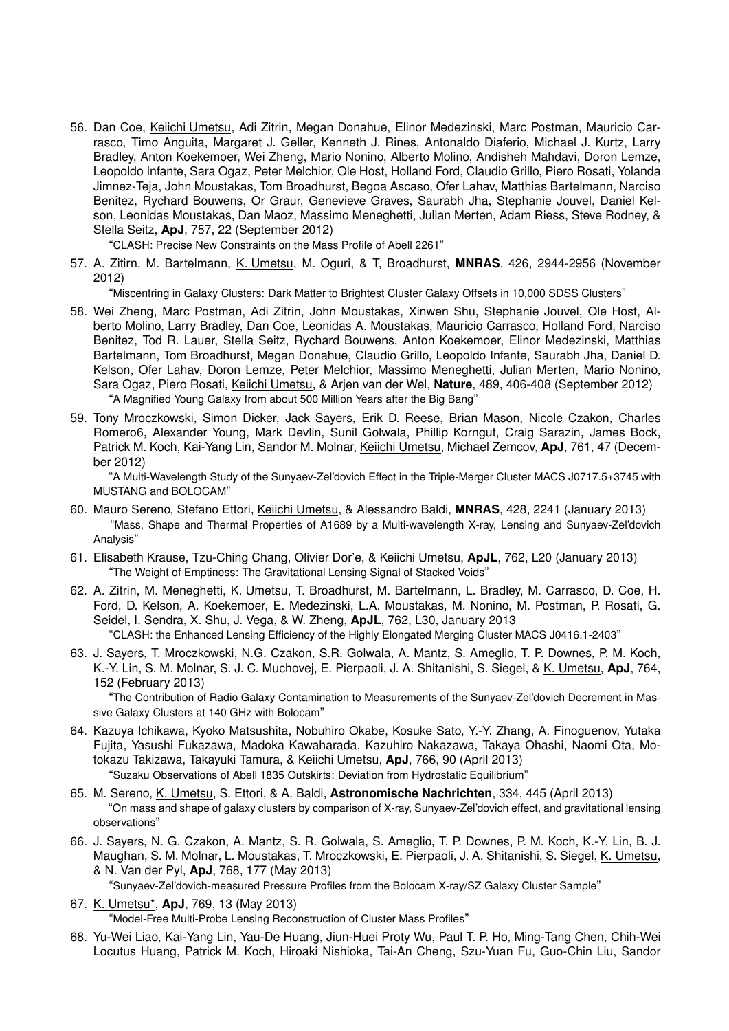56. Dan Coe, Keiichi Umetsu, Adi Zitrin, Megan Donahue, Elinor Medezinski, Marc Postman, Mauricio Carrasco, Timo Anguita, Margaret J. Geller, Kenneth J. Rines, Antonaldo Diaferio, Michael J. Kurtz, Larry Bradley, Anton Koekemoer, Wei Zheng, Mario Nonino, Alberto Molino, Andisheh Mahdavi, Doron Lemze, Leopoldo Infante, Sara Ogaz, Peter Melchior, Ole Host, Holland Ford, Claudio Grillo, Piero Rosati, Yolanda Jimnez-Teja, John Moustakas, Tom Broadhurst, Begoa Ascaso, Ofer Lahav, Matthias Bartelmann, Narciso Benitez, Rychard Bouwens, Or Graur, Genevieve Graves, Saurabh Jha, Stephanie Jouvel, Daniel Kelson, Leonidas Moustakas, Dan Maoz, Massimo Meneghetti, Julian Merten, Adam Riess, Steve Rodney, & Stella Seitz, **ApJ**, 757, 22 (September 2012)

"CLASH: Precise New Constraints on the Mass Profile of Abell 2261"

57. A. Zitirn, M. Bartelmann, K. Umetsu, M. Oguri, & T, Broadhurst, **MNRAS**, 426, 2944-2956 (November 2012)

"Miscentring in Galaxy Clusters: Dark Matter to Brightest Cluster Galaxy Offsets in 10,000 SDSS Clusters"

- 58. Wei Zheng, Marc Postman, Adi Zitrin, John Moustakas, Xinwen Shu, Stephanie Jouvel, Ole Host, Alberto Molino, Larry Bradley, Dan Coe, Leonidas A. Moustakas, Mauricio Carrasco, Holland Ford, Narciso Benitez, Tod R. Lauer, Stella Seitz, Rychard Bouwens, Anton Koekemoer, Elinor Medezinski, Matthias Bartelmann, Tom Broadhurst, Megan Donahue, Claudio Grillo, Leopoldo Infante, Saurabh Jha, Daniel D. Kelson, Ofer Lahav, Doron Lemze, Peter Melchior, Massimo Meneghetti, Julian Merten, Mario Nonino, Sara Ogaz, Piero Rosati, Keiichi Umetsu, & Arjen van der Wel, **Nature**, 489, 406-408 (September 2012) "A Magnified Young Galaxy from about 500 Million Years after the Big Bang"
- 59. Tony Mroczkowski, Simon Dicker, Jack Sayers, Erik D. Reese, Brian Mason, Nicole Czakon, Charles Romero6, Alexander Young, Mark Devlin, Sunil Golwala, Phillip Korngut, Craig Sarazin, James Bock, Patrick M. Koch, Kai-Yang Lin, Sandor M. Molnar, Keiichi Umetsu, Michael Zemcov, **ApJ**, 761, 47 (December 2012)

"A Multi-Wavelength Study of the Sunyaev-Zel'dovich Effect in the Triple-Merger Cluster MACS J0717.5+3745 with MUSTANG and BOLOCAM"

- 60. Mauro Sereno, Stefano Ettori, Keiichi Umetsu, & Alessandro Baldi, **MNRAS**, 428, 2241 (January 2013) "Mass, Shape and Thermal Properties of A1689 by a Multi-wavelength X-ray, Lensing and Sunyaev-Zel'dovich Analysis"
- 61. Elisabeth Krause, Tzu-Ching Chang, Olivier Dor'e, & Keiichi Umetsu, **ApJL**, 762, L20 (January 2013) "The Weight of Emptiness: The Gravitational Lensing Signal of Stacked Voids"
- 62. A. Zitrin, M. Meneghetti, K. Umetsu, T. Broadhurst, M. Bartelmann, L. Bradley, M. Carrasco, D. Coe, H. Ford, D. Kelson, A. Koekemoer, E. Medezinski, L.A. Moustakas, M. Nonino, M. Postman, P. Rosati, G. Seidel, I. Sendra, X. Shu, J. Vega, & W. Zheng, **ApJL**, 762, L30, January 2013 "CLASH: the Enhanced Lensing Efficiency of the Highly Elongated Merging Cluster MACS J0416.1-2403"
- 63. J. Sayers, T. Mroczkowski, N.G. Czakon, S.R. Golwala, A. Mantz, S. Ameglio, T. P. Downes, P. M. Koch, K.-Y. Lin, S. M. Molnar, S. J. C. Muchovej, E. Pierpaoli, J. A. Shitanishi, S. Siegel, & K. Umetsu, **ApJ**, 764, 152 (February 2013)

"The Contribution of Radio Galaxy Contamination to Measurements of the Sunyaev-Zel'dovich Decrement in Massive Galaxy Clusters at 140 GHz with Bolocam"

- 64. Kazuya Ichikawa, Kyoko Matsushita, Nobuhiro Okabe, Kosuke Sato, Y.-Y. Zhang, A. Finoguenov, Yutaka Fujita, Yasushi Fukazawa, Madoka Kawaharada, Kazuhiro Nakazawa, Takaya Ohashi, Naomi Ota, Motokazu Takizawa, Takayuki Tamura, & Keiichi Umetsu, **ApJ**, 766, 90 (April 2013) "Suzaku Observations of Abell 1835 Outskirts: Deviation from Hydrostatic Equilibrium"
- 65. M. Sereno, K. Umetsu, S. Ettori, & A. Baldi, **Astronomische Nachrichten**, 334, 445 (April 2013) "On mass and shape of galaxy clusters by comparison of X-ray, Sunyaev-Zel'dovich effect, and gravitational lensing observations"
- 66. J. Sayers, N. G. Czakon, A. Mantz, S. R. Golwala, S. Ameglio, T. P. Downes, P. M. Koch, K.-Y. Lin, B. J. Maughan, S. M. Molnar, L. Moustakas, T. Mroczkowski, E. Pierpaoli, J. A. Shitanishi, S. Siegel, K. Umetsu, & N. Van der Pyl, **ApJ**, 768, 177 (May 2013)

"Sunyaev-Zel'dovich-measured Pressure Profiles from the Bolocam X-ray/SZ Galaxy Cluster Sample"

- 67. K. Umetsu\*, **ApJ**, 769, 13 (May 2013) "Model-Free Multi-Probe Lensing Reconstruction of Cluster Mass Profiles"
- 68. Yu-Wei Liao, Kai-Yang Lin, Yau-De Huang, Jiun-Huei Proty Wu, Paul T. P. Ho, Ming-Tang Chen, Chih-Wei Locutus Huang, Patrick M. Koch, Hiroaki Nishioka, Tai-An Cheng, Szu-Yuan Fu, Guo-Chin Liu, Sandor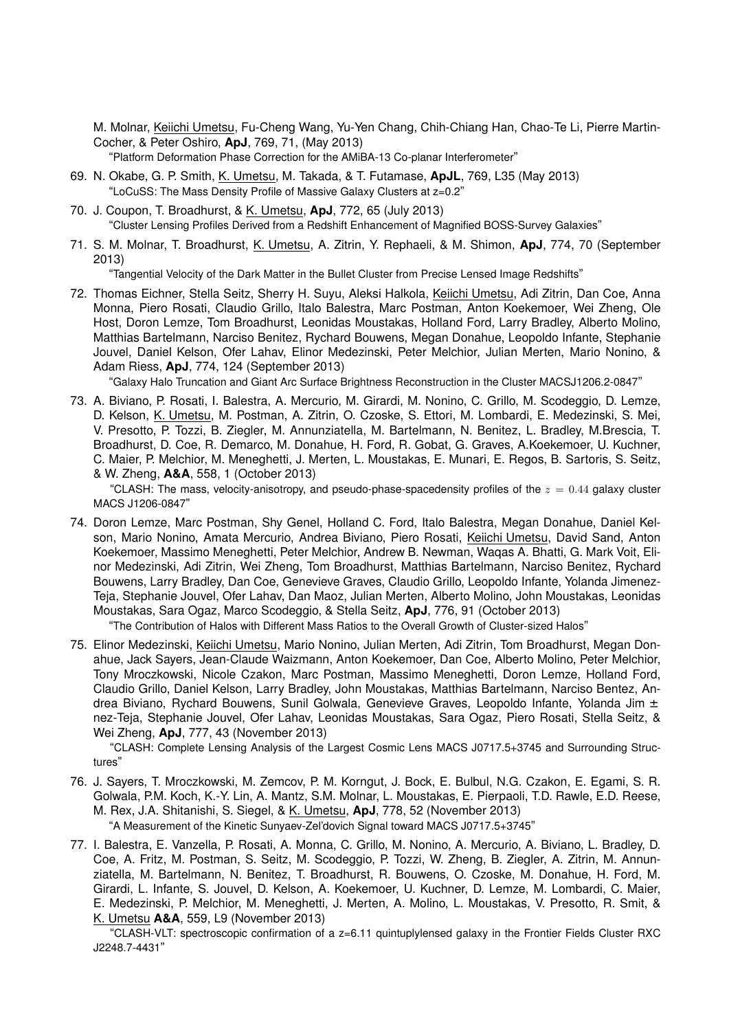M. Molnar, Keiichi Umetsu, Fu-Cheng Wang, Yu-Yen Chang, Chih-Chiang Han, Chao-Te Li, Pierre Martin-Cocher, & Peter Oshiro, **ApJ**, 769, 71, (May 2013)

"Platform Deformation Phase Correction for the AMiBA-13 Co-planar Interferometer"

- 69. N. Okabe, G. P. Smith, K. Umetsu, M. Takada, & T. Futamase, **ApJL**, 769, L35 (May 2013) "LoCuSS: The Mass Density Profile of Massive Galaxy Clusters at z=0.2"
- 70. J. Coupon, T. Broadhurst, & K. Umetsu, **ApJ**, 772, 65 (July 2013) "Cluster Lensing Profiles Derived from a Redshift Enhancement of Magnified BOSS-Survey Galaxies"
- 71. S. M. Molnar, T. Broadhurst, K. Umetsu, A. Zitrin, Y. Rephaeli, & M. Shimon, **ApJ**, 774, 70 (September 2013)

"Tangential Velocity of the Dark Matter in the Bullet Cluster from Precise Lensed Image Redshifts"

72. Thomas Eichner, Stella Seitz, Sherry H. Suyu, Aleksi Halkola, Keiichi Umetsu, Adi Zitrin, Dan Coe, Anna Monna, Piero Rosati, Claudio Grillo, Italo Balestra, Marc Postman, Anton Koekemoer, Wei Zheng, Ole Host, Doron Lemze, Tom Broadhurst, Leonidas Moustakas, Holland Ford, Larry Bradley, Alberto Molino, Matthias Bartelmann, Narciso Benitez, Rychard Bouwens, Megan Donahue, Leopoldo Infante, Stephanie Jouvel, Daniel Kelson, Ofer Lahav, Elinor Medezinski, Peter Melchior, Julian Merten, Mario Nonino, & Adam Riess, **ApJ**, 774, 124 (September 2013)

"Galaxy Halo Truncation and Giant Arc Surface Brightness Reconstruction in the Cluster MACSJ1206.2-0847"

73. A. Biviano, P. Rosati, I. Balestra, A. Mercurio, M. Girardi, M. Nonino, C. Grillo, M. Scodeggio, D. Lemze, D. Kelson, K. Umetsu, M. Postman, A. Zitrin, O. Czoske, S. Ettori, M. Lombardi, E. Medezinski, S. Mei, V. Presotto, P. Tozzi, B. Ziegler, M. Annunziatella, M. Bartelmann, N. Benitez, L. Bradley, M.Brescia, T. Broadhurst, D. Coe, R. Demarco, M. Donahue, H. Ford, R. Gobat, G. Graves, A.Koekemoer, U. Kuchner, C. Maier, P. Melchior, M. Meneghetti, J. Merten, L. Moustakas, E. Munari, E. Regos, B. Sartoris, S. Seitz, & W. Zheng, **A&A**, 558, 1 (October 2013)

"CLASH: The mass, velocity-anisotropy, and pseudo-phase-spacedensity profiles of the  $z = 0.44$  galaxy cluster MACS J1206-0847"

74. Doron Lemze, Marc Postman, Shy Genel, Holland C. Ford, Italo Balestra, Megan Donahue, Daniel Kelson, Mario Nonino, Amata Mercurio, Andrea Biviano, Piero Rosati, Keiichi Umetsu, David Sand, Anton Koekemoer, Massimo Meneghetti, Peter Melchior, Andrew B. Newman, Waqas A. Bhatti, G. Mark Voit, Elinor Medezinski, Adi Zitrin, Wei Zheng, Tom Broadhurst, Matthias Bartelmann, Narciso Benitez, Rychard Bouwens, Larry Bradley, Dan Coe, Genevieve Graves, Claudio Grillo, Leopoldo Infante, Yolanda Jimenez-Teja, Stephanie Jouvel, Ofer Lahav, Dan Maoz, Julian Merten, Alberto Molino, John Moustakas, Leonidas Moustakas, Sara Ogaz, Marco Scodeggio, & Stella Seitz, **ApJ**, 776, 91 (October 2013)

"The Contribution of Halos with Different Mass Ratios to the Overall Growth of Cluster-sized Halos"

75. Elinor Medezinski, Keiichi Umetsu, Mario Nonino, Julian Merten, Adi Zitrin, Tom Broadhurst, Megan Donahue, Jack Sayers, Jean-Claude Waizmann, Anton Koekemoer, Dan Coe, Alberto Molino, Peter Melchior, Tony Mroczkowski, Nicole Czakon, Marc Postman, Massimo Meneghetti, Doron Lemze, Holland Ford, Claudio Grillo, Daniel Kelson, Larry Bradley, John Moustakas, Matthias Bartelmann, Narciso Bentez, Andrea Biviano, Rychard Bouwens, Sunil Golwala, Genevieve Graves, Leopoldo Infante, Yolanda Jim ± nez-Teja, Stephanie Jouvel, Ofer Lahav, Leonidas Moustakas, Sara Ogaz, Piero Rosati, Stella Seitz, & Wei Zheng, **ApJ**, 777, 43 (November 2013)

"CLASH: Complete Lensing Analysis of the Largest Cosmic Lens MACS J0717.5+3745 and Surrounding Structures"

- 76. J. Sayers, T. Mroczkowski, M. Zemcov, P. M. Korngut, J. Bock, E. Bulbul, N.G. Czakon, E. Egami, S. R. Golwala, P.M. Koch, K.-Y. Lin, A. Mantz, S.M. Molnar, L. Moustakas, E. Pierpaoli, T.D. Rawle, E.D. Reese, M. Rex, J.A. Shitanishi, S. Siegel, & K. Umetsu, **ApJ**, 778, 52 (November 2013) "A Measurement of the Kinetic Sunyaev-Zel'dovich Signal toward MACS J0717.5+3745"
- 77. I. Balestra, E. Vanzella, P. Rosati, A. Monna, C. Grillo, M. Nonino, A. Mercurio, A. Biviano, L. Bradley, D. Coe, A. Fritz, M. Postman, S. Seitz, M. Scodeggio, P. Tozzi, W. Zheng, B. Ziegler, A. Zitrin, M. Annunziatella, M. Bartelmann, N. Benitez, T. Broadhurst, R. Bouwens, O. Czoske, M. Donahue, H. Ford, M. Girardi, L. Infante, S. Jouvel, D. Kelson, A. Koekemoer, U. Kuchner, D. Lemze, M. Lombardi, C. Maier, E. Medezinski, P. Melchior, M. Meneghetti, J. Merten, A. Molino, L. Moustakas, V. Presotto, R. Smit, & K. Umetsu **A&A**, 559, L9 (November 2013)

"CLASH-VLT: spectroscopic confirmation of a z=6.11 quintuplylensed galaxy in the Frontier Fields Cluster RXC J2248.7-4431"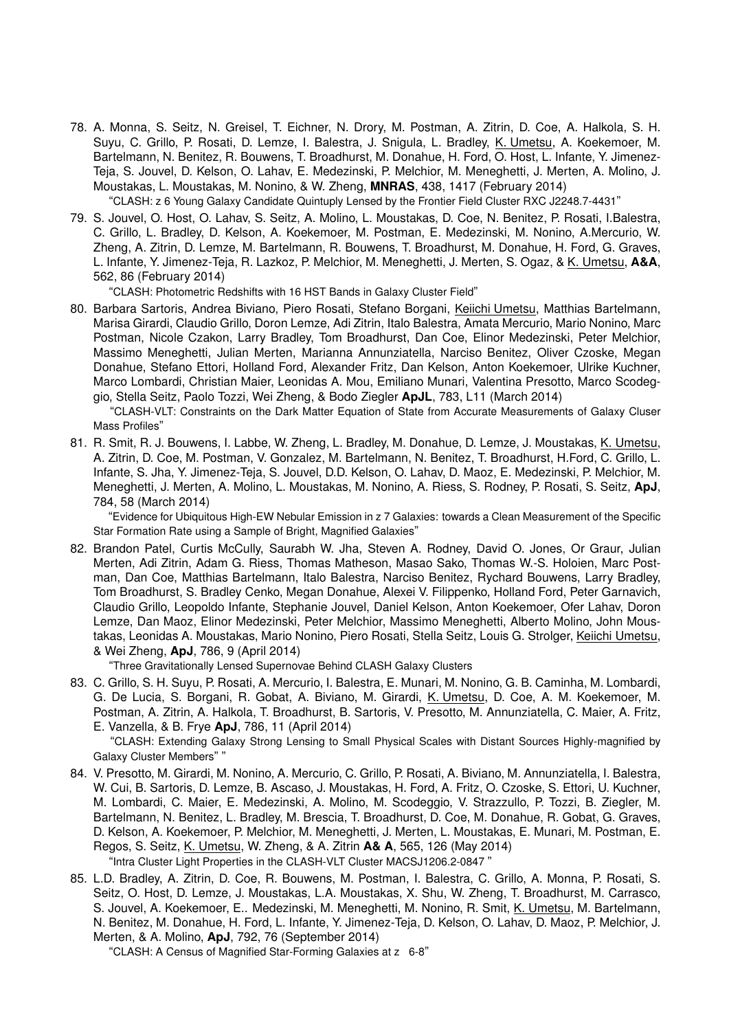- 78. A. Monna, S. Seitz, N. Greisel, T. Eichner, N. Drory, M. Postman, A. Zitrin, D. Coe, A. Halkola, S. H. Suyu, C. Grillo, P. Rosati, D. Lemze, I. Balestra, J. Snigula, L. Bradley, K. Umetsu, A. Koekemoer, M. Bartelmann, N. Benitez, R. Bouwens, T. Broadhurst, M. Donahue, H. Ford, O. Host, L. Infante, Y. Jimenez-Teja, S. Jouvel, D. Kelson, O. Lahav, E. Medezinski, P. Melchior, M. Meneghetti, J. Merten, A. Molino, J. Moustakas, L. Moustakas, M. Nonino, & W. Zheng, **MNRAS**, 438, 1417 (February 2014) "CLASH: z 6 Young Galaxy Candidate Quintuply Lensed by the Frontier Field Cluster RXC J2248.7-4431"
- 79. S. Jouvel, O. Host, O. Lahav, S. Seitz, A. Molino, L. Moustakas, D. Coe, N. Benitez, P. Rosati, I.Balestra, C. Grillo, L. Bradley, D. Kelson, A. Koekemoer, M. Postman, E. Medezinski, M. Nonino, A.Mercurio, W. Zheng, A. Zitrin, D. Lemze, M. Bartelmann, R. Bouwens, T. Broadhurst, M. Donahue, H. Ford, G. Graves, L. Infante, Y. Jimenez-Teja, R. Lazkoz, P. Melchior, M. Meneghetti, J. Merten, S. Ogaz, & K. Umetsu, **A&A**, 562, 86 (February 2014)

"CLASH: Photometric Redshifts with 16 HST Bands in Galaxy Cluster Field"

80. Barbara Sartoris, Andrea Biviano, Piero Rosati, Stefano Borgani, Keiichi Umetsu, Matthias Bartelmann, Marisa Girardi, Claudio Grillo, Doron Lemze, Adi Zitrin, Italo Balestra, Amata Mercurio, Mario Nonino, Marc Postman, Nicole Czakon, Larry Bradley, Tom Broadhurst, Dan Coe, Elinor Medezinski, Peter Melchior, Massimo Meneghetti, Julian Merten, Marianna Annunziatella, Narciso Benitez, Oliver Czoske, Megan Donahue, Stefano Ettori, Holland Ford, Alexander Fritz, Dan Kelson, Anton Koekemoer, Ulrike Kuchner, Marco Lombardi, Christian Maier, Leonidas A. Mou, Emiliano Munari, Valentina Presotto, Marco Scodeggio, Stella Seitz, Paolo Tozzi, Wei Zheng, & Bodo Ziegler **ApJL**, 783, L11 (March 2014)

"CLASH-VLT: Constraints on the Dark Matter Equation of State from Accurate Measurements of Galaxy Cluser Mass Profiles"

81. R. Smit, R. J. Bouwens, I. Labbe, W. Zheng, L. Bradley, M. Donahue, D. Lemze, J. Moustakas, K. Umetsu, A. Zitrin, D. Coe, M. Postman, V. Gonzalez, M. Bartelmann, N. Benitez, T. Broadhurst, H.Ford, C. Grillo, L. Infante, S. Jha, Y. Jimenez-Teja, S. Jouvel, D.D. Kelson, O. Lahav, D. Maoz, E. Medezinski, P. Melchior, M. Meneghetti, J. Merten, A. Molino, L. Moustakas, M. Nonino, A. Riess, S. Rodney, P. Rosati, S. Seitz, **ApJ**, 784, 58 (March 2014)

"Evidence for Ubiquitous High-EW Nebular Emission in z 7 Galaxies: towards a Clean Measurement of the Specific Star Formation Rate using a Sample of Bright, Magnified Galaxies"

82. Brandon Patel, Curtis McCully, Saurabh W. Jha, Steven A. Rodney, David O. Jones, Or Graur, Julian Merten, Adi Zitrin, Adam G. Riess, Thomas Matheson, Masao Sako, Thomas W.-S. Holoien, Marc Postman, Dan Coe, Matthias Bartelmann, Italo Balestra, Narciso Benitez, Rychard Bouwens, Larry Bradley, Tom Broadhurst, S. Bradley Cenko, Megan Donahue, Alexei V. Filippenko, Holland Ford, Peter Garnavich, Claudio Grillo, Leopoldo Infante, Stephanie Jouvel, Daniel Kelson, Anton Koekemoer, Ofer Lahav, Doron Lemze, Dan Maoz, Elinor Medezinski, Peter Melchior, Massimo Meneghetti, Alberto Molino, John Moustakas, Leonidas A. Moustakas, Mario Nonino, Piero Rosati, Stella Seitz, Louis G. Strolger, Keiichi Umetsu, & Wei Zheng, **ApJ**, 786, 9 (April 2014)

"Three Gravitationally Lensed Supernovae Behind CLASH Galaxy Clusters

83. C. Grillo, S. H. Suyu, P. Rosati, A. Mercurio, I. Balestra, E. Munari, M. Nonino, G. B. Caminha, M. Lombardi, G. De Lucia, S. Borgani, R. Gobat, A. Biviano, M. Girardi, K. Umetsu, D. Coe, A. M. Koekemoer, M. Postman, A. Zitrin, A. Halkola, T. Broadhurst, B. Sartoris, V. Presotto, M. Annunziatella, C. Maier, A. Fritz, E. Vanzella, & B. Frye **ApJ**, 786, 11 (April 2014)

"CLASH: Extending Galaxy Strong Lensing to Small Physical Scales with Distant Sources Highly-magnified by Galaxy Cluster Members" "

- 84. V. Presotto, M. Girardi, M. Nonino, A. Mercurio, C. Grillo, P. Rosati, A. Biviano, M. Annunziatella, I. Balestra, W. Cui, B. Sartoris, D. Lemze, B. Ascaso, J. Moustakas, H. Ford, A. Fritz, O. Czoske, S. Ettori, U. Kuchner, M. Lombardi, C. Maier, E. Medezinski, A. Molino, M. Scodeggio, V. Strazzullo, P. Tozzi, B. Ziegler, M. Bartelmann, N. Benitez, L. Bradley, M. Brescia, T. Broadhurst, D. Coe, M. Donahue, R. Gobat, G. Graves, D. Kelson, A. Koekemoer, P. Melchior, M. Meneghetti, J. Merten, L. Moustakas, E. Munari, M. Postman, E. Regos, S. Seitz, K. Umetsu, W. Zheng, & A. Zitrin **A& A**, 565, 126 (May 2014) "Intra Cluster Light Properties in the CLASH-VLT Cluster MACSJ1206.2-0847 "
- 85. L.D. Bradley, A. Zitrin, D. Coe, R. Bouwens, M. Postman, I. Balestra, C. Grillo, A. Monna, P. Rosati, S. Seitz, O. Host, D. Lemze, J. Moustakas, L.A. Moustakas, X. Shu, W. Zheng, T. Broadhurst, M. Carrasco, S. Jouvel, A. Koekemoer, E.. Medezinski, M. Meneghetti, M. Nonino, R. Smit, K. Umetsu, M. Bartelmann, N. Benitez, M. Donahue, H. Ford, L. Infante, Y. Jimenez-Teja, D. Kelson, O. Lahav, D. Maoz, P. Melchior, J. Merten, & A. Molino, **ApJ**, 792, 76 (September 2014)

"CLASH: A Census of Magnified Star-Forming Galaxies at z 6-8"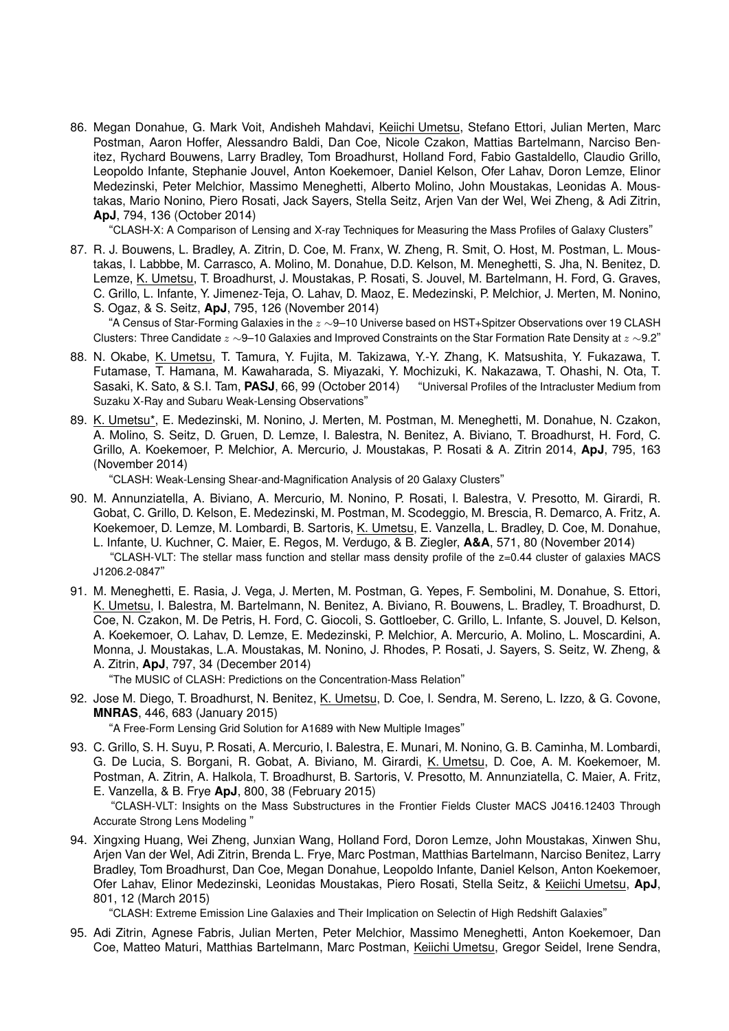86. Megan Donahue, G. Mark Voit, Andisheh Mahdavi, Keiichi Umetsu, Stefano Ettori, Julian Merten, Marc Postman, Aaron Hoffer, Alessandro Baldi, Dan Coe, Nicole Czakon, Mattias Bartelmann, Narciso Benitez, Rychard Bouwens, Larry Bradley, Tom Broadhurst, Holland Ford, Fabio Gastaldello, Claudio Grillo, Leopoldo Infante, Stephanie Jouvel, Anton Koekemoer, Daniel Kelson, Ofer Lahav, Doron Lemze, Elinor Medezinski, Peter Melchior, Massimo Meneghetti, Alberto Molino, John Moustakas, Leonidas A. Moustakas, Mario Nonino, Piero Rosati, Jack Sayers, Stella Seitz, Arjen Van der Wel, Wei Zheng, & Adi Zitrin, **ApJ**, 794, 136 (October 2014)

"CLASH-X: A Comparison of Lensing and X-ray Techniques for Measuring the Mass Profiles of Galaxy Clusters"

87. R. J. Bouwens, L. Bradley, A. Zitrin, D. Coe, M. Franx, W. Zheng, R. Smit, O. Host, M. Postman, L. Moustakas, I. Labbbe, M. Carrasco, A. Molino, M. Donahue, D.D. Kelson, M. Meneghetti, S. Jha, N. Benitez, D. Lemze, K. Umetsu, T. Broadhurst, J. Moustakas, P. Rosati, S. Jouvel, M. Bartelmann, H. Ford, G. Graves, C. Grillo, L. Infante, Y. Jimenez-Teja, O. Lahav, D. Maoz, E. Medezinski, P. Melchior, J. Merten, M. Nonino, S. Ogaz, & S. Seitz, **ApJ**, 795, 126 (November 2014)

"A Census of Star-Forming Galaxies in the *z ∼*9–10 Universe based on HST+Spitzer Observations over 19 CLASH Clusters: Three Candidate *z ∼*9–10 Galaxies and Improved Constraints on the Star Formation Rate Density at *z ∼*9.2"

- 88. N. Okabe, K. Umetsu, T. Tamura, Y. Fujita, M. Takizawa, Y.-Y. Zhang, K. Matsushita, Y. Fukazawa, T. Futamase, T. Hamana, M. Kawaharada, S. Miyazaki, Y. Mochizuki, K. Nakazawa, T. Ohashi, N. Ota, T. Sasaki, K. Sato, & S.I. Tam, **PASJ**, 66, 99 (October 2014) "Universal Profiles of the Intracluster Medium from Suzaku X-Ray and Subaru Weak-Lensing Observations"
- 89. K. Umetsu\*, E. Medezinski, M. Nonino, J. Merten, M. Postman, M. Meneghetti, M. Donahue, N. Czakon, A. Molino, S. Seitz, D. Gruen, D. Lemze, I. Balestra, N. Benitez, A. Biviano, T. Broadhurst, H. Ford, C. Grillo, A. Koekemoer, P. Melchior, A. Mercurio, J. Moustakas, P. Rosati & A. Zitrin 2014, **ApJ**, 795, 163 (November 2014)

"CLASH: Weak-Lensing Shear-and-Magnification Analysis of 20 Galaxy Clusters"

- 90. M. Annunziatella, A. Biviano, A. Mercurio, M. Nonino, P. Rosati, I. Balestra, V. Presotto, M. Girardi, R. Gobat, C. Grillo, D. Kelson, E. Medezinski, M. Postman, M. Scodeggio, M. Brescia, R. Demarco, A. Fritz, A. Koekemoer, D. Lemze, M. Lombardi, B. Sartoris, K. Umetsu, E. Vanzella, L. Bradley, D. Coe, M. Donahue, L. Infante, U. Kuchner, C. Maier, E. Regos, M. Verdugo, & B. Ziegler, **A&A**, 571, 80 (November 2014) "CLASH-VLT: The stellar mass function and stellar mass density profile of the z=0.44 cluster of galaxies MACS J1206.2-0847"
- 91. M. Meneghetti, E. Rasia, J. Vega, J. Merten, M. Postman, G. Yepes, F. Sembolini, M. Donahue, S. Ettori, K. Umetsu, I. Balestra, M. Bartelmann, N. Benitez, A. Biviano, R. Bouwens, L. Bradley, T. Broadhurst, D. Coe, N. Czakon, M. De Petris, H. Ford, C. Giocoli, S. Gottloeber, C. Grillo, L. Infante, S. Jouvel, D. Kelson, A. Koekemoer, O. Lahav, D. Lemze, E. Medezinski, P. Melchior, A. Mercurio, A. Molino, L. Moscardini, A. Monna, J. Moustakas, L.A. Moustakas, M. Nonino, J. Rhodes, P. Rosati, J. Sayers, S. Seitz, W. Zheng, & A. Zitrin, **ApJ**, 797, 34 (December 2014)

"The MUSIC of CLASH: Predictions on the Concentration-Mass Relation"

92. Jose M. Diego, T. Broadhurst, N. Benitez, K. Umetsu, D. Coe, I. Sendra, M. Sereno, L. Izzo, & G. Covone, **MNRAS**, 446, 683 (January 2015)

"A Free-Form Lensing Grid Solution for A1689 with New Multiple Images"

93. C. Grillo, S. H. Suyu, P. Rosati, A. Mercurio, I. Balestra, E. Munari, M. Nonino, G. B. Caminha, M. Lombardi, G. De Lucia, S. Borgani, R. Gobat, A. Biviano, M. Girardi, K. Umetsu, D. Coe, A. M. Koekemoer, M. Postman, A. Zitrin, A. Halkola, T. Broadhurst, B. Sartoris, V. Presotto, M. Annunziatella, C. Maier, A. Fritz, E. Vanzella, & B. Frye **ApJ**, 800, 38 (February 2015)

"CLASH-VLT: Insights on the Mass Substructures in the Frontier Fields Cluster MACS J0416.12403 Through Accurate Strong Lens Modeling "

94. Xingxing Huang, Wei Zheng, Junxian Wang, Holland Ford, Doron Lemze, John Moustakas, Xinwen Shu, Arjen Van der Wel, Adi Zitrin, Brenda L. Frye, Marc Postman, Matthias Bartelmann, Narciso Benitez, Larry Bradley, Tom Broadhurst, Dan Coe, Megan Donahue, Leopoldo Infante, Daniel Kelson, Anton Koekemoer, Ofer Lahav, Elinor Medezinski, Leonidas Moustakas, Piero Rosati, Stella Seitz, & Keiichi Umetsu, **ApJ**, 801, 12 (March 2015)

"CLASH: Extreme Emission Line Galaxies and Their Implication on Selectin of High Redshift Galaxies"

95. Adi Zitrin, Agnese Fabris, Julian Merten, Peter Melchior, Massimo Meneghetti, Anton Koekemoer, Dan Coe, Matteo Maturi, Matthias Bartelmann, Marc Postman, Keiichi Umetsu, Gregor Seidel, Irene Sendra,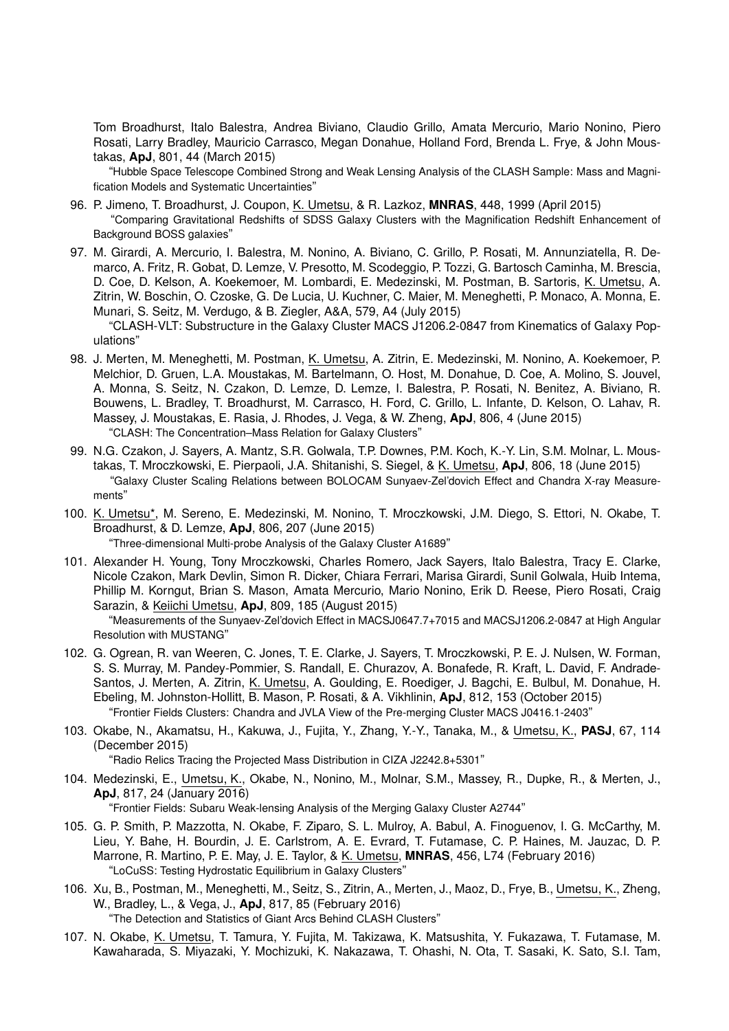Tom Broadhurst, Italo Balestra, Andrea Biviano, Claudio Grillo, Amata Mercurio, Mario Nonino, Piero Rosati, Larry Bradley, Mauricio Carrasco, Megan Donahue, Holland Ford, Brenda L. Frye, & John Moustakas, **ApJ**, 801, 44 (March 2015)

"Hubble Space Telescope Combined Strong and Weak Lensing Analysis of the CLASH Sample: Mass and Magnification Models and Systematic Uncertainties"

- 96. P. Jimeno, T. Broadhurst, J. Coupon, K. Umetsu, & R. Lazkoz, **MNRAS**, 448, 1999 (April 2015) "Comparing Gravitational Redshifts of SDSS Galaxy Clusters with the Magnification Redshift Enhancement of Background BOSS galaxies"
- 97. M. Girardi, A. Mercurio, I. Balestra, M. Nonino, A. Biviano, C. Grillo, P. Rosati, M. Annunziatella, R. Demarco, A. Fritz, R. Gobat, D. Lemze, V. Presotto, M. Scodeggio, P. Tozzi, G. Bartosch Caminha, M. Brescia, D. Coe, D. Kelson, A. Koekemoer, M. Lombardi, E. Medezinski, M. Postman, B. Sartoris, K. Umetsu, A. Zitrin, W. Boschin, O. Czoske, G. De Lucia, U. Kuchner, C. Maier, M. Meneghetti, P. Monaco, A. Monna, E. Munari, S. Seitz, M. Verdugo, & B. Ziegler, A&A, 579, A4 (July 2015) "CLASH-VLT: Substructure in the Galaxy Cluster MACS J1206.2-0847 from Kinematics of Galaxy Pop-

ulations"

- 98. J. Merten, M. Meneghetti, M. Postman, K. Umetsu, A. Zitrin, E. Medezinski, M. Nonino, A. Koekemoer, P. Melchior, D. Gruen, L.A. Moustakas, M. Bartelmann, O. Host, M. Donahue, D. Coe, A. Molino, S. Jouvel, A. Monna, S. Seitz, N. Czakon, D. Lemze, D. Lemze, I. Balestra, P. Rosati, N. Benitez, A. Biviano, R. Bouwens, L. Bradley, T. Broadhurst, M. Carrasco, H. Ford, C. Grillo, L. Infante, D. Kelson, O. Lahav, R. Massey, J. Moustakas, E. Rasia, J. Rhodes, J. Vega, & W. Zheng, **ApJ**, 806, 4 (June 2015) "CLASH: The Concentration–Mass Relation for Galaxy Clusters"
- 99. N.G. Czakon, J. Sayers, A. Mantz, S.R. Golwala, T.P. Downes, P.M. Koch, K.-Y. Lin, S.M. Molnar, L. Moustakas, T. Mroczkowski, E. Pierpaoli, J.A. Shitanishi, S. Siegel, & K. Umetsu, **ApJ**, 806, 18 (June 2015) "Galaxy Cluster Scaling Relations between BOLOCAM Sunyaev-Zel'dovich Effect and Chandra X-ray Measurements"
- 100. K. Umetsu\*, M. Sereno, E. Medezinski, M. Nonino, T. Mroczkowski, J.M. Diego, S. Ettori, N. Okabe, T. Broadhurst, & D. Lemze, **ApJ**, 806, 207 (June 2015) "Three-dimensional Multi-probe Analysis of the Galaxy Cluster A1689"
- 101. Alexander H. Young, Tony Mroczkowski, Charles Romero, Jack Sayers, Italo Balestra, Tracy E. Clarke, Nicole Czakon, Mark Devlin, Simon R. Dicker, Chiara Ferrari, Marisa Girardi, Sunil Golwala, Huib Intema, Phillip M. Korngut, Brian S. Mason, Amata Mercurio, Mario Nonino, Erik D. Reese, Piero Rosati, Craig Sarazin, & Keiichi Umetsu, **ApJ**, 809, 185 (August 2015) "Measurements of the Sunyaev-Zel'dovich Effect in MACSJ0647.7+7015 and MACSJ1206.2-0847 at High Angular

Resolution with MUSTANG"

- 102. G. Ogrean, R. van Weeren, C. Jones, T. E. Clarke, J. Sayers, T. Mroczkowski, P. E. J. Nulsen, W. Forman, S. S. Murray, M. Pandey-Pommier, S. Randall, E. Churazov, A. Bonafede, R. Kraft, L. David, F. Andrade-Santos, J. Merten, A. Zitrin, K. Umetsu, A. Goulding, E. Roediger, J. Bagchi, E. Bulbul, M. Donahue, H. Ebeling, M. Johnston-Hollitt, B. Mason, P. Rosati, & A. Vikhlinin, **ApJ**, 812, 153 (October 2015) "Frontier Fields Clusters: Chandra and JVLA View of the Pre-merging Cluster MACS J0416.1-2403"
- 103. Okabe, N., Akamatsu, H., Kakuwa, J., Fujita, Y., Zhang, Y.-Y., Tanaka, M., & Umetsu, K., **PASJ**, 67, 114 (December 2015)

"Radio Relics Tracing the Projected Mass Distribution in CIZA J2242.8+5301"

104. Medezinski, E., Umetsu, K., Okabe, N., Nonino, M., Molnar, S.M., Massey, R., Dupke, R., & Merten, J., **ApJ**, 817, 24 (January 2016)

"Frontier Fields: Subaru Weak-lensing Analysis of the Merging Galaxy Cluster A2744"

- 105. G. P. Smith, P. Mazzotta, N. Okabe, F. Ziparo, S. L. Mulroy, A. Babul, A. Finoguenov, I. G. McCarthy, M. Lieu, Y. Bahe, H. Bourdin, J. E. Carlstrom, A. E. Evrard, T. Futamase, C. P. Haines, M. Jauzac, D. P. Marrone, R. Martino, P. E. May, J. E. Taylor, & K. Umetsu, **MNRAS**, 456, L74 (February 2016) "LoCuSS: Testing Hydrostatic Equilibrium in Galaxy Clusters"
- 106. Xu, B., Postman, M., Meneghetti, M., Seitz, S., Zitrin, A., Merten, J., Maoz, D., Frye, B., Umetsu, K., Zheng, W., Bradley, L., & Vega, J., **ApJ**, 817, 85 (February 2016) "The Detection and Statistics of Giant Arcs Behind CLASH Clusters"
- 107. N. Okabe, K. Umetsu, T. Tamura, Y. Fujita, M. Takizawa, K. Matsushita, Y. Fukazawa, T. Futamase, M. Kawaharada, S. Miyazaki, Y. Mochizuki, K. Nakazawa, T. Ohashi, N. Ota, T. Sasaki, K. Sato, S.I. Tam,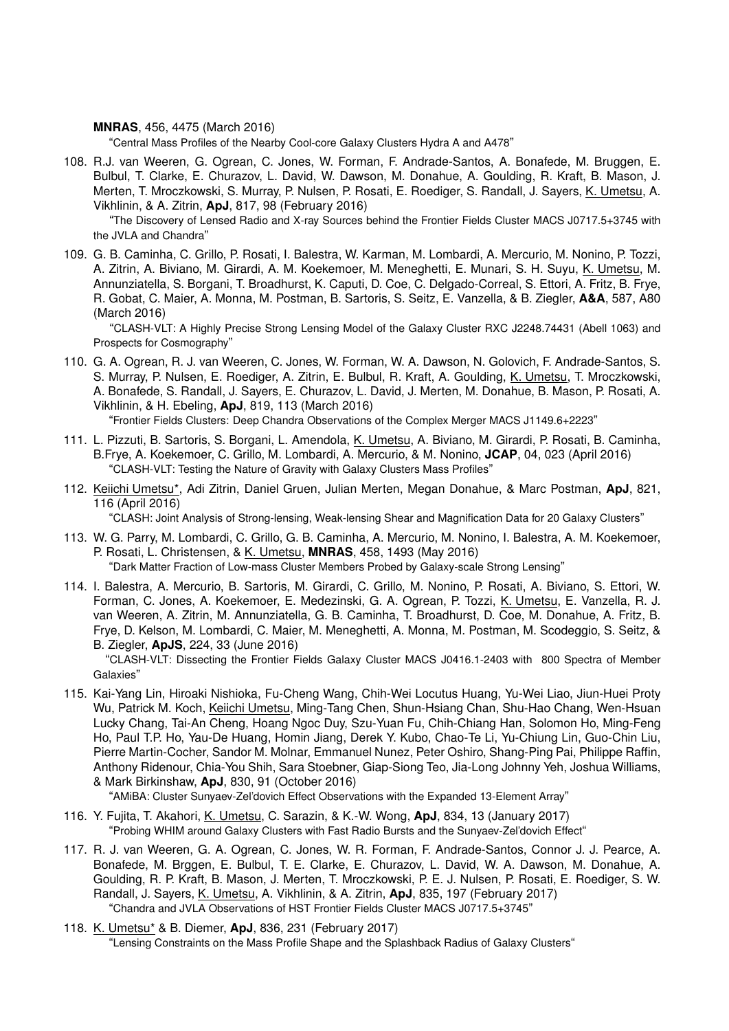**MNRAS**, 456, 4475 (March 2016)

"Central Mass Profiles of the Nearby Cool-core Galaxy Clusters Hydra A and A478"

108. R.J. van Weeren, G. Ogrean, C. Jones, W. Forman, F. Andrade-Santos, A. Bonafede, M. Bruggen, E. Bulbul, T. Clarke, E. Churazov, L. David, W. Dawson, M. Donahue, A. Goulding, R. Kraft, B. Mason, J. Merten, T. Mroczkowski, S. Murray, P. Nulsen, P. Rosati, E. Roediger, S. Randall, J. Sayers, K. Umetsu, A. Vikhlinin, & A. Zitrin, **ApJ**, 817, 98 (February 2016)

"The Discovery of Lensed Radio and X-ray Sources behind the Frontier Fields Cluster MACS J0717.5+3745 with the JVLA and Chandra"

109. G. B. Caminha, C. Grillo, P. Rosati, I. Balestra, W. Karman, M. Lombardi, A. Mercurio, M. Nonino, P. Tozzi, A. Zitrin, A. Biviano, M. Girardi, A. M. Koekemoer, M. Meneghetti, E. Munari, S. H. Suyu, K. Umetsu, M. Annunziatella, S. Borgani, T. Broadhurst, K. Caputi, D. Coe, C. Delgado-Correal, S. Ettori, A. Fritz, B. Frye, R. Gobat, C. Maier, A. Monna, M. Postman, B. Sartoris, S. Seitz, E. Vanzella, & B. Ziegler, **A&A**, 587, A80 (March 2016)

"CLASH-VLT: A Highly Precise Strong Lensing Model of the Galaxy Cluster RXC J2248.74431 (Abell 1063) and Prospects for Cosmography"

110. G. A. Ogrean, R. J. van Weeren, C. Jones, W. Forman, W. A. Dawson, N. Golovich, F. Andrade-Santos, S. S. Murray, P. Nulsen, E. Roediger, A. Zitrin, E. Bulbul, R. Kraft, A. Goulding, K. Umetsu, T. Mroczkowski, A. Bonafede, S. Randall, J. Sayers, E. Churazov, L. David, J. Merten, M. Donahue, B. Mason, P. Rosati, A. Vikhlinin, & H. Ebeling, **ApJ**, 819, 113 (March 2016)

"Frontier Fields Clusters: Deep Chandra Observations of the Complex Merger MACS J1149.6+2223"

- 111. L. Pizzuti, B. Sartoris, S. Borgani, L. Amendola, K. Umetsu, A. Biviano, M. Girardi, P. Rosati, B. Caminha, B.Frye, A. Koekemoer, C. Grillo, M. Lombardi, A. Mercurio, & M. Nonino, **JCAP**, 04, 023 (April 2016) "CLASH-VLT: Testing the Nature of Gravity with Galaxy Clusters Mass Profiles"
- 112. Keiichi Umetsu\*, Adi Zitrin, Daniel Gruen, Julian Merten, Megan Donahue, & Marc Postman, **ApJ**, 821, 116 (April 2016)

"CLASH: Joint Analysis of Strong-lensing, Weak-lensing Shear and Magnification Data for 20 Galaxy Clusters"

- 113. W. G. Parry, M. Lombardi, C. Grillo, G. B. Caminha, A. Mercurio, M. Nonino, I. Balestra, A. M. Koekemoer, P. Rosati, L. Christensen, & K. Umetsu, **MNRAS**, 458, 1493 (May 2016) "Dark Matter Fraction of Low-mass Cluster Members Probed by Galaxy-scale Strong Lensing"
- 114. I. Balestra, A. Mercurio, B. Sartoris, M. Girardi, C. Grillo, M. Nonino, P. Rosati, A. Biviano, S. Ettori, W. Forman, C. Jones, A. Koekemoer, E. Medezinski, G. A. Ogrean, P. Tozzi, K. Umetsu, E. Vanzella, R. J. van Weeren, A. Zitrin, M. Annunziatella, G. B. Caminha, T. Broadhurst, D. Coe, M. Donahue, A. Fritz, B. Frye, D. Kelson, M. Lombardi, C. Maier, M. Meneghetti, A. Monna, M. Postman, M. Scodeggio, S. Seitz, & B. Ziegler, **ApJS**, 224, 33 (June 2016)

"CLASH-VLT: Dissecting the Frontier Fields Galaxy Cluster MACS J0416.1-2403 with 800 Spectra of Member Galaxies"

115. Kai-Yang Lin, Hiroaki Nishioka, Fu-Cheng Wang, Chih-Wei Locutus Huang, Yu-Wei Liao, Jiun-Huei Proty Wu, Patrick M. Koch, Keiichi Umetsu, Ming-Tang Chen, Shun-Hsiang Chan, Shu-Hao Chang, Wen-Hsuan Lucky Chang, Tai-An Cheng, Hoang Ngoc Duy, Szu-Yuan Fu, Chih-Chiang Han, Solomon Ho, Ming-Feng Ho, Paul T.P. Ho, Yau-De Huang, Homin Jiang, Derek Y. Kubo, Chao-Te Li, Yu-Chiung Lin, Guo-Chin Liu, Pierre Martin-Cocher, Sandor M. Molnar, Emmanuel Nunez, Peter Oshiro, Shang-Ping Pai, Philippe Raffin, Anthony Ridenour, Chia-You Shih, Sara Stoebner, Giap-Siong Teo, Jia-Long Johnny Yeh, Joshua Williams, & Mark Birkinshaw, **ApJ**, 830, 91 (October 2016)

"AMiBA: Cluster Sunyaev-Zel'dovich Effect Observations with the Expanded 13-Element Array"

- 116. Y. Fujita, T. Akahori, K. Umetsu, C. Sarazin, & K.-W. Wong, **ApJ**, 834, 13 (January 2017) "Probing WHIM around Galaxy Clusters with Fast Radio Bursts and the Sunyaev-Zel'dovich Effect"
- 117. R. J. van Weeren, G. A. Ogrean, C. Jones, W. R. Forman, F. Andrade-Santos, Connor J. J. Pearce, A. Bonafede, M. Brggen, E. Bulbul, T. E. Clarke, E. Churazov, L. David, W. A. Dawson, M. Donahue, A. Goulding, R. P. Kraft, B. Mason, J. Merten, T. Mroczkowski, P. E. J. Nulsen, P. Rosati, E. Roediger, S. W. Randall, J. Sayers, K. Umetsu, A. Vikhlinin, & A. Zitrin, **ApJ**, 835, 197 (February 2017) "Chandra and JVLA Observations of HST Frontier Fields Cluster MACS J0717.5+3745"
- 118. K. Umetsu\* & B. Diemer, **ApJ**, 836, 231 (February 2017) "Lensing Constraints on the Mass Profile Shape and the Splashback Radius of Galaxy Clusters"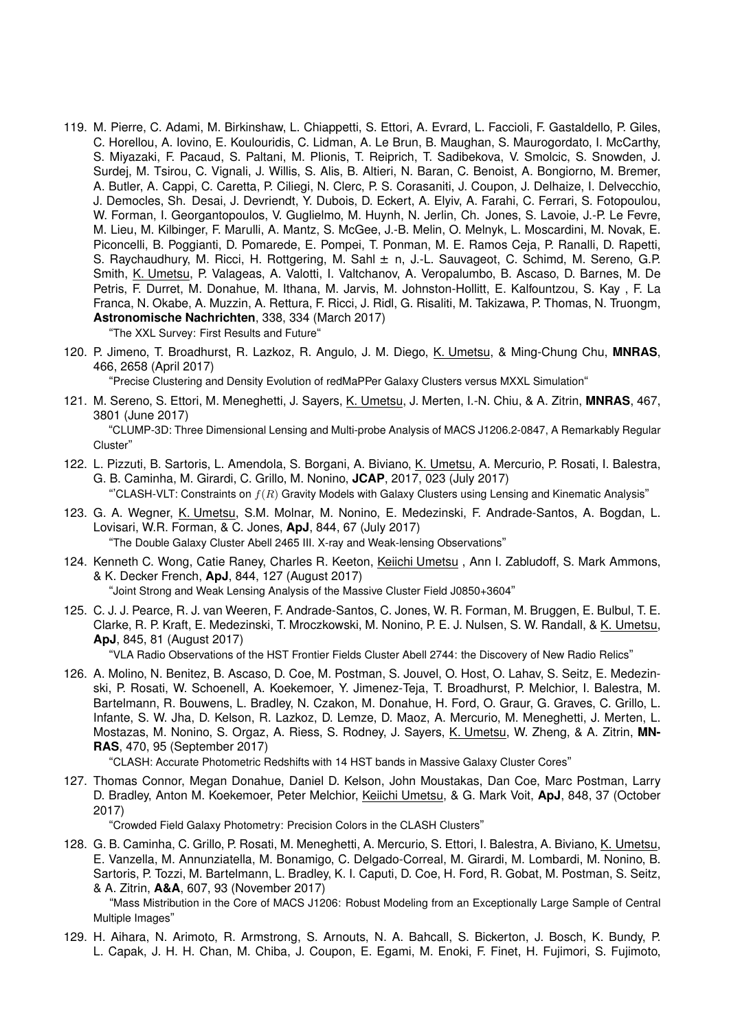119. M. Pierre, C. Adami, M. Birkinshaw, L. Chiappetti, S. Ettori, A. Evrard, L. Faccioli, F. Gastaldello, P. Giles, C. Horellou, A. Iovino, E. Koulouridis, C. Lidman, A. Le Brun, B. Maughan, S. Maurogordato, I. McCarthy, S. Miyazaki, F. Pacaud, S. Paltani, M. Plionis, T. Reiprich, T. Sadibekova, V. Smolcic, S. Snowden, J. Surdej, M. Tsirou, C. Vignali, J. Willis, S. Alis, B. Altieri, N. Baran, C. Benoist, A. Bongiorno, M. Bremer, A. Butler, A. Cappi, C. Caretta, P. Ciliegi, N. Clerc, P. S. Corasaniti, J. Coupon, J. Delhaize, I. Delvecchio, J. Democles, Sh. Desai, J. Devriendt, Y. Dubois, D. Eckert, A. Elyiv, A. Farahi, C. Ferrari, S. Fotopoulou, W. Forman, I. Georgantopoulos, V. Guglielmo, M. Huynh, N. Jerlin, Ch. Jones, S. Lavoie, J.-P. Le Fevre, M. Lieu, M. Kilbinger, F. Marulli, A. Mantz, S. McGee, J.-B. Melin, O. Melnyk, L. Moscardini, M. Novak, E. Piconcelli, B. Poggianti, D. Pomarede, E. Pompei, T. Ponman, M. E. Ramos Ceja, P. Ranalli, D. Rapetti, S. Raychaudhury, M. Ricci, H. Rottgering, M. Sahl ± n, J.-L. Sauvageot, C. Schimd, M. Sereno, G.P. Smith, K. Umetsu, P. Valageas, A. Valotti, I. Valtchanov, A. Veropalumbo, B. Ascaso, D. Barnes, M. De Petris, F. Durret, M. Donahue, M. Ithana, M. Jarvis, M. Johnston-Hollitt, E. Kalfountzou, S. Kay , F. La Franca, N. Okabe, A. Muzzin, A. Rettura, F. Ricci, J. Ridl, G. Risaliti, M. Takizawa, P. Thomas, N. Truongm, **Astronomische Nachrichten**, 338, 334 (March 2017)

"The XXL Survey: First Results and Future"

120. P. Jimeno, T. Broadhurst, R. Lazkoz, R. Angulo, J. M. Diego, K. Umetsu, & Ming-Chung Chu, **MNRAS**, 466, 2658 (April 2017)

"Precise Clustering and Density Evolution of redMaPPer Galaxy Clusters versus MXXL Simulation"

121. M. Sereno, S. Ettori, M. Meneghetti, J. Sayers, K. Umetsu, J. Merten, I.-N. Chiu, & A. Zitrin, **MNRAS**, 467, 3801 (June 2017) "CLUMP-3D: Three Dimensional Lensing and Multi-probe Analysis of MACS J1206.2-0847, A Remarkably Regular

Cluster"

- 122. L. Pizzuti, B. Sartoris, L. Amendola, S. Borgani, A. Biviano, K. Umetsu, A. Mercurio, P. Rosati, I. Balestra, G. B. Caminha, M. Girardi, C. Grillo, M. Nonino, **JCAP**, 2017, 023 (July 2017) "'CLASH-VLT: Constraints on *f*(*R*) Gravity Models with Galaxy Clusters using Lensing and Kinematic Analysis"
- 123. G. A. Wegner, K. Umetsu, S.M. Molnar, M. Nonino, E. Medezinski, F. Andrade-Santos, A. Bogdan, L. Lovisari, W.R. Forman, & C. Jones, **ApJ**, 844, 67 (July 2017) "The Double Galaxy Cluster Abell 2465 III. X-ray and Weak-lensing Observations"
- 124. Kenneth C. Wong, Catie Raney, Charles R. Keeton, Keiichi Umetsu , Ann I. Zabludoff, S. Mark Ammons, & K. Decker French, **ApJ**, 844, 127 (August 2017)

"Joint Strong and Weak Lensing Analysis of the Massive Cluster Field J0850+3604"

125. C. J. J. Pearce, R. J. van Weeren, F. Andrade-Santos, C. Jones, W. R. Forman, M. Bruggen, E. Bulbul, T. E. Clarke, R. P. Kraft, E. Medezinski, T. Mroczkowski, M. Nonino, P. E. J. Nulsen, S. W. Randall, & K. Umetsu, **ApJ**, 845, 81 (August 2017)

"VLA Radio Observations of the HST Frontier Fields Cluster Abell 2744: the Discovery of New Radio Relics"

126. A. Molino, N. Benitez, B. Ascaso, D. Coe, M. Postman, S. Jouvel, O. Host, O. Lahav, S. Seitz, E. Medezinski, P. Rosati, W. Schoenell, A. Koekemoer, Y. Jimenez-Teja, T. Broadhurst, P. Melchior, I. Balestra, M. Bartelmann, R. Bouwens, L. Bradley, N. Czakon, M. Donahue, H. Ford, O. Graur, G. Graves, C. Grillo, L. Infante, S. W. Jha, D. Kelson, R. Lazkoz, D. Lemze, D. Maoz, A. Mercurio, M. Meneghetti, J. Merten, L. Mostazas, M. Nonino, S. Orgaz, A. Riess, S. Rodney, J. Sayers, K. Umetsu, W. Zheng, & A. Zitrin, **MN-RAS**, 470, 95 (September 2017)

"CLASH: Accurate Photometric Redshifts with 14 HST bands in Massive Galaxy Cluster Cores"

127. Thomas Connor, Megan Donahue, Daniel D. Kelson, John Moustakas, Dan Coe, Marc Postman, Larry D. Bradley, Anton M. Koekemoer, Peter Melchior, Keiichi Umetsu, & G. Mark Voit, **ApJ**, 848, 37 (October 2017)

"Crowded Field Galaxy Photometry: Precision Colors in the CLASH Clusters"

128. G. B. Caminha, C. Grillo, P. Rosati, M. Meneghetti, A. Mercurio, S. Ettori, I. Balestra, A. Biviano, K. Umetsu, E. Vanzella, M. Annunziatella, M. Bonamigo, C. Delgado-Correal, M. Girardi, M. Lombardi, M. Nonino, B. Sartoris, P. Tozzi, M. Bartelmann, L. Bradley, K. I. Caputi, D. Coe, H. Ford, R. Gobat, M. Postman, S. Seitz, & A. Zitrin, **A&A**, 607, 93 (November 2017)

"Mass Mistribution in the Core of MACS J1206: Robust Modeling from an Exceptionally Large Sample of Central Multiple Images"

129. H. Aihara, N. Arimoto, R. Armstrong, S. Arnouts, N. A. Bahcall, S. Bickerton, J. Bosch, K. Bundy, P. L. Capak, J. H. H. Chan, M. Chiba, J. Coupon, E. Egami, M. Enoki, F. Finet, H. Fujimori, S. Fujimoto,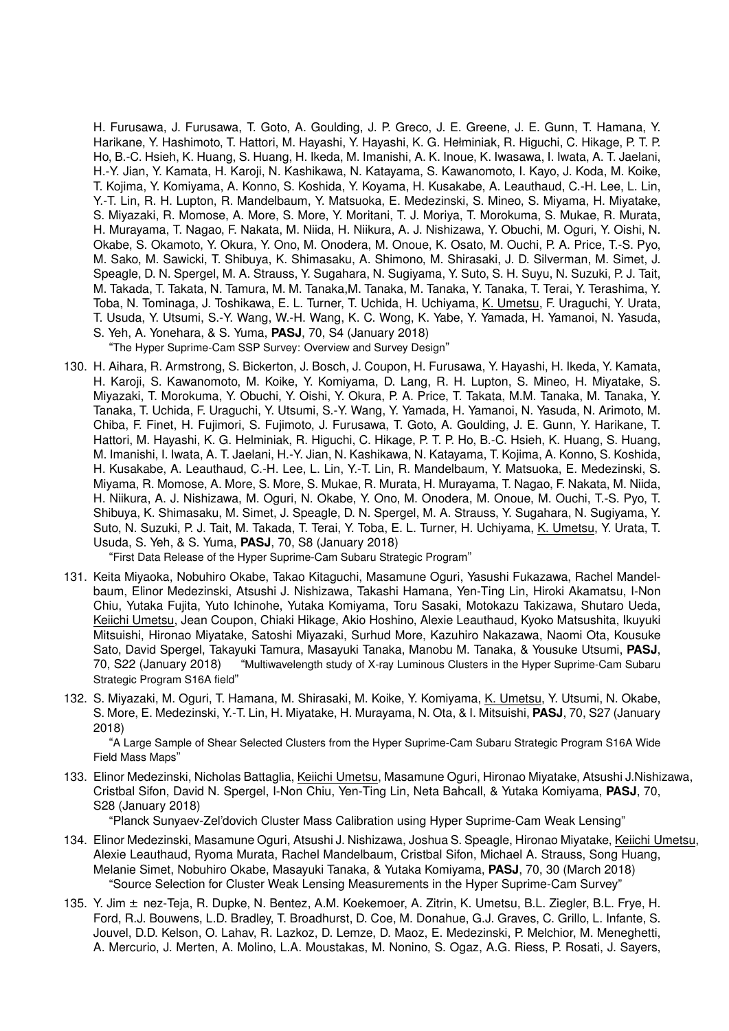H. Furusawa, J. Furusawa, T. Goto, A. Goulding, J. P. Greco, J. E. Greene, J. E. Gunn, T. Hamana, Y. Harikane, Y. Hashimoto, T. Hattori, M. Hayashi, Y. Hayashi, K. G. Hełminiak, R. Higuchi, C. Hikage, P. T. P. Ho, B.-C. Hsieh, K. Huang, S. Huang, H. Ikeda, M. Imanishi, A. K. Inoue, K. Iwasawa, I. Iwata, A. T. Jaelani, H.-Y. Jian, Y. Kamata, H. Karoji, N. Kashikawa, N. Katayama, S. Kawanomoto, I. Kayo, J. Koda, M. Koike, T. Kojima, Y. Komiyama, A. Konno, S. Koshida, Y. Koyama, H. Kusakabe, A. Leauthaud, C.-H. Lee, L. Lin, Y.-T. Lin, R. H. Lupton, R. Mandelbaum, Y. Matsuoka, E. Medezinski, S. Mineo, S. Miyama, H. Miyatake, S. Miyazaki, R. Momose, A. More, S. More, Y. Moritani, T. J. Moriya, T. Morokuma, S. Mukae, R. Murata, H. Murayama, T. Nagao, F. Nakata, M. Niida, H. Niikura, A. J. Nishizawa, Y. Obuchi, M. Oguri, Y. Oishi, N. Okabe, S. Okamoto, Y. Okura, Y. Ono, M. Onodera, M. Onoue, K. Osato, M. Ouchi, P. A. Price, T.-S. Pyo, M. Sako, M. Sawicki, T. Shibuya, K. Shimasaku, A. Shimono, M. Shirasaki, J. D. Silverman, M. Simet, J. Speagle, D. N. Spergel, M. A. Strauss, Y. Sugahara, N. Sugiyama, Y. Suto, S. H. Suyu, N. Suzuki, P. J. Tait, M. Takada, T. Takata, N. Tamura, M. M. Tanaka,M. Tanaka, M. Tanaka, Y. Tanaka, T. Terai, Y. Terashima, Y. Toba, N. Tominaga, J. Toshikawa, E. L. Turner, T. Uchida, H. Uchiyama, K. Umetsu, F. Uraguchi, Y. Urata, T. Usuda, Y. Utsumi, S.-Y. Wang, W.-H. Wang, K. C. Wong, K. Yabe, Y. Yamada, H. Yamanoi, N. Yasuda, S. Yeh, A. Yonehara, & S. Yuma, **PASJ**, 70, S4 (January 2018)

"The Hyper Suprime-Cam SSP Survey: Overview and Survey Design"

130. H. Aihara, R. Armstrong, S. Bickerton, J. Bosch, J. Coupon, H. Furusawa, Y. Hayashi, H. Ikeda, Y. Kamata, H. Karoji, S. Kawanomoto, M. Koike, Y. Komiyama, D. Lang, R. H. Lupton, S. Mineo, H. Miyatake, S. Miyazaki, T. Morokuma, Y. Obuchi, Y. Oishi, Y. Okura, P. A. Price, T. Takata, M.M. Tanaka, M. Tanaka, Y. Tanaka, T. Uchida, F. Uraguchi, Y. Utsumi, S.-Y. Wang, Y. Yamada, H. Yamanoi, N. Yasuda, N. Arimoto, M. Chiba, F. Finet, H. Fujimori, S. Fujimoto, J. Furusawa, T. Goto, A. Goulding, J. E. Gunn, Y. Harikane, T. Hattori, M. Hayashi, K. G. Helminiak, R. Higuchi, C. Hikage, P. T. P. Ho, B.-C. Hsieh, K. Huang, S. Huang, M. Imanishi, I. Iwata, A. T. Jaelani, H.-Y. Jian, N. Kashikawa, N. Katayama, T. Kojima, A. Konno, S. Koshida, H. Kusakabe, A. Leauthaud, C.-H. Lee, L. Lin, Y.-T. Lin, R. Mandelbaum, Y. Matsuoka, E. Medezinski, S. Miyama, R. Momose, A. More, S. More, S. Mukae, R. Murata, H. Murayama, T. Nagao, F. Nakata, M. Niida, H. Niikura, A. J. Nishizawa, M. Oguri, N. Okabe, Y. Ono, M. Onodera, M. Onoue, M. Ouchi, T.-S. Pyo, T. Shibuya, K. Shimasaku, M. Simet, J. Speagle, D. N. Spergel, M. A. Strauss, Y. Sugahara, N. Sugiyama, Y. Suto, N. Suzuki, P. J. Tait, M. Takada, T. Terai, Y. Toba, E. L. Turner, H. Uchiyama, K. Umetsu, Y. Urata, T. Usuda, S. Yeh, & S. Yuma, **PASJ**, 70, S8 (January 2018)

"First Data Release of the Hyper Suprime-Cam Subaru Strategic Program"

- 131. Keita Miyaoka, Nobuhiro Okabe, Takao Kitaguchi, Masamune Oguri, Yasushi Fukazawa, Rachel Mandelbaum, Elinor Medezinski, Atsushi J. Nishizawa, Takashi Hamana, Yen-Ting Lin, Hiroki Akamatsu, I-Non Chiu, Yutaka Fujita, Yuto Ichinohe, Yutaka Komiyama, Toru Sasaki, Motokazu Takizawa, Shutaro Ueda, Keiichi Umetsu, Jean Coupon, Chiaki Hikage, Akio Hoshino, Alexie Leauthaud, Kyoko Matsushita, Ikuyuki Mitsuishi, Hironao Miyatake, Satoshi Miyazaki, Surhud More, Kazuhiro Nakazawa, Naomi Ota, Kousuke Sato, David Spergel, Takayuki Tamura, Masayuki Tanaka, Manobu M. Tanaka, & Yousuke Utsumi, **PASJ**, 70, S22 (January 2018) "Multiwavelength study of X-ray Luminous Clusters in the Hyper Suprime-Cam Subaru Strategic Program S16A field"
- 132. S. Miyazaki, M. Oguri, T. Hamana, M. Shirasaki, M. Koike, Y. Komiyama, K. Umetsu, Y. Utsumi, N. Okabe, S. More, E. Medezinski, Y.-T. Lin, H. Miyatake, H. Murayama, N. Ota, & I. Mitsuishi, **PASJ**, 70, S27 (January 2018)

"A Large Sample of Shear Selected Clusters from the Hyper Suprime-Cam Subaru Strategic Program S16A Wide Field Mass Maps"

133. Elinor Medezinski, Nicholas Battaglia, Keiichi Umetsu, Masamune Oguri, Hironao Miyatake, Atsushi J.Nishizawa, Cristbal Sifon, David N. Spergel, I-Non Chiu, Yen-Ting Lin, Neta Bahcall, & Yutaka Komiyama, **PASJ**, 70, S28 (January 2018)

"Planck Sunyaev-Zel'dovich Cluster Mass Calibration using Hyper Suprime-Cam Weak Lensing"

- 134. Elinor Medezinski, Masamune Oguri, Atsushi J. Nishizawa, Joshua S. Speagle, Hironao Miyatake, Keiichi Umetsu, Alexie Leauthaud, Ryoma Murata, Rachel Mandelbaum, Cristbal Sifon, Michael A. Strauss, Song Huang, Melanie Simet, Nobuhiro Okabe, Masayuki Tanaka, & Yutaka Komiyama, **PASJ**, 70, 30 (March 2018) "Source Selection for Cluster Weak Lensing Measurements in the Hyper Suprime-Cam Survey"
- 135. Y. Jim ± nez-Teja, R. Dupke, N. Bentez, A.M. Koekemoer, A. Zitrin, K. Umetsu, B.L. Ziegler, B.L. Frye, H. Ford, R.J. Bouwens, L.D. Bradley, T. Broadhurst, D. Coe, M. Donahue, G.J. Graves, C. Grillo, L. Infante, S. Jouvel, D.D. Kelson, O. Lahav, R. Lazkoz, D. Lemze, D. Maoz, E. Medezinski, P. Melchior, M. Meneghetti, A. Mercurio, J. Merten, A. Molino, L.A. Moustakas, M. Nonino, S. Ogaz, A.G. Riess, P. Rosati, J. Sayers,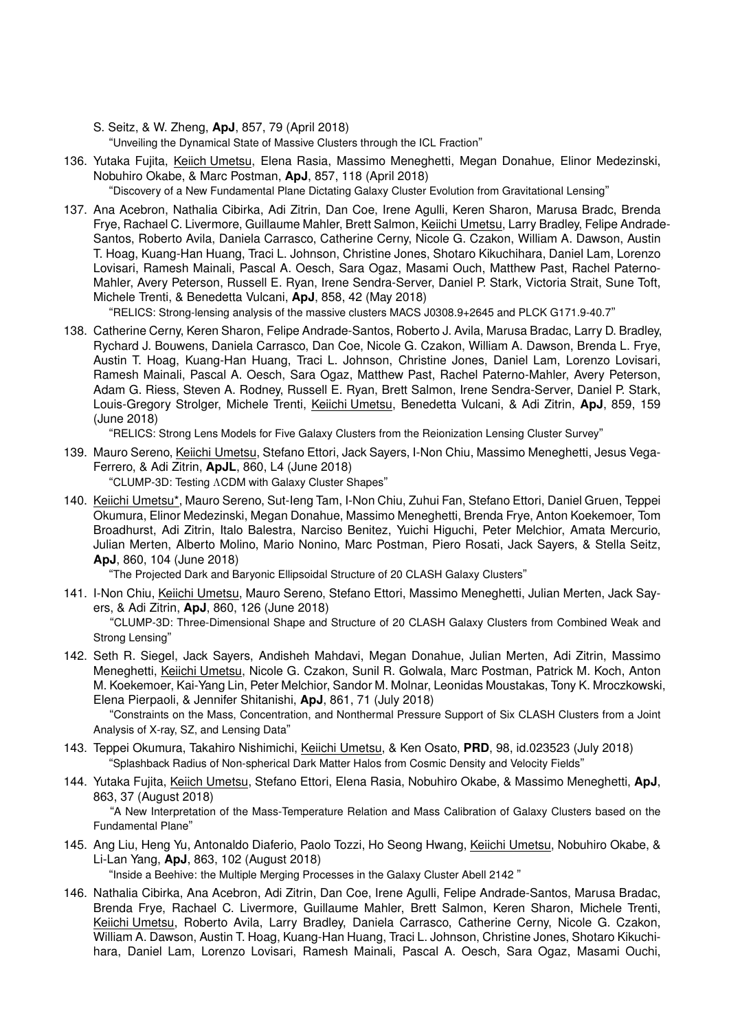S. Seitz, & W. Zheng, **ApJ**, 857, 79 (April 2018) "Unveiling the Dynamical State of Massive Clusters through the ICL Fraction"

136. Yutaka Fujita, Keiich Umetsu, Elena Rasia, Massimo Meneghetti, Megan Donahue, Elinor Medezinski, Nobuhiro Okabe, & Marc Postman, **ApJ**, 857, 118 (April 2018)

"Discovery of a New Fundamental Plane Dictating Galaxy Cluster Evolution from Gravitational Lensing"

137. Ana Acebron, Nathalia Cibirka, Adi Zitrin, Dan Coe, Irene Agulli, Keren Sharon, Marusa Bradc, Brenda Frye, Rachael C. Livermore, Guillaume Mahler, Brett Salmon, Keiichi Umetsu, Larry Bradley, Felipe Andrade-Santos, Roberto Avila, Daniela Carrasco, Catherine Cerny, Nicole G. Czakon, William A. Dawson, Austin T. Hoag, Kuang-Han Huang, Traci L. Johnson, Christine Jones, Shotaro Kikuchihara, Daniel Lam, Lorenzo Lovisari, Ramesh Mainali, Pascal A. Oesch, Sara Ogaz, Masami Ouch, Matthew Past, Rachel Paterno-Mahler, Avery Peterson, Russell E. Ryan, Irene Sendra-Server, Daniel P. Stark, Victoria Strait, Sune Toft, Michele Trenti, & Benedetta Vulcani, **ApJ**, 858, 42 (May 2018)

"RELICS: Strong-lensing analysis of the massive clusters MACS J0308.9+2645 and PLCK G171.9-40.7"

138. Catherine Cerny, Keren Sharon, Felipe Andrade-Santos, Roberto J. Avila, Marusa Bradac, Larry D. Bradley, Rychard J. Bouwens, Daniela Carrasco, Dan Coe, Nicole G. Czakon, William A. Dawson, Brenda L. Frye, Austin T. Hoag, Kuang-Han Huang, Traci L. Johnson, Christine Jones, Daniel Lam, Lorenzo Lovisari, Ramesh Mainali, Pascal A. Oesch, Sara Ogaz, Matthew Past, Rachel Paterno-Mahler, Avery Peterson, Adam G. Riess, Steven A. Rodney, Russell E. Ryan, Brett Salmon, Irene Sendra-Server, Daniel P. Stark, Louis-Gregory Strolger, Michele Trenti, Keiichi Umetsu, Benedetta Vulcani, & Adi Zitrin, **ApJ**, 859, 159 (June 2018)

"RELICS: Strong Lens Models for Five Galaxy Clusters from the Reionization Lensing Cluster Survey"

139. Mauro Sereno, Keiichi Umetsu, Stefano Ettori, Jack Sayers, I-Non Chiu, Massimo Meneghetti, Jesus Vega-Ferrero, & Adi Zitrin, **ApJL**, 860, L4 (June 2018)

"CLUMP-3D: Testing ΛCDM with Galaxy Cluster Shapes"

140. Keiichi Umetsu\*, Mauro Sereno, Sut-Ieng Tam, I-Non Chiu, Zuhui Fan, Stefano Ettori, Daniel Gruen, Teppei Okumura, Elinor Medezinski, Megan Donahue, Massimo Meneghetti, Brenda Frye, Anton Koekemoer, Tom Broadhurst, Adi Zitrin, Italo Balestra, Narciso Benitez, Yuichi Higuchi, Peter Melchior, Amata Mercurio, Julian Merten, Alberto Molino, Mario Nonino, Marc Postman, Piero Rosati, Jack Sayers, & Stella Seitz, **ApJ**, 860, 104 (June 2018)

"The Projected Dark and Baryonic Ellipsoidal Structure of 20 CLASH Galaxy Clusters"

141. I-Non Chiu, Keiichi Umetsu, Mauro Sereno, Stefano Ettori, Massimo Meneghetti, Julian Merten, Jack Sayers, & Adi Zitrin, **ApJ**, 860, 126 (June 2018)

"CLUMP-3D: Three-Dimensional Shape and Structure of 20 CLASH Galaxy Clusters from Combined Weak and Strong Lensing"

142. Seth R. Siegel, Jack Sayers, Andisheh Mahdavi, Megan Donahue, Julian Merten, Adi Zitrin, Massimo Meneghetti, Keiichi Umetsu, Nicole G. Czakon, Sunil R. Golwala, Marc Postman, Patrick M. Koch, Anton M. Koekemoer, Kai-Yang Lin, Peter Melchior, Sandor M. Molnar, Leonidas Moustakas, Tony K. Mroczkowski, Elena Pierpaoli, & Jennifer Shitanishi, **ApJ**, 861, 71 (July 2018)

"Constraints on the Mass, Concentration, and Nonthermal Pressure Support of Six CLASH Clusters from a Joint Analysis of X-ray, SZ, and Lensing Data"

- 143. Teppei Okumura, Takahiro Nishimichi, Keiichi Umetsu, & Ken Osato, **PRD**, 98, id.023523 (July 2018) "Splashback Radius of Non-spherical Dark Matter Halos from Cosmic Density and Velocity Fields"
- 144. Yutaka Fujita, Keiich Umetsu, Stefano Ettori, Elena Rasia, Nobuhiro Okabe, & Massimo Meneghetti, **ApJ**, 863, 37 (August 2018)

"A New Interpretation of the Mass-Temperature Relation and Mass Calibration of Galaxy Clusters based on the Fundamental Plane"

145. Ang Liu, Heng Yu, Antonaldo Diaferio, Paolo Tozzi, Ho Seong Hwang, Keiichi Umetsu, Nobuhiro Okabe, & Li-Lan Yang, **ApJ**, 863, 102 (August 2018)

"Inside a Beehive: the Multiple Merging Processes in the Galaxy Cluster Abell 2142 "

146. Nathalia Cibirka, Ana Acebron, Adi Zitrin, Dan Coe, Irene Agulli, Felipe Andrade-Santos, Marusa Bradac, Brenda Frye, Rachael C. Livermore, Guillaume Mahler, Brett Salmon, Keren Sharon, Michele Trenti, Keiichi Umetsu, Roberto Avila, Larry Bradley, Daniela Carrasco, Catherine Cerny, Nicole G. Czakon, William A. Dawson, Austin T. Hoag, Kuang-Han Huang, Traci L. Johnson, Christine Jones, Shotaro Kikuchihara, Daniel Lam, Lorenzo Lovisari, Ramesh Mainali, Pascal A. Oesch, Sara Ogaz, Masami Ouchi,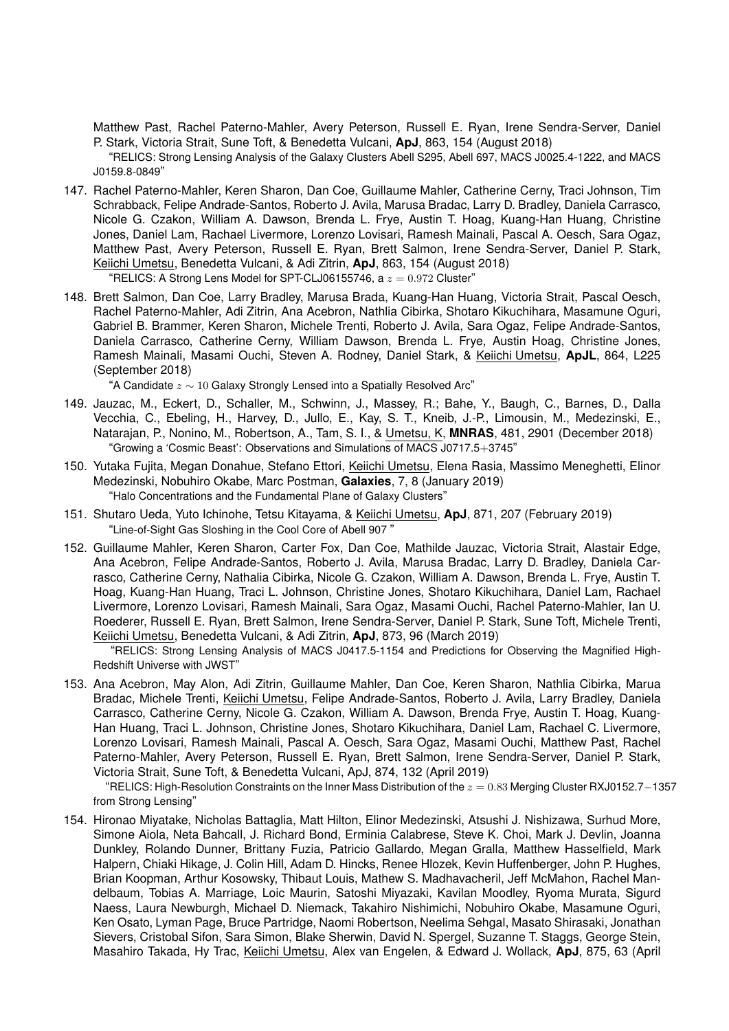Matthew Past, Rachel Paterno-Mahler, Avery Peterson, Russell E. Ryan, Irene Sendra-Server, Daniel P. Stark, Victoria Strait, Sune Toft, & Benedetta Vulcani, **ApJ**, 863, 154 (August 2018)

"RELICS: Strong Lensing Analysis of the Galaxy Clusters Abell S295, Abell 697, MACS J0025.4-1222, and MACS J0159.8-0849"

- 147. Rachel Paterno-Mahler, Keren Sharon, Dan Coe, Guillaume Mahler, Catherine Cerny, Traci Johnson, Tim Schrabback, Felipe Andrade-Santos, Roberto J. Avila, Marusa Bradac, Larry D. Bradley, Daniela Carrasco, Nicole G. Czakon, William A. Dawson, Brenda L. Frye, Austin T. Hoag, Kuang-Han Huang, Christine Jones, Daniel Lam, Rachael Livermore, Lorenzo Lovisari, Ramesh Mainali, Pascal A. Oesch, Sara Ogaz, Matthew Past, Avery Peterson, Russell E. Ryan, Brett Salmon, Irene Sendra-Server, Daniel P. Stark, Keiichi Umetsu, Benedetta Vulcani, & Adi Zitrin, **ApJ**, 863, 154 (August 2018) "RELICS: A Strong Lens Model for SPT-CLJ06155746, a  $z = 0.972$  Cluster"
- 148. Brett Salmon, Dan Coe, Larry Bradley, Marusa Brada, Kuang-Han Huang, Victoria Strait, Pascal Oesch, Rachel Paterno-Mahler, Adi Zitrin, Ana Acebron, Nathlia Cibirka, Shotaro Kikuchihara, Masamune Oguri, Gabriel B. Brammer, Keren Sharon, Michele Trenti, Roberto J. Avila, Sara Ogaz, Felipe Andrade-Santos, Daniela Carrasco, Catherine Cerny, William Dawson, Brenda L. Frye, Austin Hoag, Christine Jones, Ramesh Mainali, Masami Ouchi, Steven A. Rodney, Daniel Stark, & Keiichi Umetsu, **ApJL**, 864, L225 (September 2018)

"A Candidate *z ∼* 10 Galaxy Strongly Lensed into a Spatially Resolved Arc"

- 149. Jauzac, M., Eckert, D., Schaller, M., Schwinn, J., Massey, R.; Bahe, Y., Baugh, C., Barnes, D., Dalla Vecchia, C., Ebeling, H., Harvey, D., Jullo, E., Kay, S. T., Kneib, J.-P., Limousin, M., Medezinski, E., Natarajan, P., Nonino, M., Robertson, A., Tam, S. I., & Umetsu, K, **MNRAS**, 481, 2901 (December 2018) "Growing a 'Cosmic Beast': Observations and Simulations of MACS J0717.5+3745"
- 150. Yutaka Fujita, Megan Donahue, Stefano Ettori, Keiichi Umetsu, Elena Rasia, Massimo Meneghetti, Elinor Medezinski, Nobuhiro Okabe, Marc Postman, **Galaxies**, 7, 8 (January 2019) "Halo Concentrations and the Fundamental Plane of Galaxy Clusters"
- 151. Shutaro Ueda, Yuto Ichinohe, Tetsu Kitayama, & Keiichi Umetsu, **ApJ**, 871, 207 (February 2019) "Line-of-Sight Gas Sloshing in the Cool Core of Abell 907 "
- 152. Guillaume Mahler, Keren Sharon, Carter Fox, Dan Coe, Mathilde Jauzac, Victoria Strait, Alastair Edge, Ana Acebron, Felipe Andrade-Santos, Roberto J. Avila, Marusa Bradac, Larry D. Bradley, Daniela Carrasco, Catherine Cerny, Nathalia Cibirka, Nicole G. Czakon, William A. Dawson, Brenda L. Frye, Austin T. Hoag, Kuang-Han Huang, Traci L. Johnson, Christine Jones, Shotaro Kikuchihara, Daniel Lam, Rachael Livermore, Lorenzo Lovisari, Ramesh Mainali, Sara Ogaz, Masami Ouchi, Rachel Paterno-Mahler, Ian U. Roederer, Russell E. Ryan, Brett Salmon, Irene Sendra-Server, Daniel P. Stark, Sune Toft, Michele Trenti, Keiichi Umetsu, Benedetta Vulcani, & Adi Zitrin, **ApJ**, 873, 96 (March 2019)

"RELICS: Strong Lensing Analysis of MACS J0417.5-1154 and Predictions for Observing the Magnified High-Redshift Universe with JWST"

153. Ana Acebron, May Alon, Adi Zitrin, Guillaume Mahler, Dan Coe, Keren Sharon, Nathlia Cibirka, Marua Bradac, Michele Trenti, Keiichi Umetsu, Felipe Andrade-Santos, Roberto J. Avila, Larry Bradley, Daniela Carrasco, Catherine Cerny, Nicole G. Czakon, William A. Dawson, Brenda Frye, Austin T. Hoag, Kuang-Han Huang, Traci L. Johnson, Christine Jones, Shotaro Kikuchihara, Daniel Lam, Rachael C. Livermore, Lorenzo Lovisari, Ramesh Mainali, Pascal A. Oesch, Sara Ogaz, Masami Ouchi, Matthew Past, Rachel Paterno-Mahler, Avery Peterson, Russell E. Ryan, Brett Salmon, Irene Sendra-Server, Daniel P. Stark, Victoria Strait, Sune Toft, & Benedetta Vulcani, ApJ, 874, 132 (April 2019)

"RELICS: High-Resolution Constraints on the Inner Mass Distribution of the *z* = 0*.*83 Merging Cluster RXJ0152.7*−*1357 from Strong Lensing"

154. Hironao Miyatake, Nicholas Battaglia, Matt Hilton, Elinor Medezinski, Atsushi J. Nishizawa, Surhud More, Simone Aiola, Neta Bahcall, J. Richard Bond, Erminia Calabrese, Steve K. Choi, Mark J. Devlin, Joanna Dunkley, Rolando Dunner, Brittany Fuzia, Patricio Gallardo, Megan Gralla, Matthew Hasselfield, Mark Halpern, Chiaki Hikage, J. Colin Hill, Adam D. Hincks, Renee Hlozek, Kevin Huffenberger, John P. Hughes, Brian Koopman, Arthur Kosowsky, Thibaut Louis, Mathew S. Madhavacheril, Jeff McMahon, Rachel Mandelbaum, Tobias A. Marriage, Loic Maurin, Satoshi Miyazaki, Kavilan Moodley, Ryoma Murata, Sigurd Naess, Laura Newburgh, Michael D. Niemack, Takahiro Nishimichi, Nobuhiro Okabe, Masamune Oguri, Ken Osato, Lyman Page, Bruce Partridge, Naomi Robertson, Neelima Sehgal, Masato Shirasaki, Jonathan Sievers, Cristobal Sifon, Sara Simon, Blake Sherwin, David N. Spergel, Suzanne T. Staggs, George Stein, Masahiro Takada, Hy Trac, Keiichi Umetsu, Alex van Engelen, & Edward J. Wollack, **ApJ**, 875, 63 (April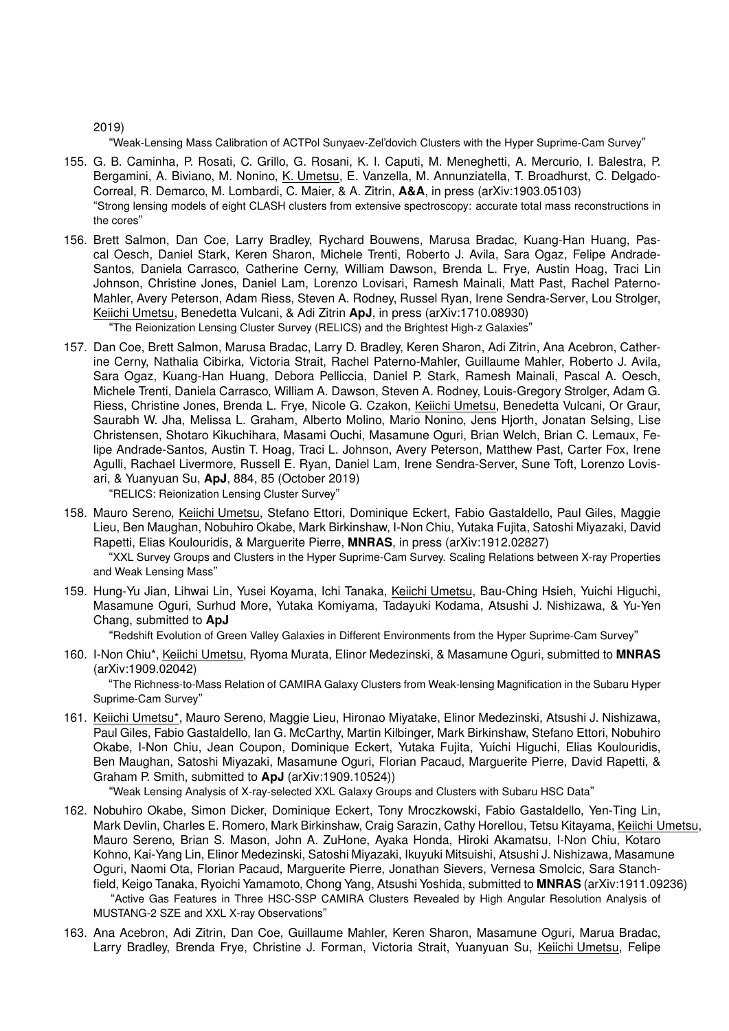2019)

"Weak-Lensing Mass Calibration of ACTPol Sunyaev-Zel'dovich Clusters with the Hyper Suprime-Cam Survey"

- 155. G. B. Caminha, P. Rosati, C. Grillo, G. Rosani, K. I. Caputi, M. Meneghetti, A. Mercurio, I. Balestra, P. Bergamini, A. Biviano, M. Nonino, K. Umetsu, E. Vanzella, M. Annunziatella, T. Broadhurst, C. Delgado-Correal, R. Demarco, M. Lombardi, C. Maier, & A. Zitrin, **A&A**, in press (arXiv:1903.05103) "Strong lensing models of eight CLASH clusters from extensive spectroscopy: accurate total mass reconstructions in the cores"
- 156. Brett Salmon, Dan Coe, Larry Bradley, Rychard Bouwens, Marusa Bradac, Kuang-Han Huang, Pascal Oesch, Daniel Stark, Keren Sharon, Michele Trenti, Roberto J. Avila, Sara Ogaz, Felipe Andrade-Santos, Daniela Carrasco, Catherine Cerny, William Dawson, Brenda L. Frye, Austin Hoag, Traci Lin Johnson, Christine Jones, Daniel Lam, Lorenzo Lovisari, Ramesh Mainali, Matt Past, Rachel Paterno-Mahler, Avery Peterson, Adam Riess, Steven A. Rodney, Russel Ryan, Irene Sendra-Server, Lou Strolger, Keiichi Umetsu, Benedetta Vulcani, & Adi Zitrin **ApJ**, in press (arXiv:1710.08930) "The Reionization Lensing Cluster Survey (RELICS) and the Brightest High-z Galaxies"
- 157. Dan Coe, Brett Salmon, Marusa Bradac, Larry D. Bradley, Keren Sharon, Adi Zitrin, Ana Acebron, Catherine Cerny, Nathalia Cibirka, Victoria Strait, Rachel Paterno-Mahler, Guillaume Mahler, Roberto J. Avila, Sara Ogaz, Kuang-Han Huang, Debora Pelliccia, Daniel P. Stark, Ramesh Mainali, Pascal A. Oesch, Michele Trenti, Daniela Carrasco, William A. Dawson, Steven A. Rodney, Louis-Gregory Strolger, Adam G. Riess, Christine Jones, Brenda L. Frye, Nicole G. Czakon, Keiichi Umetsu, Benedetta Vulcani, Or Graur, Saurabh W. Jha, Melissa L. Graham, Alberto Molino, Mario Nonino, Jens Hjorth, Jonatan Selsing, Lise Christensen, Shotaro Kikuchihara, Masami Ouchi, Masamune Oguri, Brian Welch, Brian C. Lemaux, Felipe Andrade-Santos, Austin T. Hoag, Traci L. Johnson, Avery Peterson, Matthew Past, Carter Fox, Irene Agulli, Rachael Livermore, Russell E. Ryan, Daniel Lam, Irene Sendra-Server, Sune Toft, Lorenzo Lovisari, & Yuanyuan Su, **ApJ**, 884, 85 (October 2019)

"RELICS: Reionization Lensing Cluster Survey"

- 158. Mauro Sereno, Keiichi Umetsu, Stefano Ettori, Dominique Eckert, Fabio Gastaldello, Paul Giles, Maggie Lieu, Ben Maughan, Nobuhiro Okabe, Mark Birkinshaw, I-Non Chiu, Yutaka Fujita, Satoshi Miyazaki, David Rapetti, Elias Koulouridis, & Marguerite Pierre, **MNRAS**, in press (arXiv:1912.02827) "XXL Survey Groups and Clusters in the Hyper Suprime-Cam Survey. Scaling Relations between X-ray Properties and Weak Lensing Mass"
- 159. Hung-Yu Jian, Lihwai Lin, Yusei Koyama, Ichi Tanaka, Keiichi Umetsu, Bau-Ching Hsieh, Yuichi Higuchi, Masamune Oguri, Surhud More, Yutaka Komiyama, Tadayuki Kodama, Atsushi J. Nishizawa, & Yu-Yen Chang, submitted to **ApJ**

"Redshift Evolution of Green Valley Galaxies in Different Environments from the Hyper Suprime-Cam Survey"

160. I-Non Chiu\*, Keiichi Umetsu, Ryoma Murata, Elinor Medezinski, & Masamune Oguri, submitted to **MNRAS** (arXiv:1909.02042)

"The Richness-to-Mass Relation of CAMIRA Galaxy Clusters from Weak-lensing Magnification in the Subaru Hyper Suprime-Cam Survey"

161. Keiichi Umetsu\*, Mauro Sereno, Maggie Lieu, Hironao Miyatake, Elinor Medezinski, Atsushi J. Nishizawa, Paul Giles, Fabio Gastaldello, Ian G. McCarthy, Martin Kilbinger, Mark Birkinshaw, Stefano Ettori, Nobuhiro Okabe, I-Non Chiu, Jean Coupon, Dominique Eckert, Yutaka Fujita, Yuichi Higuchi, Elias Koulouridis, Ben Maughan, Satoshi Miyazaki, Masamune Oguri, Florian Pacaud, Marguerite Pierre, David Rapetti, & Graham P. Smith, submitted to **ApJ** (arXiv:1909.10524))

"Weak Lensing Analysis of X-ray-selected XXL Galaxy Groups and Clusters with Subaru HSC Data"

- 162. Nobuhiro Okabe, Simon Dicker, Dominique Eckert, Tony Mroczkowski, Fabio Gastaldello, Yen-Ting Lin, Mark Devlin, Charles E. Romero, Mark Birkinshaw, Craig Sarazin, Cathy Horellou, Tetsu Kitayama, Keiichi Umetsu, Mauro Sereno, Brian S. Mason, John A. ZuHone, Ayaka Honda, Hiroki Akamatsu, I-Non Chiu, Kotaro Kohno, Kai-Yang Lin, Elinor Medezinski, Satoshi Miyazaki, Ikuyuki Mitsuishi, Atsushi J. Nishizawa, Masamune Oguri, Naomi Ota, Florian Pacaud, Marguerite Pierre, Jonathan Sievers, Vernesa Smolcic, Sara Stanchfield, Keigo Tanaka, Ryoichi Yamamoto, Chong Yang, Atsushi Yoshida, submitted to **MNRAS** (arXiv:1911.09236) "Active Gas Features in Three HSC-SSP CAMIRA Clusters Revealed by High Angular Resolution Analysis of MUSTANG-2 SZE and XXL X-ray Observations"
- 163. Ana Acebron, Adi Zitrin, Dan Coe, Guillaume Mahler, Keren Sharon, Masamune Oguri, Marua Bradac, Larry Bradley, Brenda Frye, Christine J. Forman, Victoria Strait, Yuanyuan Su, Keiichi Umetsu, Felipe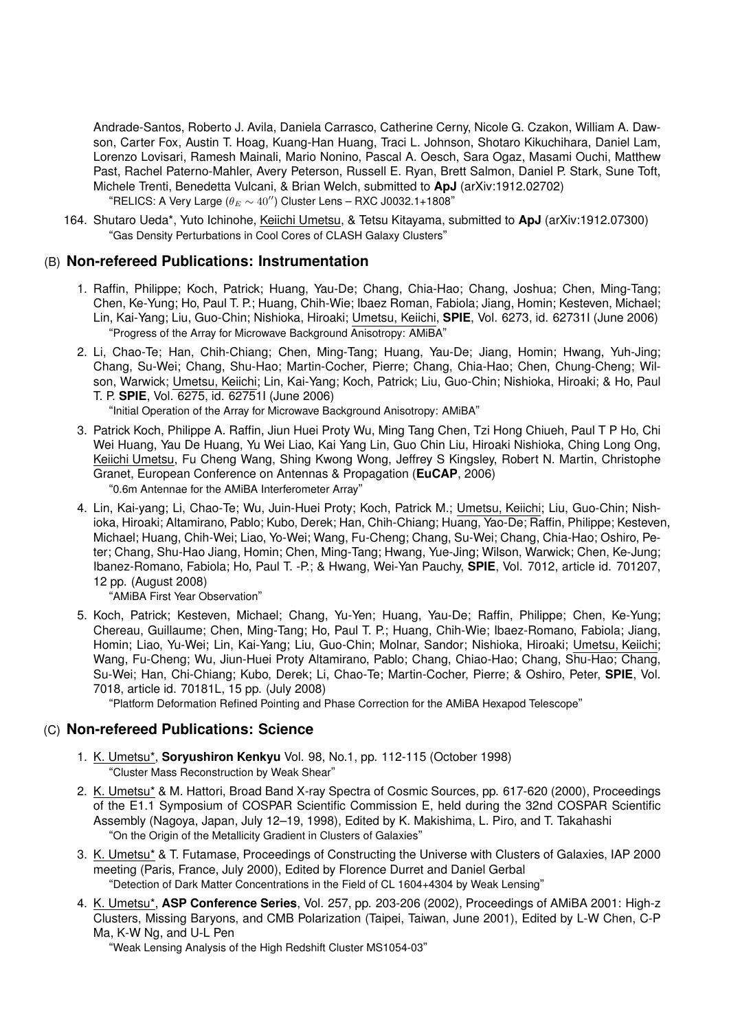Andrade-Santos, Roberto J. Avila, Daniela Carrasco, Catherine Cerny, Nicole G. Czakon, William A. Dawson, Carter Fox, Austin T. Hoag, Kuang-Han Huang, Traci L. Johnson, Shotaro Kikuchihara, Daniel Lam, Lorenzo Lovisari, Ramesh Mainali, Mario Nonino, Pascal A. Oesch, Sara Ogaz, Masami Ouchi, Matthew Past, Rachel Paterno-Mahler, Avery Peterson, Russell E. Ryan, Brett Salmon, Daniel P. Stark, Sune Toft, Michele Trenti, Benedetta Vulcani, & Brian Welch, submitted to **ApJ** (arXiv:1912.02702) "RELICS: A Very Large (*θ<sup>E</sup> ∼* 40*′′*) Cluster Lens – RXC J0032.1+1808"

164. Shutaro Ueda\*, Yuto Ichinohe, Keiichi Umetsu, & Tetsu Kitayama, submitted to **ApJ** (arXiv:1912.07300) "Gas Density Perturbations in Cool Cores of CLASH Galaxy Clusters"

#### (B) **Non-refereed Publications: Instrumentation**

- 1. Raffin, Philippe; Koch, Patrick; Huang, Yau-De; Chang, Chia-Hao; Chang, Joshua; Chen, Ming-Tang; Chen, Ke-Yung; Ho, Paul T. P.; Huang, Chih-Wie; Ibaez Roman, Fabiola; Jiang, Homin; Kesteven, Michael; Lin, Kai-Yang; Liu, Guo-Chin; Nishioka, Hiroaki; Umetsu, Keiichi, **SPIE**, Vol. 6273, id. 62731I (June 2006) "Progress of the Array for Microwave Background Anisotropy: AMiBA"
- 2. Li, Chao-Te; Han, Chih-Chiang; Chen, Ming-Tang; Huang, Yau-De; Jiang, Homin; Hwang, Yuh-Jing; Chang, Su-Wei; Chang, Shu-Hao; Martin-Cocher, Pierre; Chang, Chia-Hao; Chen, Chung-Cheng; Wilson, Warwick; Umetsu, Keiichi; Lin, Kai-Yang; Koch, Patrick; Liu, Guo-Chin; Nishioka, Hiroaki; & Ho, Paul T. P. **SPIE**, Vol. 6275, id. 62751I (June 2006)

"Initial Operation of the Array for Microwave Background Anisotropy: AMiBA"

- 3. Patrick Koch, Philippe A. Raffin, Jiun Huei Proty Wu, Ming Tang Chen, Tzi Hong Chiueh, Paul T P Ho, Chi Wei Huang, Yau De Huang, Yu Wei Liao, Kai Yang Lin, Guo Chin Liu, Hiroaki Nishioka, Ching Long Ong, Keiichi Umetsu, Fu Cheng Wang, Shing Kwong Wong, Jeffrey S Kingsley, Robert N. Martin, Christophe Granet, European Conference on Antennas & Propagation (**EuCAP**, 2006) "0.6m Antennae for the AMiBA Interferometer Array"
	-
- 4. Lin, Kai-yang; Li, Chao-Te; Wu, Juin-Huei Proty; Koch, Patrick M.; Umetsu, Keiichi; Liu, Guo-Chin; Nishioka, Hiroaki; Altamirano, Pablo; Kubo, Derek; Han, Chih-Chiang; Huang, Yao-De; Raffin, Philippe; Kesteven, Michael; Huang, Chih-Wei; Liao, Yo-Wei; Wang, Fu-Cheng; Chang, Su-Wei; Chang, Chia-Hao; Oshiro, Peter; Chang, Shu-Hao Jiang, Homin; Chen, Ming-Tang; Hwang, Yue-Jing; Wilson, Warwick; Chen, Ke-Jung; Ibanez-Romano, Fabiola; Ho, Paul T. -P.; & Hwang, Wei-Yan Pauchy, **SPIE**, Vol. 7012, article id. 701207, 12 pp. (August 2008)

"AMiBA First Year Observation"

5. Koch, Patrick; Kesteven, Michael; Chang, Yu-Yen; Huang, Yau-De; Raffin, Philippe; Chen, Ke-Yung; Chereau, Guillaume; Chen, Ming-Tang; Ho, Paul T. P.; Huang, Chih-Wie; Ibaez-Romano, Fabiola; Jiang, Homin; Liao, Yu-Wei; Lin, Kai-Yang; Liu, Guo-Chin; Molnar, Sandor; Nishioka, Hiroaki; Umetsu, Keiichi; Wang, Fu-Cheng; Wu, Jiun-Huei Proty Altamirano, Pablo; Chang, Chiao-Hao; Chang, Shu-Hao; Chang, Su-Wei; Han, Chi-Chiang; Kubo, Derek; Li, Chao-Te; Martin-Cocher, Pierre; & Oshiro, Peter, **SPIE**, Vol. 7018, article id. 70181L, 15 pp. (July 2008)

"Platform Deformation Refined Pointing and Phase Correction for the AMiBA Hexapod Telescope"

#### (C) **Non-refereed Publications: Science**

- 1. K. Umetsu\*, **Soryushiron Kenkyu** Vol. 98, No.1, pp. 112-115 (October 1998) "Cluster Mass Reconstruction by Weak Shear"
- 2. K. Umetsu\* & M. Hattori, Broad Band X-ray Spectra of Cosmic Sources, pp. 617-620 (2000), Proceedings of the E1.1 Symposium of COSPAR Scientific Commission E, held during the 32nd COSPAR Scientific Assembly (Nagoya, Japan, July 12–19, 1998), Edited by K. Makishima, L. Piro, and T. Takahashi "On the Origin of the Metallicity Gradient in Clusters of Galaxies"
- 3. K. Umetsu\* & T. Futamase, Proceedings of Constructing the Universe with Clusters of Galaxies, IAP 2000 meeting (Paris, France, July 2000), Edited by Florence Durret and Daniel Gerbal "Detection of Dark Matter Concentrations in the Field of CL 1604+4304 by Weak Lensing"
- 4. K. Umetsu\*, **ASP Conference Series**, Vol. 257, pp. 203-206 (2002), Proceedings of AMiBA 2001: High-z Clusters, Missing Baryons, and CMB Polarization (Taipei, Taiwan, June 2001), Edited by L-W Chen, C-P Ma, K-W Ng, and U-L Pen

"Weak Lensing Analysis of the High Redshift Cluster MS1054-03"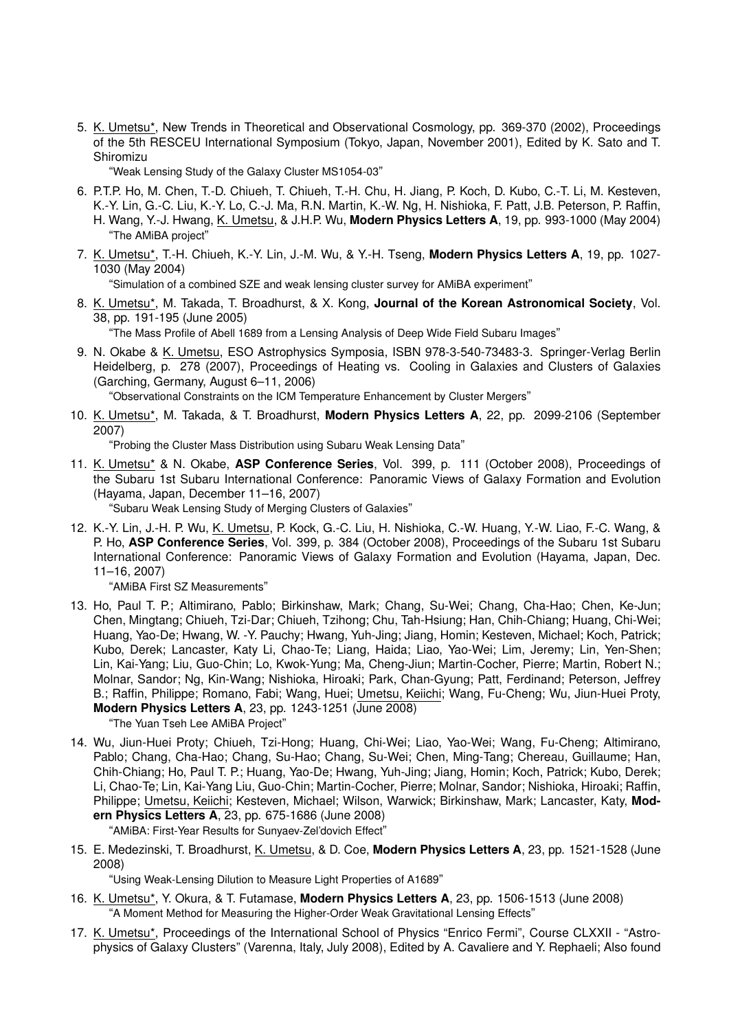5. K. Umetsu\*, New Trends in Theoretical and Observational Cosmology, pp. 369-370 (2002), Proceedings of the 5th RESCEU International Symposium (Tokyo, Japan, November 2001), Edited by K. Sato and T. Shiromizu

"Weak Lensing Study of the Galaxy Cluster MS1054-03"

- 6. P.T.P. Ho, M. Chen, T.-D. Chiueh, T. Chiueh, T.-H. Chu, H. Jiang, P. Koch, D. Kubo, C.-T. Li, M. Kesteven, K.-Y. Lin, G.-C. Liu, K.-Y. Lo, C.-J. Ma, R.N. Martin, K.-W. Ng, H. Nishioka, F. Patt, J.B. Peterson, P. Raffin, H. Wang, Y.-J. Hwang, K. Umetsu, & J.H.P. Wu, **Modern Physics Letters A**, 19, pp. 993-1000 (May 2004) "The AMiBA project"
- 7. K. Umetsu\*, T.-H. Chiueh, K.-Y. Lin, J.-M. Wu, & Y.-H. Tseng, **Modern Physics Letters A**, 19, pp. 1027- 1030 (May 2004)

"Simulation of a combined SZE and weak lensing cluster survey for AMiBA experiment"

8. K. Umetsu\*, M. Takada, T. Broadhurst, & X. Kong, **Journal of the Korean Astronomical Society**, Vol. 38, pp. 191-195 (June 2005)

"The Mass Profile of Abell 1689 from a Lensing Analysis of Deep Wide Field Subaru Images"

9. N. Okabe & K. Umetsu, ESO Astrophysics Symposia, ISBN 978-3-540-73483-3. Springer-Verlag Berlin Heidelberg, p. 278 (2007), Proceedings of Heating vs. Cooling in Galaxies and Clusters of Galaxies (Garching, Germany, August 6–11, 2006)

"Observational Constraints on the ICM Temperature Enhancement by Cluster Mergers"

10. K. Umetsu\*, M. Takada, & T. Broadhurst, **Modern Physics Letters A**, 22, pp. 2099-2106 (September 2007)

"Probing the Cluster Mass Distribution using Subaru Weak Lensing Data"

11. K. Umetsu\* & N. Okabe, **ASP Conference Series**, Vol. 399, p. 111 (October 2008), Proceedings of the Subaru 1st Subaru International Conference: Panoramic Views of Galaxy Formation and Evolution (Hayama, Japan, December 11–16, 2007)

"Subaru Weak Lensing Study of Merging Clusters of Galaxies"

12. K.-Y. Lin, J.-H. P. Wu, K. Umetsu, P. Kock, G.-C. Liu, H. Nishioka, C.-W. Huang, Y.-W. Liao, F.-C. Wang, & P. Ho, **ASP Conference Series**, Vol. 399, p. 384 (October 2008), Proceedings of the Subaru 1st Subaru International Conference: Panoramic Views of Galaxy Formation and Evolution (Hayama, Japan, Dec. 11–16, 2007)

"AMiBA First SZ Measurements"

13. Ho, Paul T. P.; Altimirano, Pablo; Birkinshaw, Mark; Chang, Su-Wei; Chang, Cha-Hao; Chen, Ke-Jun; Chen, Mingtang; Chiueh, Tzi-Dar; Chiueh, Tzihong; Chu, Tah-Hsiung; Han, Chih-Chiang; Huang, Chi-Wei; Huang, Yao-De; Hwang, W. -Y. Pauchy; Hwang, Yuh-Jing; Jiang, Homin; Kesteven, Michael; Koch, Patrick; Kubo, Derek; Lancaster, Katy Li, Chao-Te; Liang, Haida; Liao, Yao-Wei; Lim, Jeremy; Lin, Yen-Shen; Lin, Kai-Yang; Liu, Guo-Chin; Lo, Kwok-Yung; Ma, Cheng-Jiun; Martin-Cocher, Pierre; Martin, Robert N.; Molnar, Sandor; Ng, Kin-Wang; Nishioka, Hiroaki; Park, Chan-Gyung; Patt, Ferdinand; Peterson, Jeffrey B.; Raffin, Philippe; Romano, Fabi; Wang, Huei; Umetsu, Keiichi; Wang, Fu-Cheng; Wu, Jiun-Huei Proty, **Modern Physics Letters A**, 23, pp. 1243-1251 (June 2008)

"The Yuan Tseh Lee AMiBA Project"

- 14. Wu, Jiun-Huei Proty; Chiueh, Tzi-Hong; Huang, Chi-Wei; Liao, Yao-Wei; Wang, Fu-Cheng; Altimirano, Pablo; Chang, Cha-Hao; Chang, Su-Hao; Chang, Su-Wei; Chen, Ming-Tang; Chereau, Guillaume; Han, Chih-Chiang; Ho, Paul T. P.; Huang, Yao-De; Hwang, Yuh-Jing; Jiang, Homin; Koch, Patrick; Kubo, Derek; Li, Chao-Te; Lin, Kai-Yang Liu, Guo-Chin; Martin-Cocher, Pierre; Molnar, Sandor; Nishioka, Hiroaki; Raffin, Philippe; Umetsu, Keiichi; Kesteven, Michael; Wilson, Warwick; Birkinshaw, Mark; Lancaster, Katy, **Modern Physics Letters A**, 23, pp. 675-1686 (June 2008) "AMiBA: First-Year Results for Sunyaev-Zel'dovich Effect"
- 15. E. Medezinski, T. Broadhurst, K. Umetsu, & D. Coe, **Modern Physics Letters A**, 23, pp. 1521-1528 (June 2008)

"Using Weak-Lensing Dilution to Measure Light Properties of A1689"

- 16. K. Umetsu\*, Y. Okura, & T. Futamase, **Modern Physics Letters A**, 23, pp. 1506-1513 (June 2008) "A Moment Method for Measuring the Higher-Order Weak Gravitational Lensing Effects"
- 17. K. Umetsu\*, Proceedings of the International School of Physics "Enrico Fermi", Course CLXXII "Astrophysics of Galaxy Clusters" (Varenna, Italy, July 2008), Edited by A. Cavaliere and Y. Rephaeli; Also found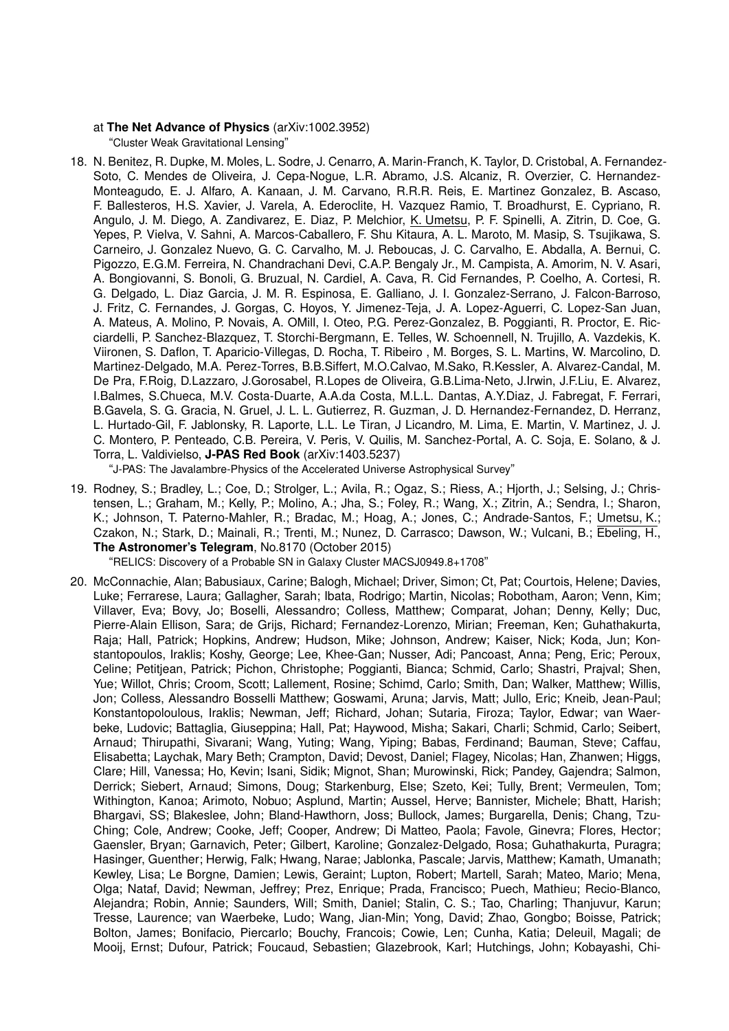#### at **The Net Advance of Physics** (arXiv:1002.3952) "Cluster Weak Gravitational Lensing"

18. N. Benitez, R. Dupke, M. Moles, L. Sodre, J. Cenarro, A. Marin-Franch, K. Taylor, D. Cristobal, A. Fernandez-Soto, C. Mendes de Oliveira, J. Cepa-Nogue, L.R. Abramo, J.S. Alcaniz, R. Overzier, C. Hernandez-Monteagudo, E. J. Alfaro, A. Kanaan, J. M. Carvano, R.R.R. Reis, E. Martinez Gonzalez, B. Ascaso, F. Ballesteros, H.S. Xavier, J. Varela, A. Ederoclite, H. Vazquez Ramio, T. Broadhurst, E. Cypriano, R. Angulo, J. M. Diego, A. Zandivarez, E. Diaz, P. Melchior, K. Umetsu, P. F. Spinelli, A. Zitrin, D. Coe, G. Yepes, P. Vielva, V. Sahni, A. Marcos-Caballero, F. Shu Kitaura, A. L. Maroto, M. Masip, S. Tsujikawa, S. Carneiro, J. Gonzalez Nuevo, G. C. Carvalho, M. J. Reboucas, J. C. Carvalho, E. Abdalla, A. Bernui, C. Pigozzo, E.G.M. Ferreira, N. Chandrachani Devi, C.A.P. Bengaly Jr., M. Campista, A. Amorim, N. V. Asari, A. Bongiovanni, S. Bonoli, G. Bruzual, N. Cardiel, A. Cava, R. Cid Fernandes, P. Coelho, A. Cortesi, R. G. Delgado, L. Diaz Garcia, J. M. R. Espinosa, E. Galliano, J. I. Gonzalez-Serrano, J. Falcon-Barroso, J. Fritz, C. Fernandes, J. Gorgas, C. Hoyos, Y. Jimenez-Teja, J. A. Lopez-Aguerri, C. Lopez-San Juan, A. Mateus, A. Molino, P. Novais, A. OMill, I. Oteo, P.G. Perez-Gonzalez, B. Poggianti, R. Proctor, E. Ricciardelli, P. Sanchez-Blazquez, T. Storchi-Bergmann, E. Telles, W. Schoennell, N. Trujillo, A. Vazdekis, K. Viironen, S. Daflon, T. Aparicio-Villegas, D. Rocha, T. Ribeiro , M. Borges, S. L. Martins, W. Marcolino, D. Martinez-Delgado, M.A. Perez-Torres, B.B.Siffert, M.O.Calvao, M.Sako, R.Kessler, A. Alvarez-Candal, M. De Pra, F.Roig, D.Lazzaro, J.Gorosabel, R.Lopes de Oliveira, G.B.Lima-Neto, J.Irwin, J.F.Liu, E. Alvarez, I.Balmes, S.Chueca, M.V. Costa-Duarte, A.A.da Costa, M.L.L. Dantas, A.Y.Diaz, J. Fabregat, F. Ferrari, B.Gavela, S. G. Gracia, N. Gruel, J. L. L. Gutierrez, R. Guzman, J. D. Hernandez-Fernandez, D. Herranz, L. Hurtado-Gil, F. Jablonsky, R. Laporte, L.L. Le Tiran, J Licandro, M. Lima, E. Martin, V. Martinez, J. J. C. Montero, P. Penteado, C.B. Pereira, V. Peris, V. Quilis, M. Sanchez-Portal, A. C. Soja, E. Solano, & J. Torra, L. Valdivielso, **J-PAS Red Book** (arXiv:1403.5237)

"J-PAS: The Javalambre-Physics of the Accelerated Universe Astrophysical Survey"

19. Rodney, S.; Bradley, L.; Coe, D.; Strolger, L.; Avila, R.; Ogaz, S.; Riess, A.; Hjorth, J.; Selsing, J.; Christensen, L.; Graham, M.; Kelly, P.; Molino, A.; Jha, S.; Foley, R.; Wang, X.; Zitrin, A.; Sendra, I.; Sharon, K.; Johnson, T. Paterno-Mahler, R.; Bradac, M.; Hoag, A.; Jones, C.; Andrade-Santos, F.; Umetsu, K.; Czakon, N.; Stark, D.; Mainali, R.; Trenti, M.; Nunez, D. Carrasco; Dawson, W.; Vulcani, B.; Ebeling, H., **The Astronomer's Telegram**, No.8170 (October 2015)

"RELICS: Discovery of a Probable SN in Galaxy Cluster MACSJ0949.8+1708"

20. McConnachie, Alan; Babusiaux, Carine; Balogh, Michael; Driver, Simon; Ct, Pat; Courtois, Helene; Davies, Luke; Ferrarese, Laura; Gallagher, Sarah; Ibata, Rodrigo; Martin, Nicolas; Robotham, Aaron; Venn, Kim; Villaver, Eva; Bovy, Jo; Boselli, Alessandro; Colless, Matthew; Comparat, Johan; Denny, Kelly; Duc, Pierre-Alain Ellison, Sara; de Grijs, Richard; Fernandez-Lorenzo, Mirian; Freeman, Ken; Guhathakurta, Raja; Hall, Patrick; Hopkins, Andrew; Hudson, Mike; Johnson, Andrew; Kaiser, Nick; Koda, Jun; Konstantopoulos, Iraklis; Koshy, George; Lee, Khee-Gan; Nusser, Adi; Pancoast, Anna; Peng, Eric; Peroux, Celine; Petitjean, Patrick; Pichon, Christophe; Poggianti, Bianca; Schmid, Carlo; Shastri, Prajval; Shen, Yue; Willot, Chris; Croom, Scott; Lallement, Rosine; Schimd, Carlo; Smith, Dan; Walker, Matthew; Willis, Jon; Colless, Alessandro Bosselli Matthew; Goswami, Aruna; Jarvis, Matt; Jullo, Eric; Kneib, Jean-Paul; Konstantopoloulous, Iraklis; Newman, Jeff; Richard, Johan; Sutaria, Firoza; Taylor, Edwar; van Waerbeke, Ludovic; Battaglia, Giuseppina; Hall, Pat; Haywood, Misha; Sakari, Charli; Schmid, Carlo; Seibert, Arnaud; Thirupathi, Sivarani; Wang, Yuting; Wang, Yiping; Babas, Ferdinand; Bauman, Steve; Caffau, Elisabetta; Laychak, Mary Beth; Crampton, David; Devost, Daniel; Flagey, Nicolas; Han, Zhanwen; Higgs, Clare; Hill, Vanessa; Ho, Kevin; Isani, Sidik; Mignot, Shan; Murowinski, Rick; Pandey, Gajendra; Salmon, Derrick; Siebert, Arnaud; Simons, Doug; Starkenburg, Else; Szeto, Kei; Tully, Brent; Vermeulen, Tom; Withington, Kanoa; Arimoto, Nobuo; Asplund, Martin; Aussel, Herve; Bannister, Michele; Bhatt, Harish; Bhargavi, SS; Blakeslee, John; Bland-Hawthorn, Joss; Bullock, James; Burgarella, Denis; Chang, Tzu-Ching; Cole, Andrew; Cooke, Jeff; Cooper, Andrew; Di Matteo, Paola; Favole, Ginevra; Flores, Hector; Gaensler, Bryan; Garnavich, Peter; Gilbert, Karoline; Gonzalez-Delgado, Rosa; Guhathakurta, Puragra; Hasinger, Guenther; Herwig, Falk; Hwang, Narae; Jablonka, Pascale; Jarvis, Matthew; Kamath, Umanath; Kewley, Lisa; Le Borgne, Damien; Lewis, Geraint; Lupton, Robert; Martell, Sarah; Mateo, Mario; Mena, Olga; Nataf, David; Newman, Jeffrey; Prez, Enrique; Prada, Francisco; Puech, Mathieu; Recio-Blanco, Alejandra; Robin, Annie; Saunders, Will; Smith, Daniel; Stalin, C. S.; Tao, Charling; Thanjuvur, Karun; Tresse, Laurence; van Waerbeke, Ludo; Wang, Jian-Min; Yong, David; Zhao, Gongbo; Boisse, Patrick; Bolton, James; Bonifacio, Piercarlo; Bouchy, Francois; Cowie, Len; Cunha, Katia; Deleuil, Magali; de Mooij, Ernst; Dufour, Patrick; Foucaud, Sebastien; Glazebrook, Karl; Hutchings, John; Kobayashi, Chi